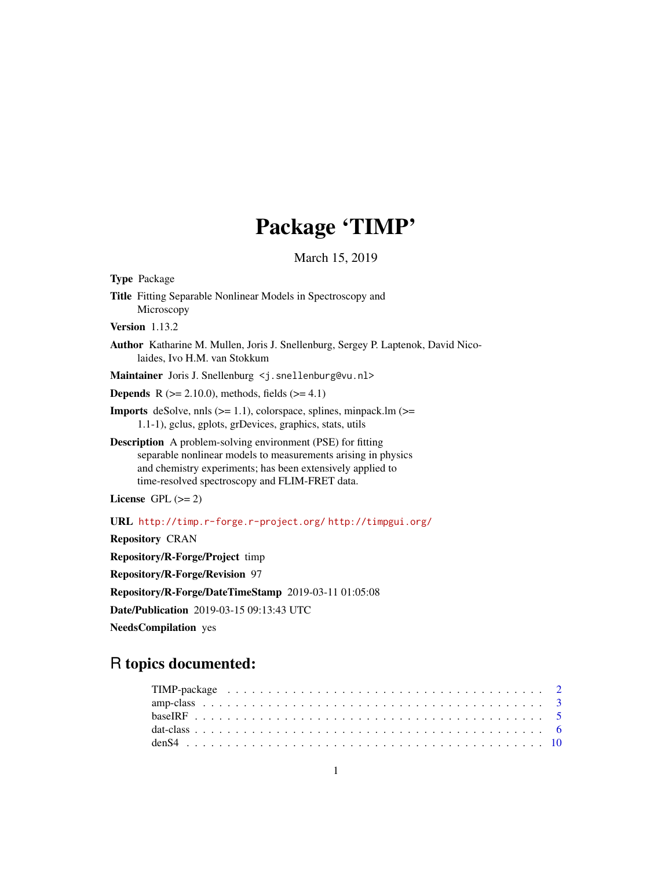# Package 'TIMP'

March 15, 2019

<span id="page-0-0"></span>

## R topics documented: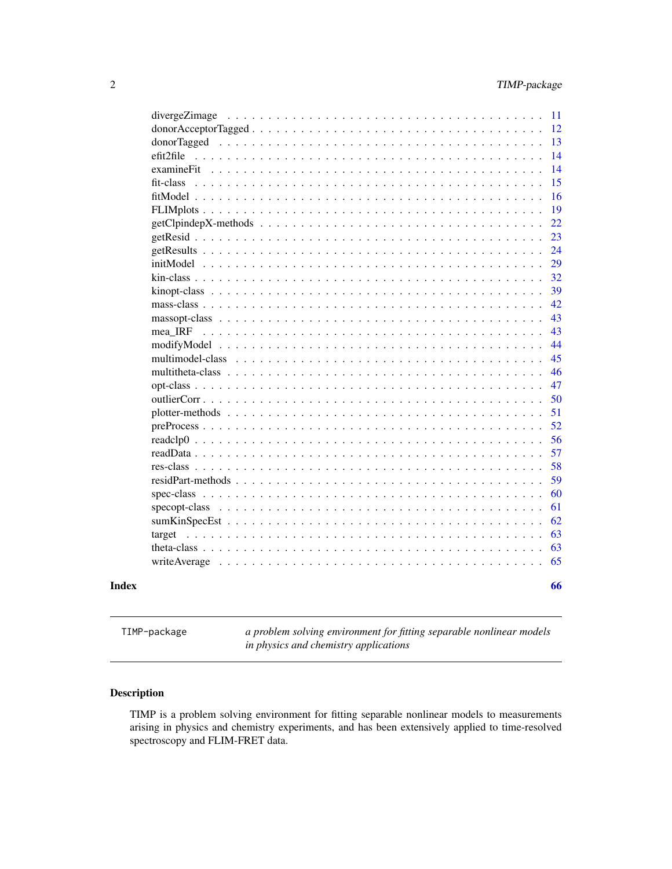<span id="page-1-0"></span>

| examineFit                        |        |  |              |                                |   |  |               |  |  |  |  |  |  |  |
|-----------------------------------|--------|--|--------------|--------------------------------|---|--|---------------|--|--|--|--|--|--|--|
| $fit-class \dots \dots$           |        |  |              |                                |   |  |               |  |  |  |  |  |  |  |
| $fitModel$                        |        |  |              |                                |   |  |               |  |  |  |  |  |  |  |
|                                   |        |  |              |                                |   |  |               |  |  |  |  |  |  |  |
|                                   |        |  |              |                                |   |  |               |  |  |  |  |  |  |  |
|                                   |        |  |              |                                |   |  |               |  |  |  |  |  |  |  |
|                                   |        |  |              |                                |   |  |               |  |  |  |  |  |  |  |
|                                   |        |  |              |                                |   |  |               |  |  |  |  |  |  |  |
|                                   |        |  |              |                                |   |  |               |  |  |  |  |  |  |  |
|                                   |        |  |              |                                |   |  |               |  |  |  |  |  |  |  |
|                                   |        |  |              |                                |   |  |               |  |  |  |  |  |  |  |
|                                   |        |  |              |                                |   |  |               |  |  |  |  |  |  |  |
| mea IRF                           |        |  |              |                                |   |  |               |  |  |  |  |  |  |  |
| modifyModel                       |        |  |              |                                | . |  |               |  |  |  |  |  |  |  |
| multimodel-class                  |        |  | $\mathbf{r}$ | $\mathbb{R}^2$<br>$\mathbf{r}$ | . |  |               |  |  |  |  |  |  |  |
| multitheta-class                  |        |  |              |                                |   |  | $\frac{1}{2}$ |  |  |  |  |  |  |  |
| $opt-class \dots \dots$           |        |  |              |                                | . |  |               |  |  |  |  |  |  |  |
| outlierCorr                       |        |  |              |                                | . |  |               |  |  |  |  |  |  |  |
| plotter-methods $\ldots$ .        |        |  |              |                                |   |  |               |  |  |  |  |  |  |  |
| $preProcess \ldots \ldots \ldots$ |        |  |              |                                |   |  |               |  |  |  |  |  |  |  |
| $readelp0 \dots \dots \dots$      |        |  |              |                                |   |  |               |  |  |  |  |  |  |  |
| readData                          |        |  |              |                                |   |  |               |  |  |  |  |  |  |  |
| $res-class \dots \dots$           |        |  |              |                                |   |  |               |  |  |  |  |  |  |  |
| residPart-methods                 | $\sim$ |  |              |                                |   |  |               |  |  |  |  |  |  |  |
|                                   |        |  |              |                                |   |  |               |  |  |  |  |  |  |  |
|                                   |        |  |              |                                |   |  |               |  |  |  |  |  |  |  |
|                                   |        |  |              |                                |   |  |               |  |  |  |  |  |  |  |
| target                            |        |  |              |                                |   |  |               |  |  |  |  |  |  |  |
|                                   |        |  |              |                                |   |  |               |  |  |  |  |  |  |  |
|                                   |        |  |              |                                |   |  |               |  |  |  |  |  |  |  |
|                                   |        |  |              |                                |   |  |               |  |  |  |  |  |  |  |
|                                   |        |  |              |                                |   |  |               |  |  |  |  |  |  |  |

TIMP-package *a problem solving environment for fitting separable nonlinear models in physics and chemistry applications*

#### Description

TIMP is a problem solving environment for fitting separable nonlinear models to measurements arising in physics and chemistry experiments, and has been extensively applied to time-resolved spectroscopy and FLIM-FRET data.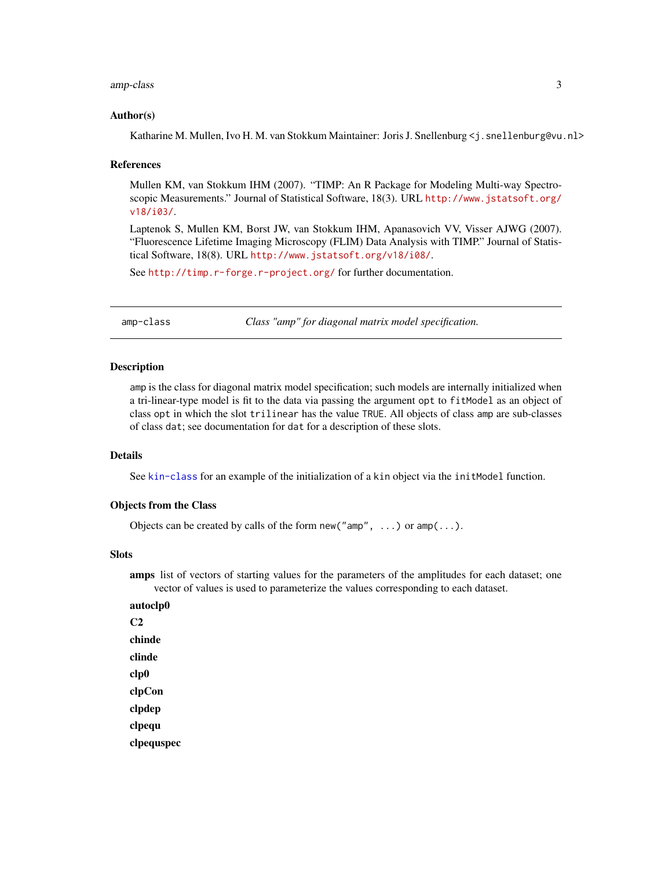#### <span id="page-2-0"></span>amp-class 3

#### Author(s)

Katharine M. Mullen, Ivo H. M. van Stokkum Maintainer: Joris J. Snellenburg  $\leq i$ . snellenburg@vu.nl>

#### References

Mullen KM, van Stokkum IHM (2007). "TIMP: An R Package for Modeling Multi-way Spectroscopic Measurements." Journal of Statistical Software, 18(3). URL [http://www.jstatsoft.org/](http://www.jstatsoft.org/v18/i03/) [v18/i03/](http://www.jstatsoft.org/v18/i03/).

Laptenok S, Mullen KM, Borst JW, van Stokkum IHM, Apanasovich VV, Visser AJWG (2007). "Fluorescence Lifetime Imaging Microscopy (FLIM) Data Analysis with TIMP." Journal of Statistical Software, 18(8). URL <http://www.jstatsoft.org/v18/i08/>.

See <http://timp.r-forge.r-project.org/> for further documentation.

amp-class *Class "amp" for diagonal matrix model specification.*

#### Description

amp is the class for diagonal matrix model specification; such models are internally initialized when a tri-linear-type model is fit to the data via passing the argument opt to fitModel as an object of class opt in which the slot trilinear has the value TRUE. All objects of class amp are sub-classes of class dat; see documentation for dat for a description of these slots.

#### Details

See [kin-class](#page-31-1) for an example of the initialization of a kin object via the initModel function.

#### Objects from the Class

Objects can be created by calls of the form new ("amp", ...) or  $amp(...)$ .

#### **Slots**

amps list of vectors of starting values for the parameters of the amplitudes for each dataset; one vector of values is used to parameterize the values corresponding to each dataset.

autoclp0  $C<sub>2</sub>$ chinde clinde clp0 clpCon clpdep clpequ clpequspec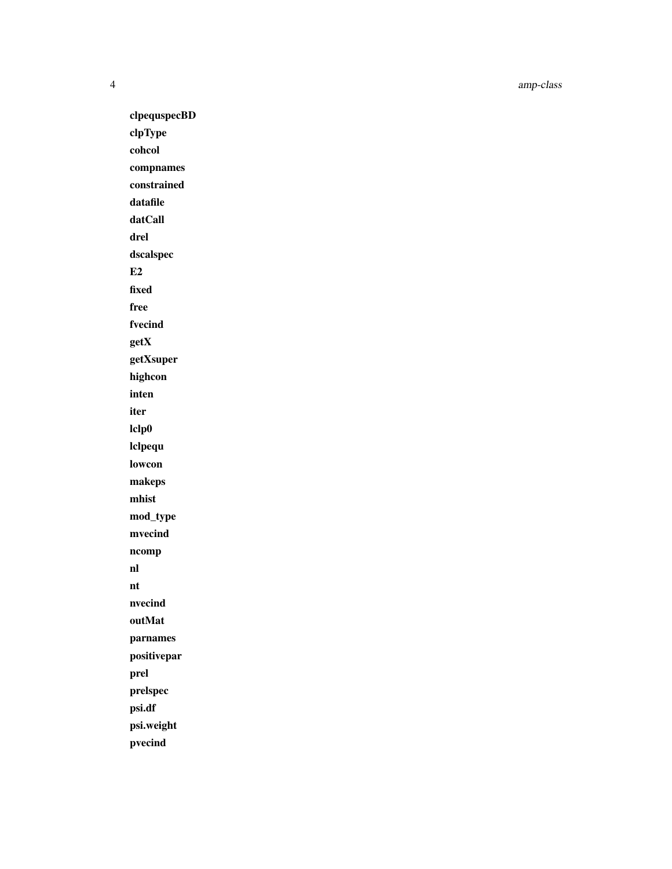clpequspecBD clpType cohcol compnames constrained datafile datCall drel dscalspec E2 fixed free fvecind getX getXsuper highcon inten iter lclp0 lclpequ lowcon makeps mhist mod\_type mvecind ncomp nl nt nvecind outMat parnames positivepar prel prelspec psi.df psi.weight pvecind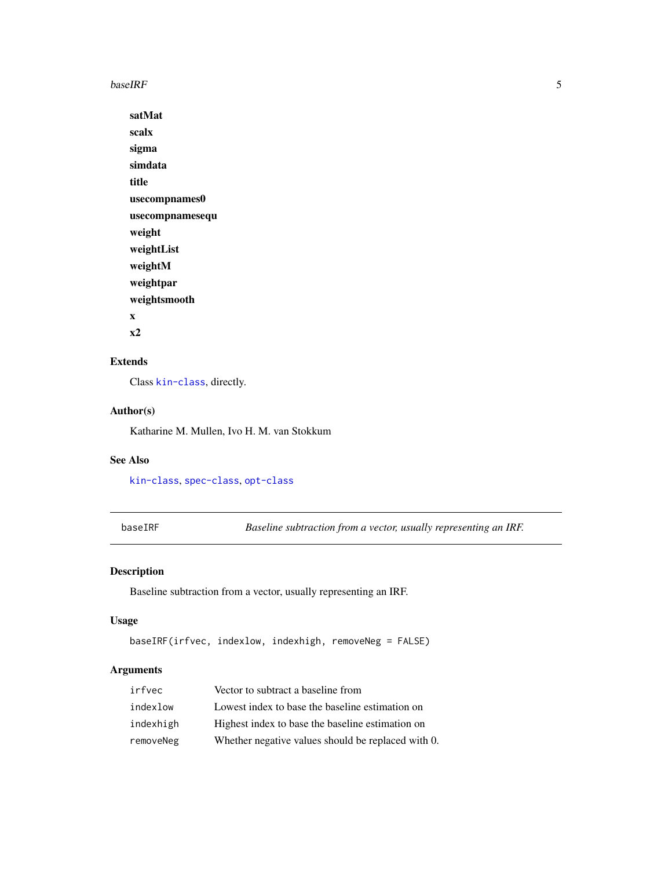<span id="page-4-0"></span> $baseIRF$  5

satMat scalx sigma simdata title usecompnames0 usecompnamesequ weight weightList weightM weightpar weightsmooth x x2

### Extends

Class [kin-class](#page-31-1), directly.

#### Author(s)

Katharine M. Mullen, Ivo H. M. van Stokkum

#### See Also

[kin-class](#page-31-1), [spec-class](#page-59-1), [opt-class](#page-46-1)

baseIRF *Baseline subtraction from a vector, usually representing an IRF.*

#### Description

Baseline subtraction from a vector, usually representing an IRF.

#### Usage

```
baseIRF(irfvec, indexlow, indexhigh, removeNeg = FALSE)
```
### Arguments

| irfvec    | Vector to subtract a baseline from                 |
|-----------|----------------------------------------------------|
| indexlow  | Lowest index to base the baseline estimation on    |
| indexhigh | Highest index to base the baseline estimation on   |
| removeNeg | Whether negative values should be replaced with 0. |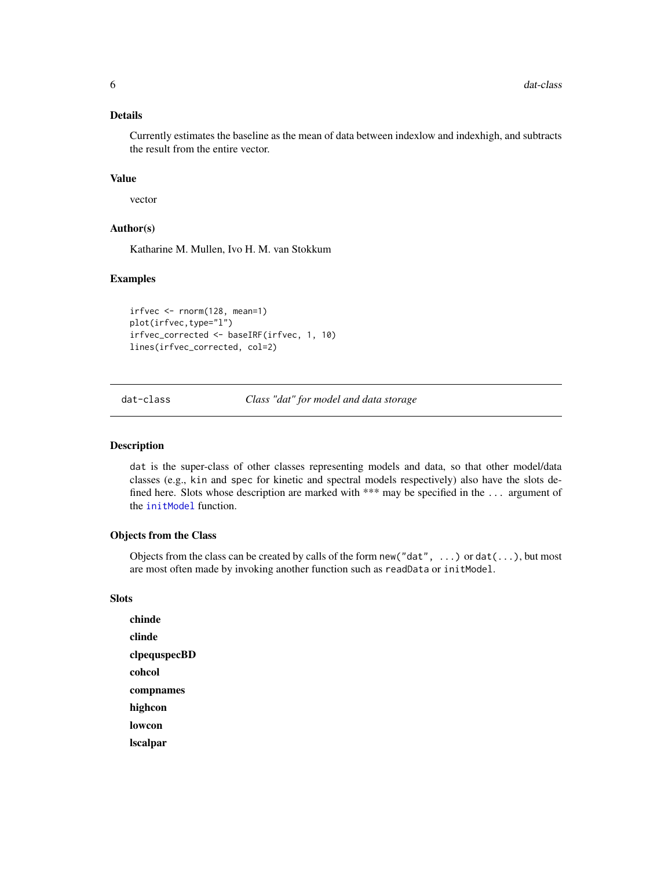#### <span id="page-5-0"></span>Details

Currently estimates the baseline as the mean of data between indexlow and indexhigh, and subtracts the result from the entire vector.

#### Value

vector

#### Author(s)

Katharine M. Mullen, Ivo H. M. van Stokkum

#### Examples

```
irfvec <- rnorm(128, mean=1)
plot(irfvec,type="l")
irfvec_corrected <- baseIRF(irfvec, 1, 10)
lines(irfvec_corrected, col=2)
```
<span id="page-5-2"></span>dat-class *Class "dat" for model and data storage*

#### <span id="page-5-1"></span>Description

dat is the super-class of other classes representing models and data, so that other model/data classes (e.g., kin and spec for kinetic and spectral models respectively) also have the slots defined here. Slots whose description are marked with \*\*\* may be specified in the ... argument of the [initModel](#page-28-1) function.

#### Objects from the Class

Objects from the class can be created by calls of the form  $new("dat", \ldots)$  or  $dat(\ldots)$ , but most are most often made by invoking another function such as readData or initModel.

#### Slots

chinde clinde clpequspecBD cohcol compnames highcon lowcon lscalpar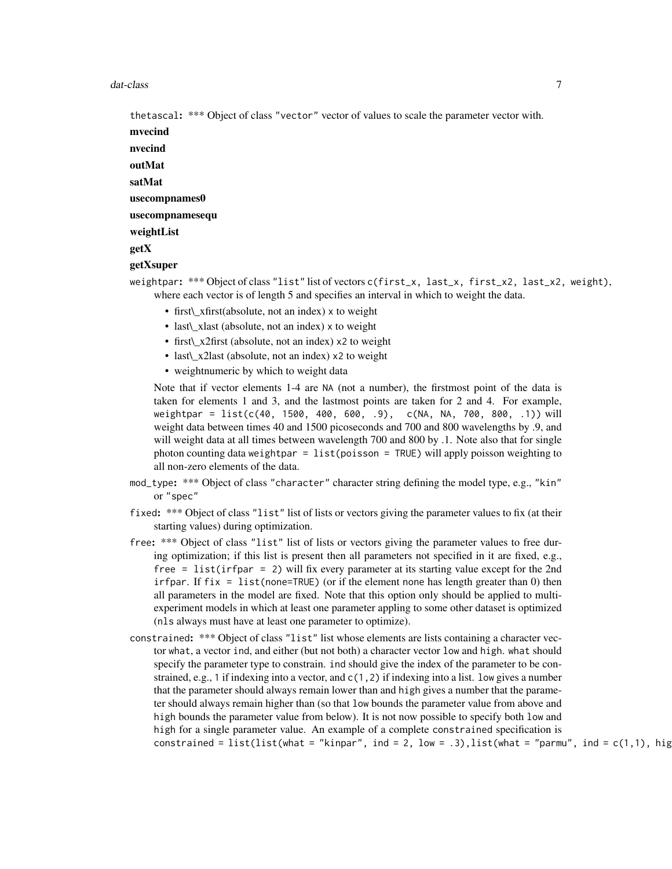#### dat-class **7**

thetascal: \*\*\* Object of class "vector" vector of values to scale the parameter vector with.

mvecind

nvecind outMat satMat

usecompnames0

usecompnamesequ

weightList

getX

#### getXsuper

weightpar: \*\*\* Object of class "list" list of vectors c(first\_x, last\_x, first\_x2, last\_x2, weight), where each vector is of length 5 and specifies an interval in which to weight the data.

- first\\_xfirst(absolute, not an index) x to weight
- last\\_xlast (absolute, not an index) x to weight
- first x2first (absolute, not an index) x2 to weight
- last\\_x2last (absolute, not an index) x2 to weight
- weightnumeric by which to weight data

Note that if vector elements 1-4 are NA (not a number), the firstmost point of the data is taken for elements 1 and 3, and the lastmost points are taken for 2 and 4. For example, weightpar = list(c(40, 1500, 400, 600, .9), c(NA, NA, 700, 800, .1)) will weight data between times 40 and 1500 picoseconds and 700 and 800 wavelengths by .9, and will weight data at all times between wavelength 700 and 800 by .1. Note also that for single photon counting data weightpar = list(poisson = TRUE) will apply poisson weighting to all non-zero elements of the data.

- mod\_type: \*\*\* Object of class "character" character string defining the model type, e.g., "kin" or "spec"
- fixed: \*\*\* Object of class "list" list of lists or vectors giving the parameter values to fix (at their starting values) during optimization.
- free: \*\*\* Object of class "list" list of lists or vectors giving the parameter values to free during optimization; if this list is present then all parameters not specified in it are fixed, e.g., free = list(irfpar = 2) will fix every parameter at its starting value except for the 2nd irfpar. If  $fix = list(name=TRUE)$  (or if the element none has length greater than 0) then all parameters in the model are fixed. Note that this option only should be applied to multiexperiment models in which at least one parameter appling to some other dataset is optimized (nls always must have at least one parameter to optimize).
- constrained: \*\*\* Object of class "list" list whose elements are lists containing a character vector what, a vector ind, and either (but not both) a character vector low and high. what should specify the parameter type to constrain. ind should give the index of the parameter to be constrained, e.g., 1 if indexing into a vector, and  $c(1,2)$  if indexing into a list. low gives a number that the parameter should always remain lower than and high gives a number that the parameter should always remain higher than (so that low bounds the parameter value from above and high bounds the parameter value from below). It is not now possible to specify both low and high for a single parameter value. An example of a complete constrained specification is constrained = list(list(what = "kinpar", ind = 2, low = .3),list(what = "parmu", ind =  $c(1,1)$ , hig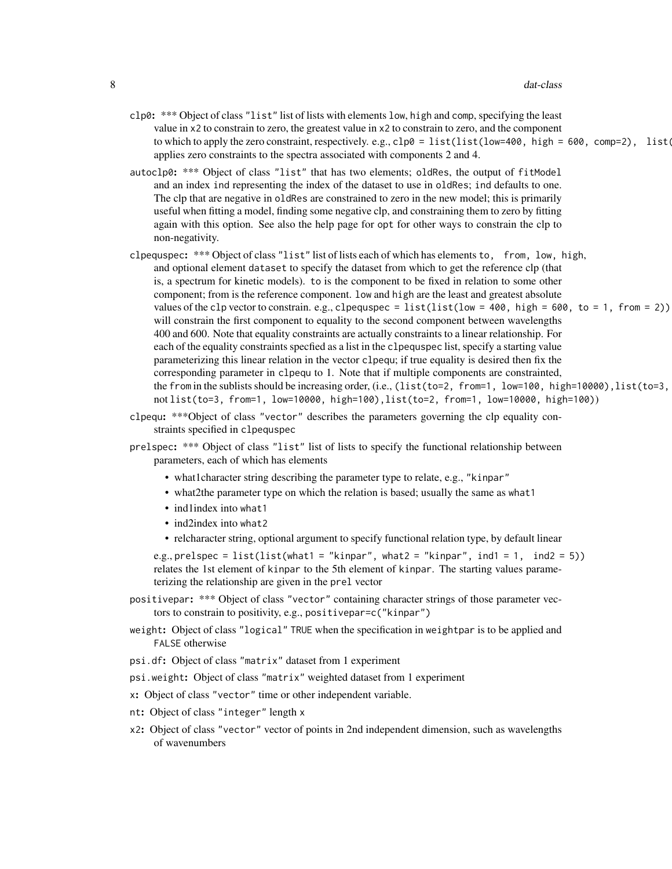- $c$ lp0: \*\*\* Object of class "list" list of lists with elements low, high and comp, specifying the least value in x2 to constrain to zero, the greatest value in x2 to constrain to zero, and the component to which to apply the zero constraint, respectively. e.g.,  $c \ln 0 = 1$  ist(list(low=400, high = 600, comp=2), list applies zero constraints to the spectra associated with components 2 and 4.
- autoclp0: \*\*\* Object of class "list" that has two elements; oldRes, the output of fitModel and an index ind representing the index of the dataset to use in oldRes; ind defaults to one. The clp that are negative in oldRes are constrained to zero in the new model; this is primarily useful when fitting a model, finding some negative clp, and constraining them to zero by fitting again with this option. See also the help page for opt for other ways to constrain the clp to non-negativity.
- clpequspec: \*\*\* Object of class "list" list of lists each of which has elements to, from, low, high, and optional element dataset to specify the dataset from which to get the reference clp (that is, a spectrum for kinetic models). to is the component to be fixed in relation to some other component; from is the reference component. low and high are the least and greatest absolute values of the clp vector to constrain. e.g., clpequspec = list(list(low = 400, high = 600, to = 1, from = 2)) will constrain the first component to equality to the second component between wavelengths 400 and 600. Note that equality constraints are actually constraints to a linear relationship. For each of the equality constraints specfied as a list in the clpequspec list, specify a starting value parameterizing this linear relation in the vector clpequ; if true equality is desired then fix the corresponding parameter in clpequ to 1. Note that if multiple components are constrainted, the from in the sublists should be increasing order, (i.e.,  $(list(to=2, from=1, low=100, high=10000)$ , list(to=3, not list(to=3, from=1, low=10000, high=100),list(to=2, from=1, low=10000, high=100))
- clpequ: \*\*\*Object of class "vector" describes the parameters governing the clp equality constraints specified in clpequspec
- prelspec: \*\*\* Object of class "list" list of lists to specify the functional relationship between parameters, each of which has elements
	- what1character string describing the parameter type to relate, e.g., "kinpar"
	- what2the parameter type on which the relation is based; usually the same as what1
	- indlindex into what1
	- ind2index into what2
	- relcharacter string, optional argument to specify functional relation type, by default linear

e.g., prelspec = list(list(what1 = "kinpar", what2 = "kinpar", ind1 = 1, ind2 = 5)) relates the 1st element of kinpar to the 5th element of kinpar. The starting values parameterizing the relationship are given in the prel vector

- positivepar: \*\*\* Object of class "vector" containing character strings of those parameter vectors to constrain to positivity, e.g., positivepar=c("kinpar")
- weight: Object of class "logical" TRUE when the specification in weightpar is to be applied and FALSE otherwise
- psi.df: Object of class "matrix" dataset from 1 experiment
- psi.weight: Object of class "matrix" weighted dataset from 1 experiment
- x: Object of class "vector" time or other independent variable.
- nt: Object of class "integer" length x
- x2: Object of class "vector" vector of points in 2nd independent dimension, such as wavelengths of wavenumbers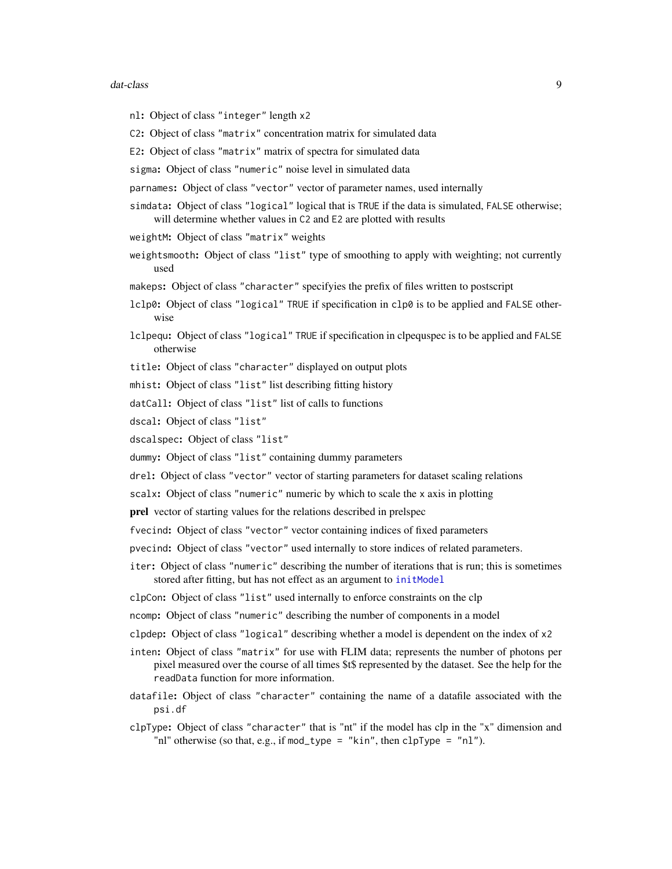#### <span id="page-8-0"></span>dat-class 9

- nl: Object of class "integer" length x2
- C2: Object of class "matrix" concentration matrix for simulated data
- E2: Object of class "matrix" matrix of spectra for simulated data
- sigma: Object of class "numeric" noise level in simulated data
- parnames: Object of class "vector" vector of parameter names, used internally
- simdata: Object of class "logical" logical that is TRUE if the data is simulated, FALSE otherwise; will determine whether values in C2 and E2 are plotted with results
- weightM: Object of class "matrix" weights
- weightsmooth: Object of class "list" type of smoothing to apply with weighting; not currently used
- makeps: Object of class "character" specifyies the prefix of files written to postscript
- lclp0: Object of class "logical" TRUE if specification in clp0 is to be applied and FALSE otherwise
- lclpequ: Object of class "logical" TRUE if specification in clpequspec is to be applied and FALSE otherwise
- title: Object of class "character" displayed on output plots
- mhist: Object of class "list" list describing fitting history
- datCall: Object of class "list" list of calls to functions
- dscal: Object of class "list"
- dscalspec: Object of class "list"
- dummy: Object of class "list" containing dummy parameters
- drel: Object of class "vector" vector of starting parameters for dataset scaling relations
- scalx: Object of class "numeric" numeric by which to scale the x axis in plotting
- prel vector of starting values for the relations described in prelspec
- fvecind: Object of class "vector" vector containing indices of fixed parameters
- pvecind: Object of class "vector" used internally to store indices of related parameters.
- iter: Object of class "numeric" describing the number of iterations that is run; this is sometimes stored after fitting, but has not effect as an argument to [initModel](#page-28-1)
- clpCon: Object of class "list" used internally to enforce constraints on the clp
- ncomp: Object of class "numeric" describing the number of components in a model
- clpdep: Object of class "logical" describing whether a model is dependent on the index of x2
- inten: Object of class "matrix" for use with FLIM data; represents the number of photons per pixel measured over the course of all times \$t\$ represented by the dataset. See the help for the readData function for more information.
- datafile: Object of class "character" containing the name of a datafile associated with the psi.df
- clpType: Object of class "character" that is "nt" if the model has clp in the "x" dimension and "nl" otherwise (so that, e.g., if mod\_type = "kin", then clpType = "nl").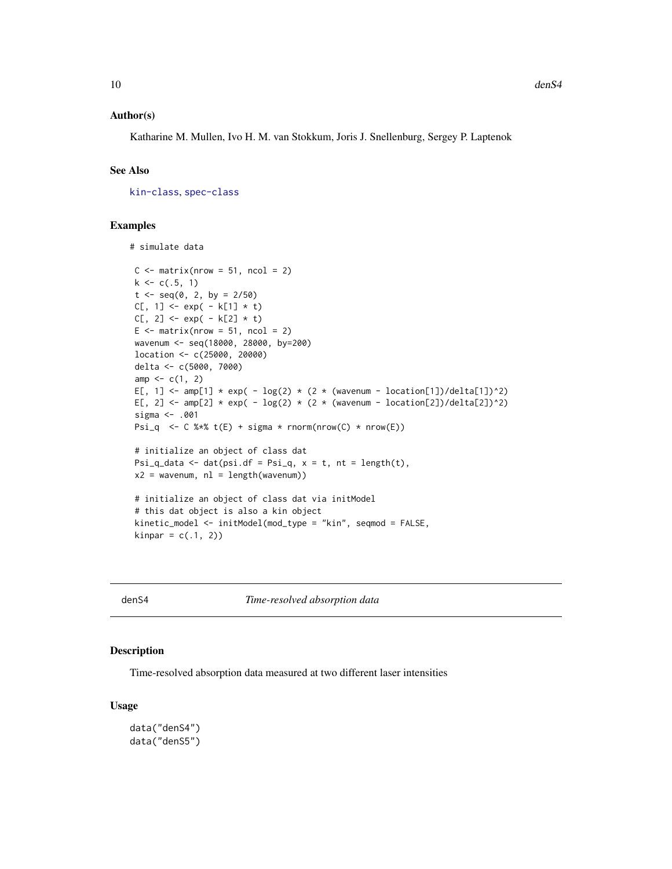#### <span id="page-9-0"></span>Author(s)

Katharine M. Mullen, Ivo H. M. van Stokkum, Joris J. Snellenburg, Sergey P. Laptenok

#### See Also

[kin-class](#page-31-1), [spec-class](#page-59-1)

#### Examples

```
# simulate data
C \le - matrix(nrow = 51, ncol = 2)
k \leq c(.5, 1)t < - seq(0, 2, by = 2/50)
C[, 1] <- exp(-k[1] * t)C[, 2] < - exp(-k[2] * t)E \le - matrix(nrow = 51, ncol = 2)
wavenum <- seq(18000, 28000, by=200)
location <- c(25000, 20000)
delta <- c(5000, 7000)
amp < -c(1, 2)E[, 1] <- amp[1] * exp( - log(2) * (2 * (wavenum - location[1])/delta[1])^2)
E[, 2] <- amp[2] * exp( - log(2) * (2 * (wavenum - location[2])/delta[2])^2)
sigma <- .001
Psi_q <- C %*% t(E) + sigma * rnorm(nrow(C) * nrow(E))
 # initialize an object of class dat
Psi_q_data <- dat(psi.df = Psi_q, x = t, nt = length(t),
x2 = wavenum, nl = length(wavenum)# initialize an object of class dat via initModel
# this dat object is also a kin object
kinetic_model <- initModel(mod_type = "kin", seqmod = FALSE,
kinnar = c(.1, 2))
```
denS4 *Time-resolved absorption data*

#### Description

Time-resolved absorption data measured at two different laser intensities

#### Usage

```
data("denS4")
data("denS5")
```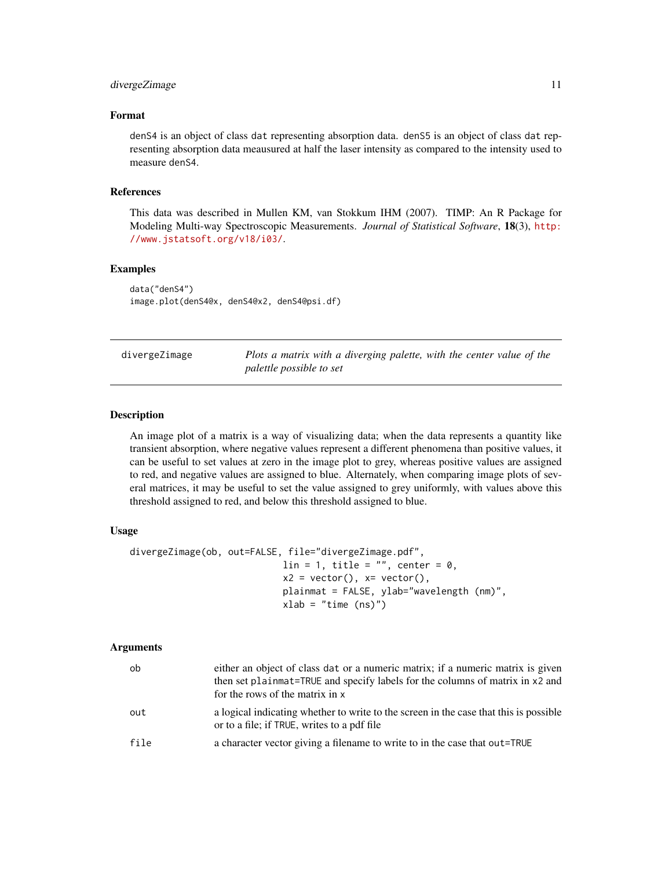#### <span id="page-10-0"></span>divergeZimage 11 and 12 and 2012 12 and 2012 12 and 2012 12 and 2012 12 and 2012 12 and 2012 12 and 2012 12 and 2012 12 and 2012 12 and 2012 12 and 2012 12 and 2012 12 and 2012 12 and 2012 12 and 2012 12 and 2012 12 and 20

#### Format

denS4 is an object of class dat representing absorption data. denS5 is an object of class dat representing absorption data meausured at half the laser intensity as compared to the intensity used to measure denS4.

#### References

This data was described in Mullen KM, van Stokkum IHM (2007). TIMP: An R Package for Modeling Multi-way Spectroscopic Measurements. *Journal of Statistical Software*, 18(3), [http:](http://www.jstatsoft.org/v18/i03/) [//www.jstatsoft.org/v18/i03/](http://www.jstatsoft.org/v18/i03/).

#### Examples

data("denS4") image.plot(denS4@x, denS4@x2, denS4@psi.df)

|  |  | divergeZimage |
|--|--|---------------|
|  |  |               |

Plots a matrix with a diverging palette, with the center value of the *palettle possible to set*

#### Description

An image plot of a matrix is a way of visualizing data; when the data represents a quantity like transient absorption, where negative values represent a different phenomena than positive values, it can be useful to set values at zero in the image plot to grey, whereas positive values are assigned to red, and negative values are assigned to blue. Alternately, when comparing image plots of several matrices, it may be useful to set the value assigned to grey uniformly, with values above this threshold assigned to red, and below this threshold assigned to blue.

#### Usage

```
divergeZimage(ob, out=FALSE, file="divergeZimage.pdf",
                           lin = 1, title = ", center = 0,
                           x2 = vector(), x= vector(),plainmat = FALSE, ylab="wavelength (nm)",
                           xlab = "time (ns)"
```
#### Arguments

| ob   | either an object of class dat or a numeric matrix; if a numeric matrix is given<br>then set plainmat=TRUE and specify labels for the columns of matrix in x2 and<br>for the rows of the matrix in x |
|------|-----------------------------------------------------------------------------------------------------------------------------------------------------------------------------------------------------|
| out  | a logical indicating whether to write to the screen in the case that this is possible<br>or to a file; if TRUE, writes to a pdf file                                                                |
| file | a character vector giving a filename to write to in the case that out=TRUE                                                                                                                          |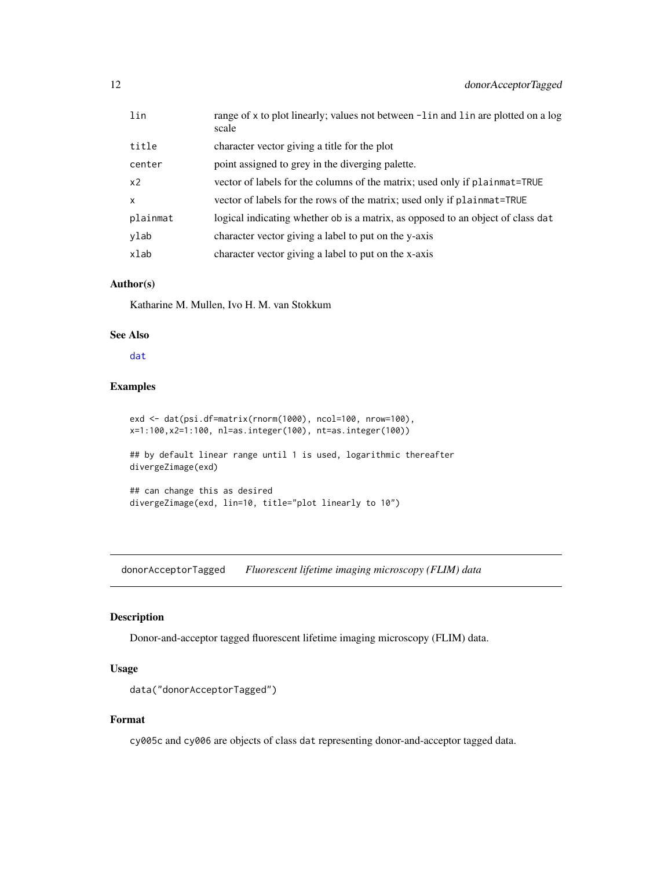<span id="page-11-0"></span>

| lin            | range of x to plot linearly; values not between -1 in and 1 in are plotted on a log<br>scale |
|----------------|----------------------------------------------------------------------------------------------|
| title          | character vector giving a title for the plot                                                 |
| center         | point assigned to grey in the diverging palette.                                             |
| x <sub>2</sub> | vector of labels for the columns of the matrix; used only if plainmat=TRUE                   |
| $\mathsf{x}$   | vector of labels for the rows of the matrix; used only if plainmat=TRUE                      |
| plainmat       | logical indicating whether ob is a matrix, as opposed to an object of class dat              |
| ylab           | character vector giving a label to put on the y-axis                                         |
| xlab           | character vector giving a label to put on the x-axis                                         |

#### Author(s)

Katharine M. Mullen, Ivo H. M. van Stokkum

#### See Also

[dat](#page-5-1)

#### Examples

```
exd <- dat(psi.df=matrix(rnorm(1000), ncol=100, nrow=100),
x=1:100,x2=1:100, nl=as.integer(100), nt=as.integer(100))
## by default linear range until 1 is used, logarithmic thereafter
divergeZimage(exd)
```

```
## can change this as desired
divergeZimage(exd, lin=10, title="plot linearly to 10")
```
donorAcceptorTagged *Fluorescent lifetime imaging microscopy (FLIM) data*

#### Description

Donor-and-acceptor tagged fluorescent lifetime imaging microscopy (FLIM) data.

#### Usage

```
data("donorAcceptorTagged")
```
#### Format

cy005c and cy006 are objects of class dat representing donor-and-acceptor tagged data.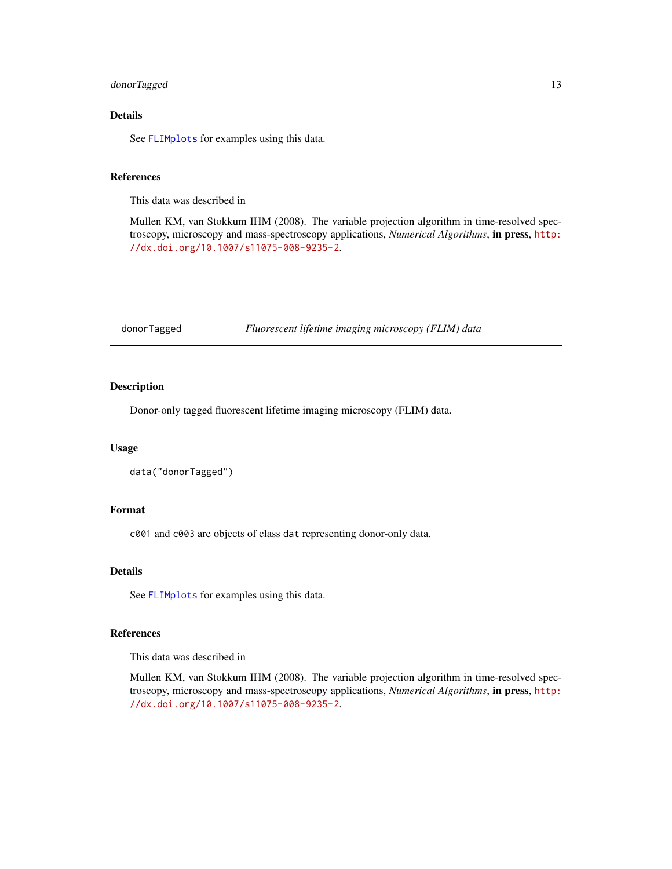#### <span id="page-12-0"></span>donorTagged 13

#### Details

See [FLIMplots](#page-18-1) for examples using this data.

#### References

This data was described in

Mullen KM, van Stokkum IHM (2008). The variable projection algorithm in time-resolved spectroscopy, microscopy and mass-spectroscopy applications, *Numerical Algorithms*, in press, [http:](http://dx.doi.org/10.1007/s11075-008-9235-2) [//dx.doi.org/10.1007/s11075-008-9235-2](http://dx.doi.org/10.1007/s11075-008-9235-2).

donorTagged *Fluorescent lifetime imaging microscopy (FLIM) data*

#### Description

Donor-only tagged fluorescent lifetime imaging microscopy (FLIM) data.

#### Usage

```
data("donorTagged")
```
#### Format

c001 and c003 are objects of class dat representing donor-only data.

#### Details

See [FLIMplots](#page-18-1) for examples using this data.

#### References

This data was described in

Mullen KM, van Stokkum IHM (2008). The variable projection algorithm in time-resolved spectroscopy, microscopy and mass-spectroscopy applications, *Numerical Algorithms*, in press, [http:](http://dx.doi.org/10.1007/s11075-008-9235-2) [//dx.doi.org/10.1007/s11075-008-9235-2](http://dx.doi.org/10.1007/s11075-008-9235-2).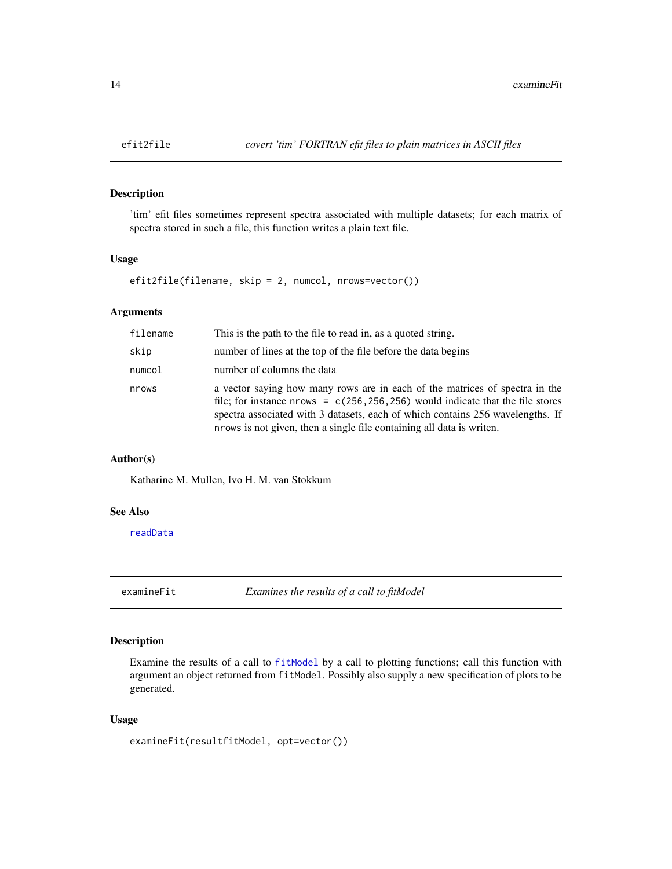#### Description

'tim' efit files sometimes represent spectra associated with multiple datasets; for each matrix of spectra stored in such a file, this function writes a plain text file.

#### Usage

```
efit2file(filename, skip = 2, numcol, nrows=vector())
```
#### Arguments

| filename | This is the path to the file to read in, as a quoted string.                                                                                                                                                                                                                                                                |
|----------|-----------------------------------------------------------------------------------------------------------------------------------------------------------------------------------------------------------------------------------------------------------------------------------------------------------------------------|
| skip     | number of lines at the top of the file before the data begins                                                                                                                                                                                                                                                               |
| numcol   | number of columns the data                                                                                                                                                                                                                                                                                                  |
| nrows    | a vector saying how many rows are in each of the matrices of spectra in the<br>file; for instance nrows = $c(256, 256, 256)$ would indicate that the file stores<br>spectra associated with 3 datasets, each of which contains 256 wavelengths. If<br>nrows is not given, then a single file containing all data is writen. |

#### Author(s)

Katharine M. Mullen, Ivo H. M. van Stokkum

#### See Also

[readData](#page-56-1)

<span id="page-13-1"></span>examineFit *Examines the results of a call to fitModel*

#### Description

Examine the results of a call to [fitModel](#page-15-1) by a call to plotting functions; call this function with argument an object returned from fitModel. Possibly also supply a new specification of plots to be generated.

#### Usage

```
examineFit(resultfitModel, opt=vector())
```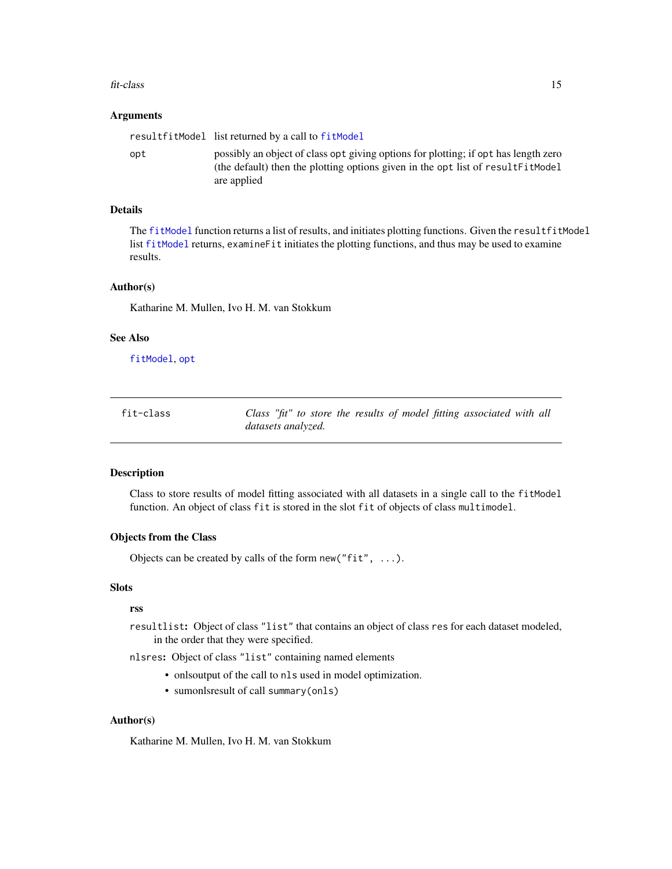#### <span id="page-14-0"></span>fit-class and the state of the state of the state of the state of the state of the state of the state of the state of the state of the state of the state of the state of the state of the state of the state of the state of

#### **Arguments**

|     | resultfitModel list returned by a call to fitModel                                                                                                                                    |
|-----|---------------------------------------------------------------------------------------------------------------------------------------------------------------------------------------|
| opt | possibly an object of class opt giving options for plotting; if opt has length zero<br>(the default) then the plotting options given in the opt list of resultFitModel<br>are applied |

#### Details

The [fitModel](#page-15-1) function returns a list of results, and initiates plotting functions. Given the resultfitModel list [fitModel](#page-15-1) returns, examineFit initiates the plotting functions, and thus may be used to examine results.

#### Author(s)

Katharine M. Mullen, Ivo H. M. van Stokkum

#### See Also

[fitModel](#page-15-1), [opt](#page-46-2)

<span id="page-14-1"></span>

| fit-class | Class "fit" to store the results of model fitting associated with all |
|-----------|-----------------------------------------------------------------------|
|           | <i>datasets analyzed.</i>                                             |

#### Description

Class to store results of model fitting associated with all datasets in a single call to the fitModel function. An object of class fit is stored in the slot fit of objects of class multimodel.

#### Objects from the Class

Objects can be created by calls of the form new (" $fit$ ", ...).

#### Slots

#### rss

resultlist: Object of class "list" that contains an object of class res for each dataset modeled, in the order that they were specified.

nlsres: Object of class "list" containing named elements

- onlsoutput of the call to nls used in model optimization.
- sumonlsresult of call summary(onls)

#### Author(s)

Katharine M. Mullen, Ivo H. M. van Stokkum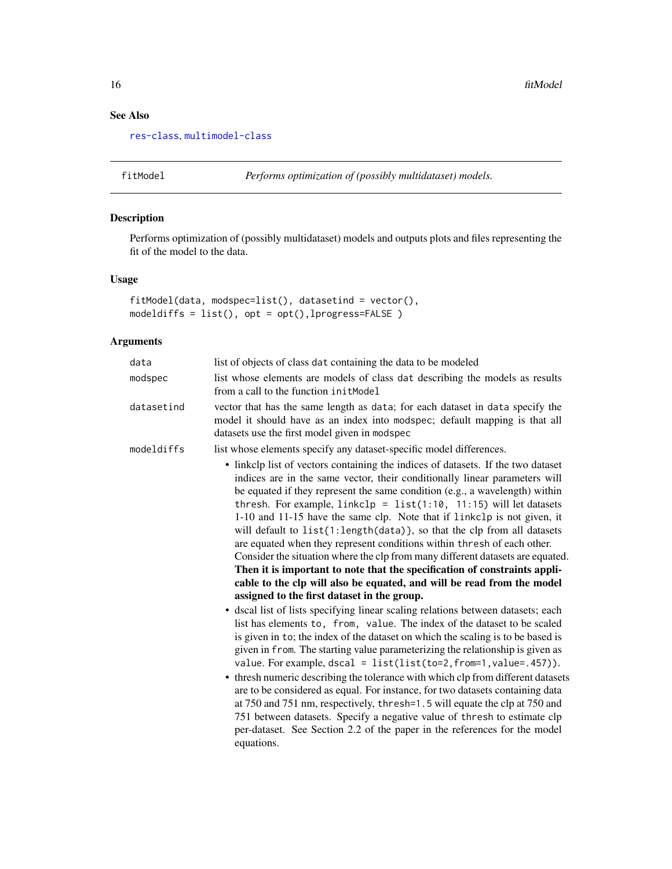### See Also

[res-class](#page-57-1), [multimodel-class](#page-44-1)

<span id="page-15-1"></span>fitModel *Performs optimization of (possibly multidataset) models.*

### Description

Performs optimization of (possibly multidataset) models and outputs plots and files representing the fit of the model to the data.

#### Usage

```
fitModel(data, modspec=list(), datasetind = vector(),
modeldiffs = list(), opt = opt(),lprogress=FALSE )
```
#### Arguments

| data       | list of objects of class dat containing the data to be modeled                                                                                                                                                                                                                                                                                                                                                                                                                                                                                                                                                                                                                                                                                                                                                                                                                                                                                                                                                                                                                                                                                                                                                                                                                                                                                                                                                                                                                                                                                                                                                                                                                      |
|------------|-------------------------------------------------------------------------------------------------------------------------------------------------------------------------------------------------------------------------------------------------------------------------------------------------------------------------------------------------------------------------------------------------------------------------------------------------------------------------------------------------------------------------------------------------------------------------------------------------------------------------------------------------------------------------------------------------------------------------------------------------------------------------------------------------------------------------------------------------------------------------------------------------------------------------------------------------------------------------------------------------------------------------------------------------------------------------------------------------------------------------------------------------------------------------------------------------------------------------------------------------------------------------------------------------------------------------------------------------------------------------------------------------------------------------------------------------------------------------------------------------------------------------------------------------------------------------------------------------------------------------------------------------------------------------------------|
| modspec    | list whose elements are models of class dat describing the models as results<br>from a call to the function init Model                                                                                                                                                                                                                                                                                                                                                                                                                                                                                                                                                                                                                                                                                                                                                                                                                                                                                                                                                                                                                                                                                                                                                                                                                                                                                                                                                                                                                                                                                                                                                              |
| datasetind | vector that has the same length as data; for each dataset in data specify the<br>model it should have as an index into modspec; default mapping is that all<br>datasets use the first model given in modspec                                                                                                                                                                                                                                                                                                                                                                                                                                                                                                                                                                                                                                                                                                                                                                                                                                                                                                                                                                                                                                                                                                                                                                                                                                                                                                                                                                                                                                                                        |
| modeldiffs | list whose elements specify any dataset-specific model differences.                                                                                                                                                                                                                                                                                                                                                                                                                                                                                                                                                                                                                                                                                                                                                                                                                                                                                                                                                                                                                                                                                                                                                                                                                                                                                                                                                                                                                                                                                                                                                                                                                 |
|            | • linkclp list of vectors containing the indices of datasets. If the two dataset<br>indices are in the same vector, their conditionally linear parameters will<br>be equated if they represent the same condition (e.g., a wavelength) within<br>thresh. For example, $linkclp = list(1:10, 11:15)$ will let datasets<br>1-10 and 11-15 have the same clp. Note that if linkclp is not given, it<br>will default to list{1:length(data)}, so that the clp from all datasets<br>are equated when they represent conditions within thresh of each other.<br>Consider the situation where the clp from many different datasets are equated.<br>Then it is important to note that the specification of constraints appli-<br>cable to the clp will also be equated, and will be read from the model<br>assigned to the first dataset in the group.<br>· dscal list of lists specifying linear scaling relations between datasets; each<br>list has elements to, from, value. The index of the dataset to be scaled<br>is given in to; the index of the dataset on which the scaling is to be based is<br>given in from. The starting value parameterizing the relationship is given as<br>value. For example, $dscal = list(list(to=2, from=1, value=.457)).$<br>• thresh numeric describing the tolerance with which clp from different datasets<br>are to be considered as equal. For instance, for two datasets containing data<br>at 750 and 751 nm, respectively, thresh=1.5 will equate the clp at 750 and<br>751 between datasets. Specify a negative value of thresh to estimate clp<br>per-dataset. See Section 2.2 of the paper in the references for the model<br>equations. |

<span id="page-15-0"></span>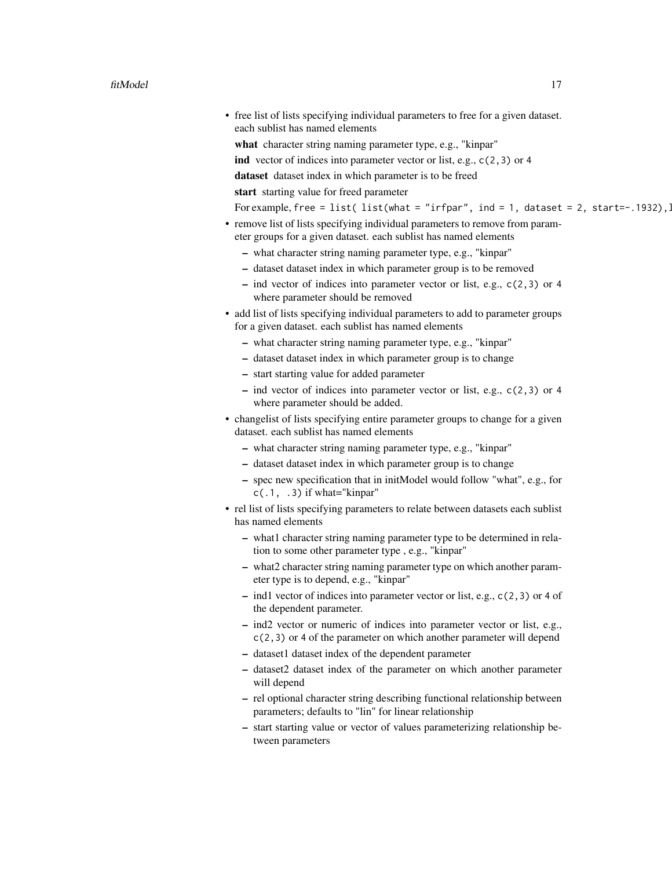- free list of lists specifying individual parameters to free for a given dataset. each sublist has named elements
	- what character string naming parameter type, e.g., "kinpar"
	- ind vector of indices into parameter vector or list, e.g., c(2,3) or 4
	- dataset dataset index in which parameter is to be freed

start starting value for freed parameter

For example, free = list( list(what = "irfpar", ind = 1, dataset = 2, start=-.1932).

- remove list of lists specifying individual parameters to remove from parameter groups for a given dataset. each sublist has named elements
	- what character string naming parameter type, e.g., "kinpar"
	- dataset dataset index in which parameter group is to be removed
	- ind vector of indices into parameter vector or list, e.g., c(2,3) or 4 where parameter should be removed
- add list of lists specifying individual parameters to add to parameter groups for a given dataset. each sublist has named elements
	- what character string naming parameter type, e.g., "kinpar"
	- dataset dataset index in which parameter group is to change
	- start starting value for added parameter
	- ind vector of indices into parameter vector or list, e.g., c(2,3) or 4 where parameter should be added.
- changelist of lists specifying entire parameter groups to change for a given dataset. each sublist has named elements
	- what character string naming parameter type, e.g., "kinpar"
	- dataset dataset index in which parameter group is to change
	- spec new specification that in initModel would follow "what", e.g., for  $c(.1, .3)$  if what="kinpar"
- rel list of lists specifying parameters to relate between datasets each sublist has named elements
	- what1 character string naming parameter type to be determined in relation to some other parameter type , e.g., "kinpar"
	- what2 character string naming parameter type on which another parameter type is to depend, e.g., "kinpar"
	- ind1 vector of indices into parameter vector or list, e.g., c(2,3) or 4 of the dependent parameter.
	- ind2 vector or numeric of indices into parameter vector or list, e.g., c(2,3) or 4 of the parameter on which another parameter will depend
	- dataset1 dataset index of the dependent parameter
	- dataset2 dataset index of the parameter on which another parameter will depend
	- rel optional character string describing functional relationship between parameters; defaults to "lin" for linear relationship
	- start starting value or vector of values parameterizing relationship between parameters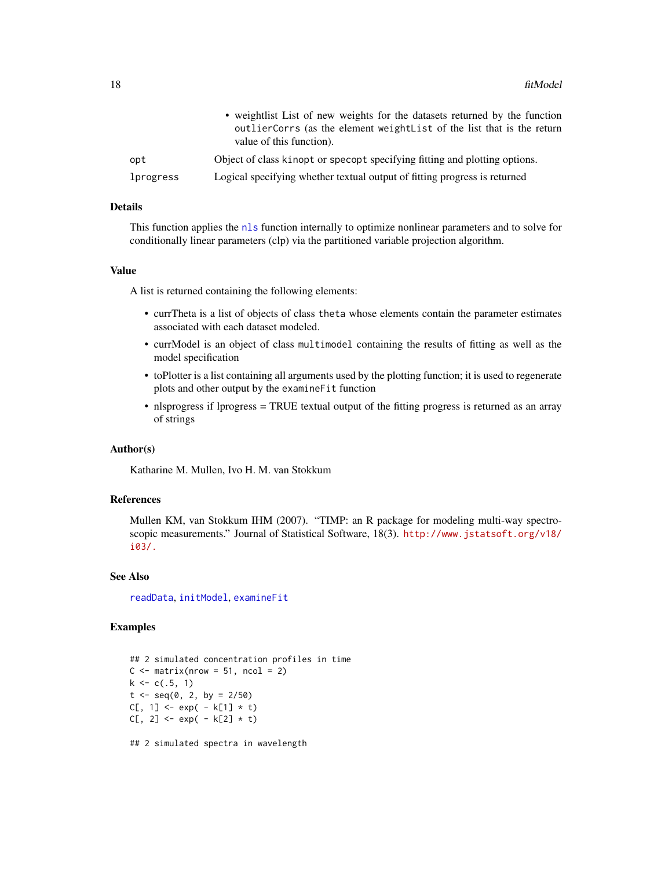<span id="page-17-0"></span>

|           | • weightlist List of new weights for the datasets returned by the function<br>outlier Corrs (as the element weight List of the list that is the return<br>value of this function). |
|-----------|------------------------------------------------------------------------------------------------------------------------------------------------------------------------------------|
| opt       | Object of class kinopt or specopt specifying fitting and plotting options.                                                                                                         |
| lprogress | Logical specifying whether textual output of fitting progress is returned                                                                                                          |

#### Details

This function applies the [nls](#page-0-0) function internally to optimize nonlinear parameters and to solve for conditionally linear parameters (clp) via the partitioned variable projection algorithm.

#### Value

A list is returned containing the following elements:

- currTheta is a list of objects of class theta whose elements contain the parameter estimates associated with each dataset modeled.
- currModel is an object of class multimodel containing the results of fitting as well as the model specification
- toPlotter is a list containing all arguments used by the plotting function; it is used to regenerate plots and other output by the examineFit function
- nlsprogress if lprogress = TRUE textual output of the fitting progress is returned as an array of strings

#### Author(s)

Katharine M. Mullen, Ivo H. M. van Stokkum

#### References

Mullen KM, van Stokkum IHM (2007). "TIMP: an R package for modeling multi-way spectroscopic measurements." Journal of Statistical Software, 18(3). [http://www.jstatsoft.org/v18/](http://www.jstatsoft.org/v18/i03/.) [i03/.](http://www.jstatsoft.org/v18/i03/.)

#### See Also

[readData](#page-56-1), [initModel](#page-28-1), [examineFit](#page-13-1)

#### Examples

```
## 2 simulated concentration profiles in time
C \leq - matrix(nrow = 51, ncol = 2)
k \leq c(.5, 1)t < - seq(0, 2, by = 2/50)
C[, 1] <- exp(-k[1] * t)C[, 2] <- exp(-k[2] * t)
```
## 2 simulated spectra in wavelength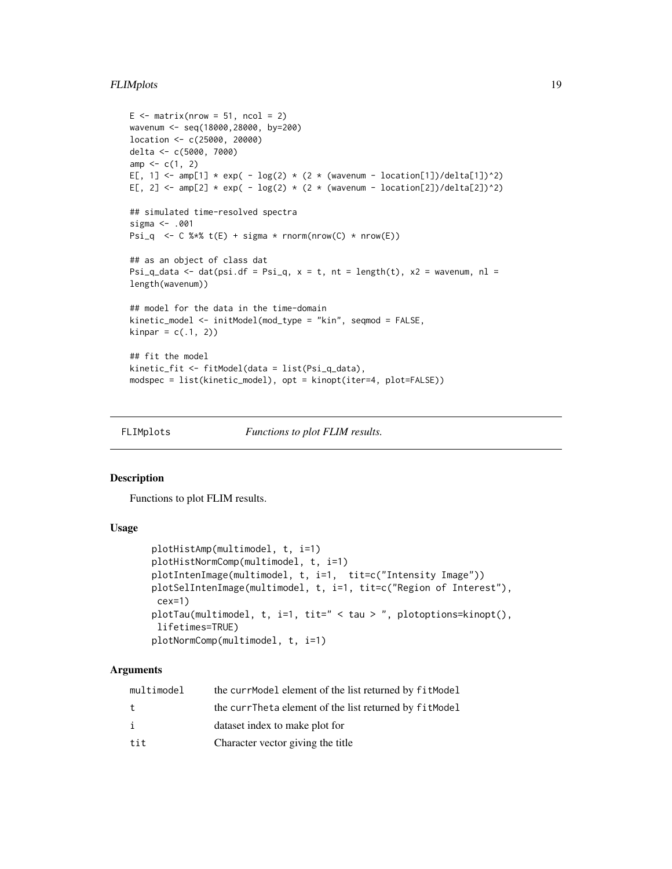#### <span id="page-18-0"></span>FLIMplots and the set of the set of the set of the set of the set of the set of the set of the set of the set of the set of the set of the set of the set of the set of the set of the set of the set of the set of the set of

```
E \le - matrix(nrow = 51, ncol = 2)
wavenum <- seq(18000,28000, by=200)
location <- c(25000, 20000)
delta <- c(5000, 7000)
amp < -c(1, 2)E[, 1] <- amp[1] * exp( - log(2) * (2 * (wavenum - location[1])/delta[1])^2)
E[, 2] <- amp[2] * exp( - log(2) * (2 * (wavenum - local[2]/del[2])^2)
## simulated time-resolved spectra
sigma <- .001
Psi_q <- C %*% t(E) + sigma * rnorm(nrow(C) * nrow(E))
## as an object of class dat
Psi_q_data <- dat(psi.df = Psi_q, x = t, nt = length(t), x2 = wavenum, nl =
length(wavenum))
## model for the data in the time-domain
kinetic_model <- initModel(mod_type = "kin", seqmod = FALSE,
kinnar = c(.1, 2))## fit the model
kinetic_fit <- fitModel(data = list(Psi_q_data),
modspec = list(kinetic_model), opt = kinopt(iter=4, plot=FALSE))
```
<span id="page-18-1"></span>

FLIMplots *Functions to plot FLIM results.*

#### Description

Functions to plot FLIM results.

#### Usage

```
plotHistAmp(multimodel, t, i=1)
plotHistNormComp(multimodel, t, i=1)
plotIntenImage(multimodel, t, i=1, tit=c("Intensity Image"))
plotSelIntenImage(multimodel, t, i=1, tit=c("Region of Interest"),
 cex=1)
plotTau(multimodel, t, i=1, tit=" < tau > ", plotoptions=kinopt(),
lifetimes=TRUE)
plotNormComp(multimodel, t, i=1)
```
#### Arguments

| multimodel | the currModel element of the list returned by fitModel |
|------------|--------------------------------------------------------|
| t.         | the currTheta element of the list returned by fitModel |
| i          | dataset index to make plot for                         |
| tit        | Character vector giving the title                      |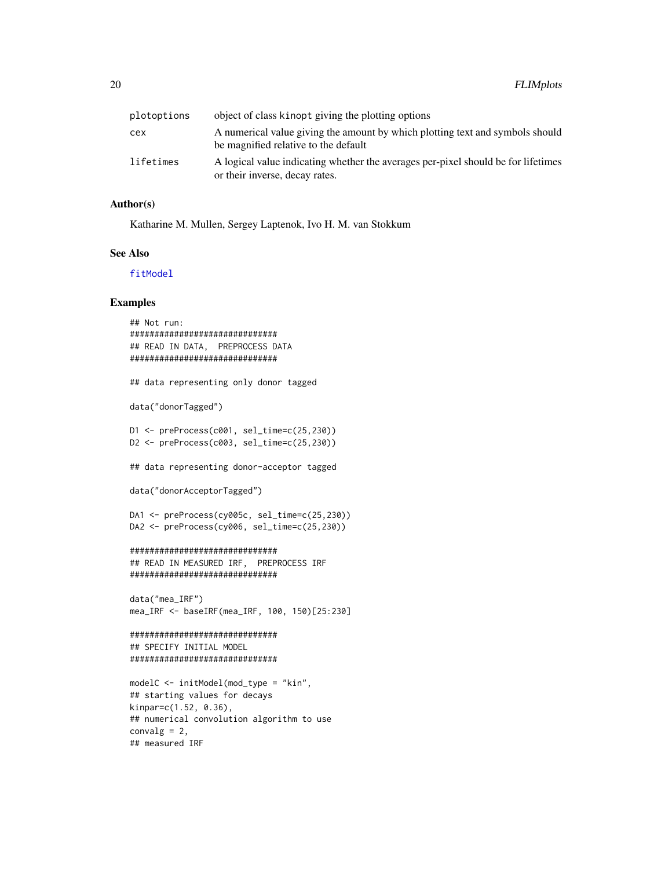<span id="page-19-0"></span>

| plotoptions | object of class kinopt giving the plotting options                                                                    |
|-------------|-----------------------------------------------------------------------------------------------------------------------|
| сех         | A numerical value giving the amount by which plotting text and symbols should<br>be magnified relative to the default |
| lifetimes   | A logical value indicating whether the averages per-pixel should be for lifetimes<br>or their inverse, decay rates.   |

#### Author(s)

Katharine M. Mullen, Sergey Laptenok, Ivo H. M. van Stokkum

#### See Also

[fitModel](#page-15-1)

#### Examples

```
## Not run:
##############################
## READ IN DATA, PREPROCESS DATA
##############################
## data representing only donor tagged
data("donorTagged")
D1 <- preProcess(c001, sel_time=c(25,230))
D2 <- preProcess(c003, sel_time=c(25,230))
## data representing donor-acceptor tagged
data("donorAcceptorTagged")
DA1 <- preProcess(cy005c, sel_time=c(25,230))
DA2 <- preProcess(cy006, sel_time=c(25,230))
##############################
## READ IN MEASURED IRF, PREPROCESS IRF
##############################
data("mea_IRF")
mea_IRF <- baseIRF(mea_IRF, 100, 150)[25:230]
##############################
## SPECIFY INITIAL MODEL
##############################
modelC <- initModel(mod_type = "kin",
## starting values for decays
kinpar=c(1.52, 0.36),
## numerical convolution algorithm to use
convalg = 2,
```
## measured IRF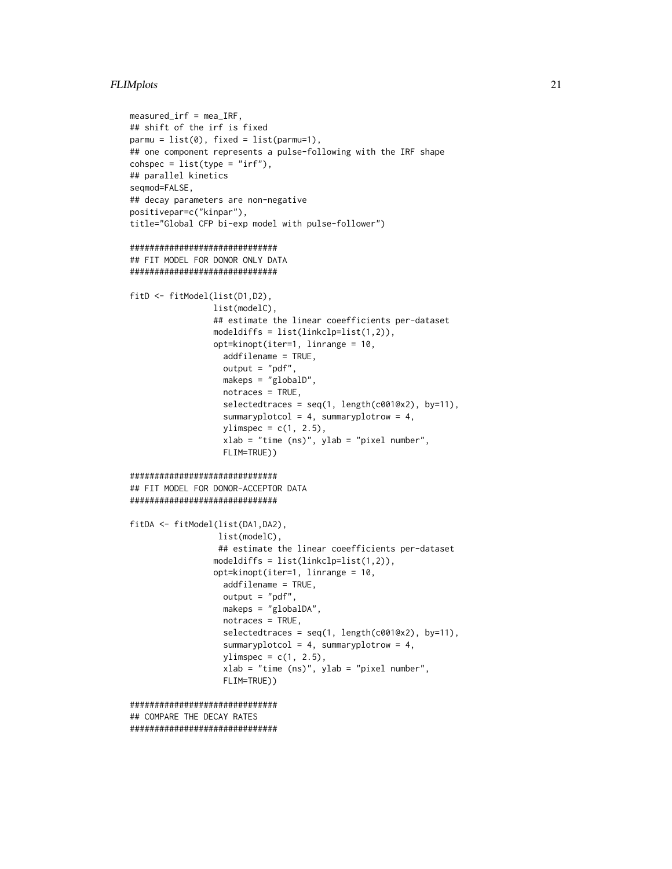#### FLIMplots 21

```
measured_irf = mea_IRF,
## shift of the irf is fixed
parmu = list(0), fixed = list(parmu=1),
## one component represents a pulse-following with the IRF shape
cosh spec = list(type = "irf"),## parallel kinetics
seqmod=FALSE,
## decay parameters are non-negative
positivepar=c("kinpar"),
title="Global CFP bi-exp model with pulse-follower")
##############################
## FIT MODEL FOR DONOR ONLY DATA
##############################
fitD <- fitModel(list(D1,D2),
                 list(modelC),
                 ## estimate the linear coeefficients per-dataset
                 modeldiffs = list(lineLp=list(1,2)),opt=kinopt(iter=1, linrange = 10,
                  addfilename = TRUE,
                   output = "pdf",makeps = "globalD",
                   notraces = TRUE,
                   selectedtraces = seq(1, length(c0010x2), by=11),summaryplotcol = 4, summaryplotrow = 4,
                   ylimspec = c(1, 2.5),
                   xlab = "time (ns)", ylab = "pixel number",
                   FLIM=TRUE))
##############################
## FIT MODEL FOR DONOR-ACCEPTOR DATA
##############################
fitDA <- fitModel(list(DA1,DA2),
                 list(modelC),
                  ## estimate the linear coeefficients per-dataset
                 modeldiffs = list(linkclp=list(1,2)),
                 opt=kinopt(iter=1, linrange = 10,
                   addfilename = TRUE,
                   output = "pdf",
                   makeps = "globalDA",
                   notraces = TRUE,
                   selectedtraces = seq(1, length(c001@x2), by=11),
                   summaryplotcol = 4, summaryplotrow = 4,
                   ylimspec = c(1, 2.5),
                   xlab = "time (ns)", ylab = "pixel number",
                   FLIM=TRUE))
##############################
## COMPARE THE DECAY RATES
##############################
```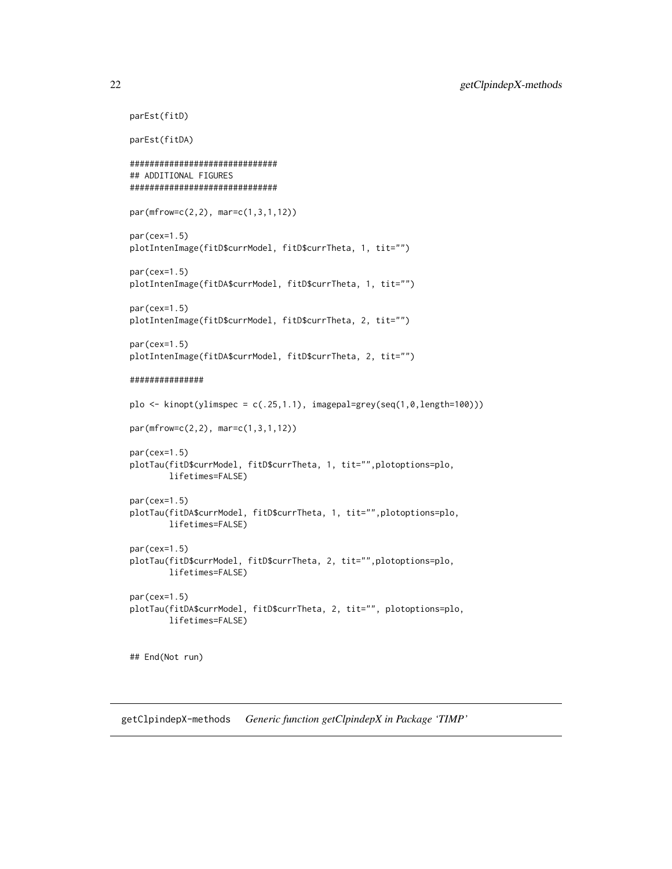```
parEst(fitD)
parEst(fitDA)
##############################
## ADDITIONAL FIGURES
##############################
par(mfrow=c(2,2), mar=c(1,3,1,12))
par(cex=1.5)
plotIntenImage(fitD$currModel, fitD$currTheta, 1, tit="")
par(cex=1.5)
plotIntenImage(fitDA$currModel, fitD$currTheta, 1, tit="")
par(cex=1.5)
plotIntenImage(fitD$currModel, fitD$currTheta, 2, tit="")
par(cex=1.5)
plotIntenImage(fitDA$currModel, fitD$currTheta, 2, tit="")
###############
plo \le kinopt(ylimspec = c(.25,1.1), imagepal=grey(seq(1,0,length=100)))
par(mfrow=c(2,2), mar=c(1,3,1,12))
par(cex=1.5)
plotTau(fitD$currModel, fitD$currTheta, 1, tit="",plotoptions=plo,
        lifetimes=FALSE)
par(cex=1.5)
plotTau(fitDA$currModel, fitD$currTheta, 1, tit="",plotoptions=plo,
        lifetimes=FALSE)
par(cex=1.5)
plotTau(fitD$currModel, fitD$currTheta, 2, tit="",plotoptions=plo,
        lifetimes=FALSE)
par(cex=1.5)
plotTau(fitDA$currModel, fitD$currTheta, 2, tit="", plotoptions=plo,
        lifetimes=FALSE)
## End(Not run)
```
getClpindepX-methods *Generic function getClpindepX in Package 'TIMP'*

<span id="page-21-0"></span>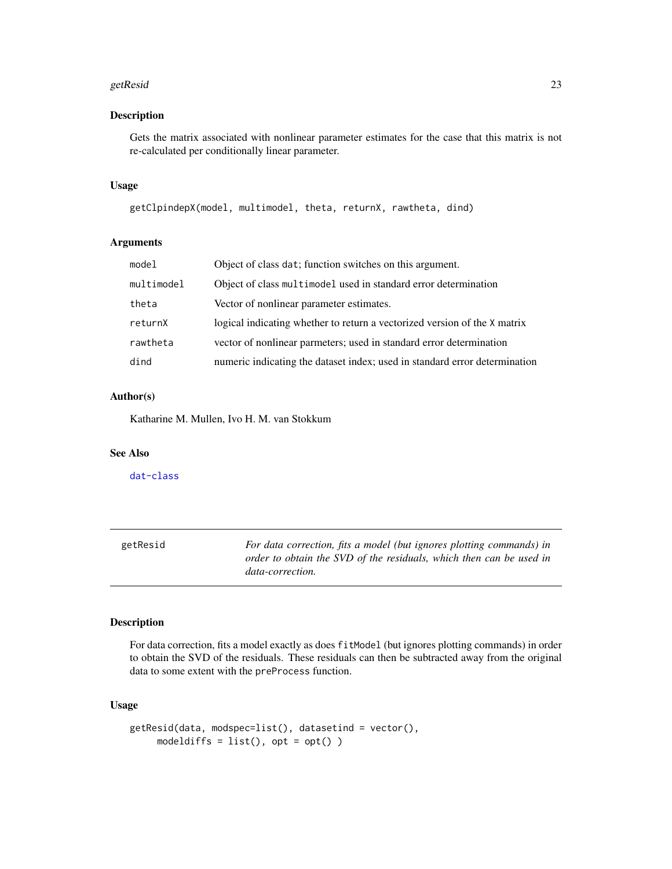#### <span id="page-22-0"></span>getResid 23

#### Description

Gets the matrix associated with nonlinear parameter estimates for the case that this matrix is not re-calculated per conditionally linear parameter.

#### Usage

getClpindepX(model, multimodel, theta, returnX, rawtheta, dind)

#### Arguments

| model      | Object of class dat; function switches on this argument.                   |
|------------|----------------------------------------------------------------------------|
| multimodel | Object of class multimodel used in standard error determination            |
| theta      | Vector of nonlinear parameter estimates.                                   |
| returnX    | logical indicating whether to return a vectorized version of the X matrix  |
| rawtheta   | vector of nonlinear parmeters; used in standard error determination        |
| dind       | numeric indicating the dataset index; used in standard error determination |

#### Author(s)

Katharine M. Mullen, Ivo H. M. van Stokkum

#### See Also

[dat-class](#page-5-2)

<span id="page-22-1"></span>

| getResid | For data correction, fits a model (but ignores plotting commands) in |
|----------|----------------------------------------------------------------------|
|          | order to obtain the SVD of the residuals, which then can be used in  |
|          | data-correction.                                                     |

#### Description

For data correction, fits a model exactly as does fitModel (but ignores plotting commands) in order to obtain the SVD of the residuals. These residuals can then be subtracted away from the original data to some extent with the preProcess function.

#### Usage

```
getResid(data, modspec=list(), datasetind = vector(),
     modeldiffs = list(), opt = opt())
```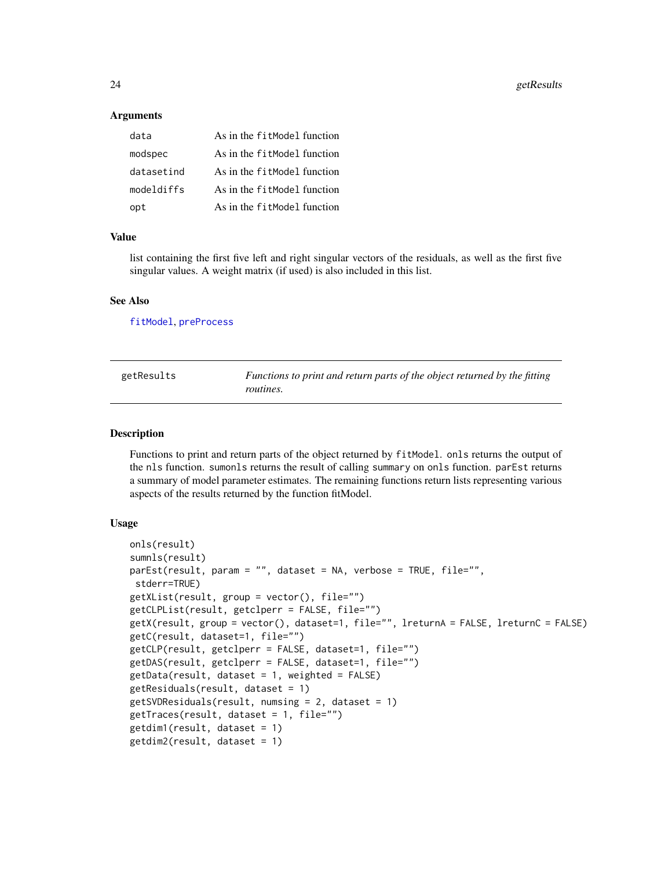<span id="page-23-0"></span>24 getResults

#### **Arguments**

| data       | As in the fitModel function |
|------------|-----------------------------|
| modspec    | As in the fitModel function |
| datasetind | As in the fitModel function |
| modeldiffs | As in the fitModel function |
| opt        | As in the fitModel function |

#### Value

list containing the first five left and right singular vectors of the residuals, as well as the first five singular values. A weight matrix (if used) is also included in this list.

#### See Also

[fitModel](#page-15-1), [preProcess](#page-51-1)

| getResults | Functions to print and return parts of the object returned by the fitting |
|------------|---------------------------------------------------------------------------|
|            | routines.                                                                 |

#### **Description**

Functions to print and return parts of the object returned by fitModel. onls returns the output of the nls function. sumonls returns the result of calling summary on onls function. parEst returns a summary of model parameter estimates. The remaining functions return lists representing various aspects of the results returned by the function fitModel.

#### Usage

```
onls(result)
sumnls(result)
parEst(result, param = "", dataset = NA, verbose = TRUE, file="",
stderr=TRUE)
getXList(result, group = vector(), file="")
getCLPList(result, getclperr = FALSE, file="")
getX(result, group = vector(), dataset=1, file="", lreturnA = FALSE, lreturnC = FALSE)
getC(result, dataset=1, file="")
getCLP(result, getclperr = FALSE, dataset=1, file="")
getDAS(result, getclperr = FALSE, dataset=1, file="")
getData(result, dataset = 1, weighted = FALSE)
getResiduals(result, dataset = 1)
getSVDResiduals(result, numsing = 2, dataset = 1)
getTraces(result, dataset = 1, file="")
getdim1(result, dataset = 1)
getdim2(result, dataset = 1)
```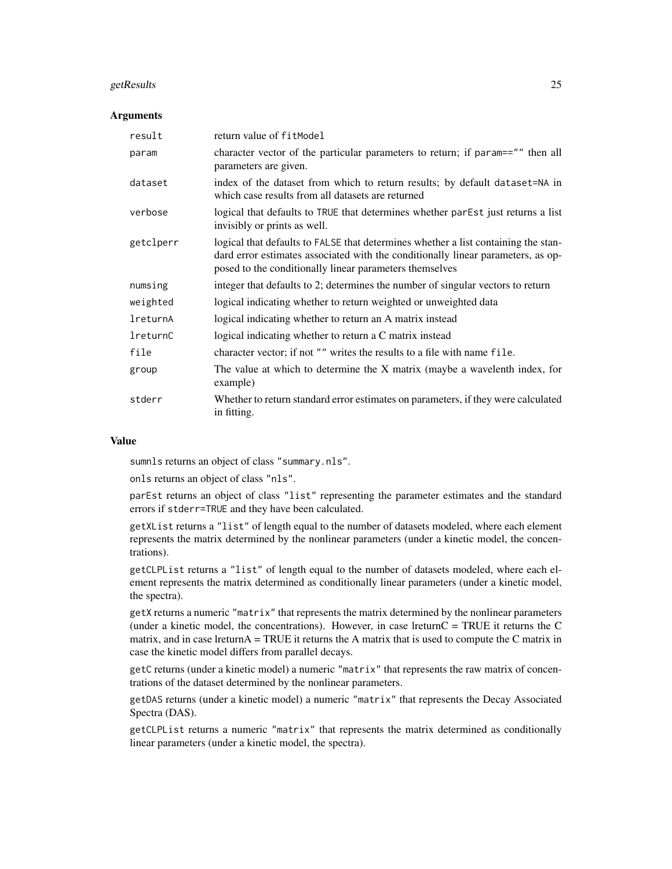#### getResults 25

#### **Arguments**

| result    | return value of fitModel                                                                                                                                                                                                          |
|-----------|-----------------------------------------------------------------------------------------------------------------------------------------------------------------------------------------------------------------------------------|
| param     | character vector of the particular parameters to return; if param=="" then all<br>parameters are given.                                                                                                                           |
| dataset   | index of the dataset from which to return results; by default dataset=NA in<br>which case results from all datasets are returned                                                                                                  |
| verbose   | logical that defaults to TRUE that determines whether parEst just returns a list<br>invisibly or prints as well.                                                                                                                  |
| getclperr | logical that defaults to FALSE that determines whether a list containing the stan-<br>dard error estimates associated with the conditionally linear parameters, as op-<br>posed to the conditionally linear parameters themselves |
| numsing   | integer that defaults to 2; determines the number of singular vectors to return                                                                                                                                                   |
| weighted  | logical indicating whether to return weighted or unweighted data                                                                                                                                                                  |
| lreturnA  | logical indicating whether to return an A matrix instead                                                                                                                                                                          |
| lreturnC  | logical indicating whether to return a C matrix instead                                                                                                                                                                           |
| file      | character vector; if not "" writes the results to a file with name file.                                                                                                                                                          |
| group     | The value at which to determine the X matrix (maybe a wavelenth index, for<br>example)                                                                                                                                            |
| stderr    | Whether to return standard error estimates on parameters, if they were calculated<br>in fitting.                                                                                                                                  |

#### Value

sumnls returns an object of class "summary.nls".

onls returns an object of class "nls".

parEst returns an object of class "list" representing the parameter estimates and the standard errors if stderr=TRUE and they have been calculated.

getXList returns a "list" of length equal to the number of datasets modeled, where each element represents the matrix determined by the nonlinear parameters (under a kinetic model, the concentrations).

getCLPList returns a "list" of length equal to the number of datasets modeled, where each element represents the matrix determined as conditionally linear parameters (under a kinetic model, the spectra).

getX returns a numeric "matrix" that represents the matrix determined by the nonlinear parameters (under a kinetic model, the concentrations). However, in case lreturn $C = TRUE$  it returns the C matrix, and in case lreturnA = TRUE it returns the A matrix that is used to compute the C matrix in case the kinetic model differs from parallel decays.

getC returns (under a kinetic model) a numeric "matrix" that represents the raw matrix of concentrations of the dataset determined by the nonlinear parameters.

getDAS returns (under a kinetic model) a numeric "matrix" that represents the Decay Associated Spectra (DAS).

getCLPList returns a numeric "matrix" that represents the matrix determined as conditionally linear parameters (under a kinetic model, the spectra).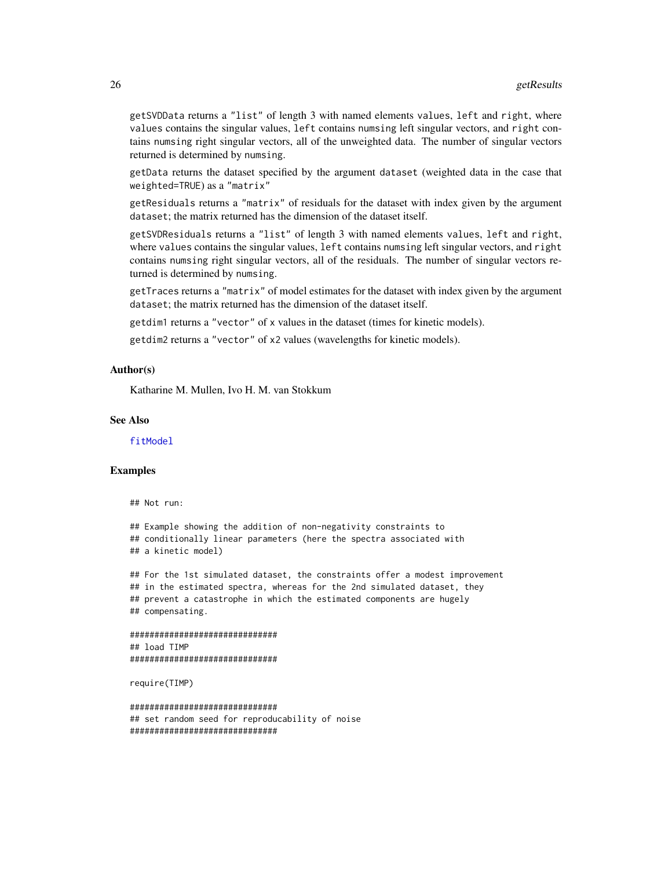<span id="page-25-0"></span>getSVDData returns a "list" of length 3 with named elements values, left and right, where values contains the singular values, left contains numsing left singular vectors, and right contains numsing right singular vectors, all of the unweighted data. The number of singular vectors returned is determined by numsing.

getData returns the dataset specified by the argument dataset (weighted data in the case that weighted=TRUE) as a "matrix"

getResiduals returns a "matrix" of residuals for the dataset with index given by the argument dataset; the matrix returned has the dimension of the dataset itself.

getSVDResiduals returns a "list" of length 3 with named elements values, left and right, where values contains the singular values, left contains numsing left singular vectors, and right contains numsing right singular vectors, all of the residuals. The number of singular vectors returned is determined by numsing.

getTraces returns a "matrix" of model estimates for the dataset with index given by the argument dataset; the matrix returned has the dimension of the dataset itself.

getdim1 returns a "vector" of x values in the dataset (times for kinetic models).

getdim2 returns a "vector" of x2 values (wavelengths for kinetic models).

#### Author(s)

Katharine M. Mullen, Ivo H. M. van Stokkum

#### See Also

[fitModel](#page-15-1)

#### Examples

```
## Not run:
```

```
## Example showing the addition of non-negativity constraints to
## conditionally linear parameters (here the spectra associated with
## a kinetic model)
```
## For the 1st simulated dataset, the constraints offer a modest improvement ## in the estimated spectra, whereas for the 2nd simulated dataset, they ## prevent a catastrophe in which the estimated components are hugely ## compensating.

```
##############################
## load TIMP
##############################
```
require(TIMP)

```
##############################
## set random seed for reproducability of noise
##############################
```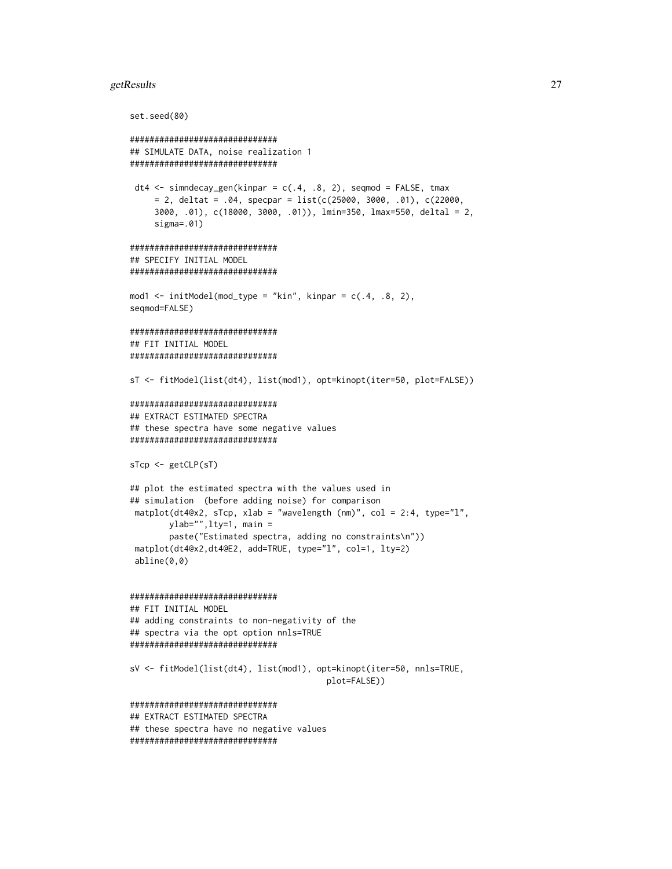#### getResults 27

set.seed(80)

```
##############################
## SIMULATE DATA, noise realization 1
##############################
dt4 <- simndecay_gen(kinpar = c(.4, .8, 2), seqmod = FALSE, tmax
     = 2, deltat = .04, specpar = list(c(25000, 3000, .01), c(22000,
     3000, .01), c(18000, 3000, .01)), lmin=350, lmax=550, deltal = 2,
     sigma=.01)
##############################
## SPECIFY INITIAL MODEL
##############################
mod1 <- initModel(mod_type = "kin", kinpar = c(.4, .8, 2),
seqmod=FALSE)
##############################
## FIT INITIAL MODEL
##############################
sT <- fitModel(list(dt4), list(mod1), opt=kinopt(iter=50, plot=FALSE))
##############################
## EXTRACT ESTIMATED SPECTRA
## these spectra have some negative values
##############################
sTcp <- getCLP(sT)
## plot the estimated spectra with the values used in
## simulation (before adding noise) for comparison
matplot(dt4@x2, sTcp, xlab = "wavelength (nm)", col = 2:4, type="l",
       ylab="",lty=1, main =
       paste("Estimated spectra, adding no constraints\n"))
matplot(dt4@x2,dt4@E2, add=TRUE, type="l", col=1, lty=2)
 abline(0,0)
##############################
## FIT INITIAL MODEL
## adding constraints to non-negativity of the
## spectra via the opt option nnls=TRUE
##############################
sV <- fitModel(list(dt4), list(mod1), opt=kinopt(iter=50, nnls=TRUE,
                                        plot=FALSE))
##############################
## EXTRACT ESTIMATED SPECTRA
## these spectra have no negative values
##############################
```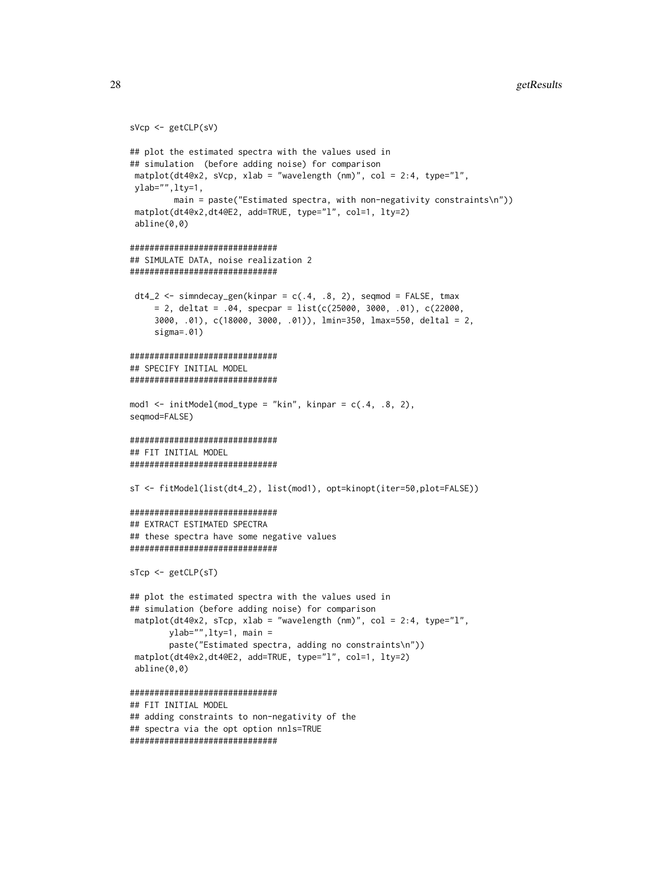```
sVcp <- getCLP(sV)
## plot the estimated spectra with the values used in
## simulation (before adding noise) for comparison
matplot(dt4@x2, sVcp, xlab = "wavelength (nm)", col = 2:4, type="l",
ylab="",lty=1,
        main = paste("Estimated spectra, with non-negativity constraints\n"))
matplot(dt4@x2,dt4@E2, add=TRUE, type="l", col=1, lty=2)
abline(0,0)
##############################
## SIMULATE DATA, noise realization 2
##############################
dt4_2 < - simndecay_gen(kinpar = c(.4, .8, 2), seqmod = FALSE, tmax
     = 2, deltat = .04, specpar = list(c(25000, 3000, .01), c(22000,
     3000, .01), c(18000, 3000, .01)), lmin=350, lmax=550, deltal = 2,
     sigma=.01)
##############################
## SPECIFY INITIAL MODEL
##############################
mod1 <- initModel(mod_type = "kin", kinpar = c(.4, .8, 2),
seqmod=FALSE)
##############################
## FIT INITIAL MODEL
##############################
sT <- fitModel(list(dt4_2), list(mod1), opt=kinopt(iter=50,plot=FALSE))
##############################
## EXTRACT ESTIMATED SPECTRA
## these spectra have some negative values
##############################
sTcp <- getCLP(sT)
## plot the estimated spectra with the values used in
## simulation (before adding noise) for comparison
matplot(dt4@x2, sTcp, xlab = "wavelength (nm)", col = 2:4, type="l",
       ylab="",lty=1, main =
       paste("Estimated spectra, adding no constraints\n"))
matplot(dt4@x2,dt4@E2, add=TRUE, type="l", col=1, lty=2)
abline(0,0)
##############################
## FIT INITIAL MODEL
## adding constraints to non-negativity of the
## spectra via the opt option nnls=TRUE
##############################
```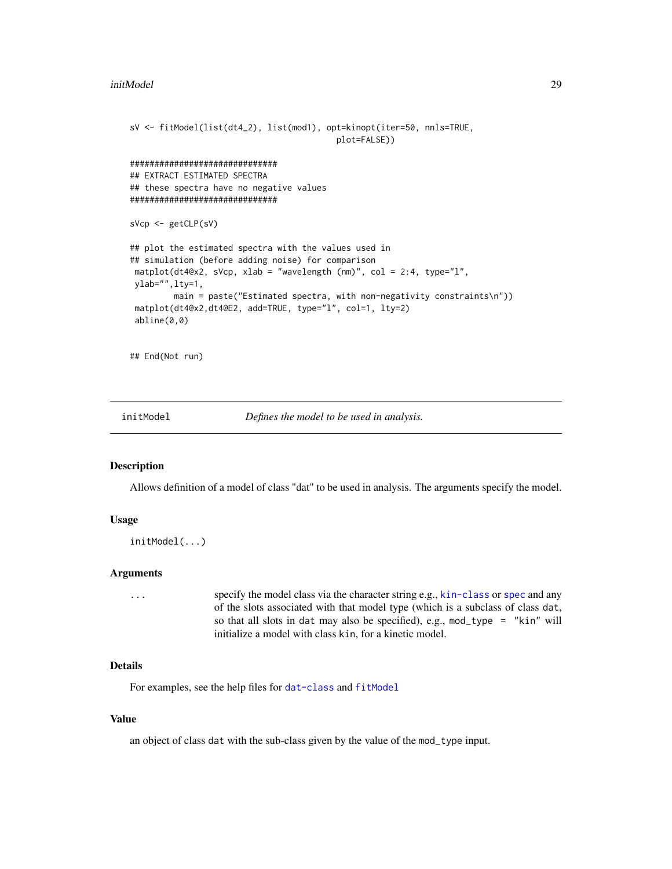```
sV <- fitModel(list(dt4_2), list(mod1), opt=kinopt(iter=50, nnls=TRUE,
                                          plot=FALSE))
##############################
## EXTRACT ESTIMATED SPECTRA
## these spectra have no negative values
##############################
sVcp <- getCLP(sV)
## plot the estimated spectra with the values used in
## simulation (before adding noise) for comparison
matplot(dt4@x2, sVcp, xlab = "wavelength (nm)", col = 2:4, type="l",
ylab="",lty=1,
        main = paste("Estimated spectra, with non-negativity constraints\n"))
matplot(dt4@x2,dt4@E2, add=TRUE, type="l", col=1, lty=2)
abline(0,0)
```
## End(Not run)

<span id="page-28-1"></span>initModel *Defines the model to be used in analysis.*

#### Description

Allows definition of a model of class "dat" to be used in analysis. The arguments specify the model.

#### Usage

```
initModel(...)
```
#### Arguments

... specify the model class via the character string e.g., [kin-class](#page-31-1) or [spec](#page-59-2) and any of the slots associated with that model type (which is a subclass of class dat, so that all slots in dat may also be specified), e.g., mod\_type = "kin" will initialize a model with class kin, for a kinetic model.

#### Details

For examples, see the help files for [dat-class](#page-5-2) and [fitModel](#page-15-1)

#### Value

an object of class dat with the sub-class given by the value of the mod\_type input.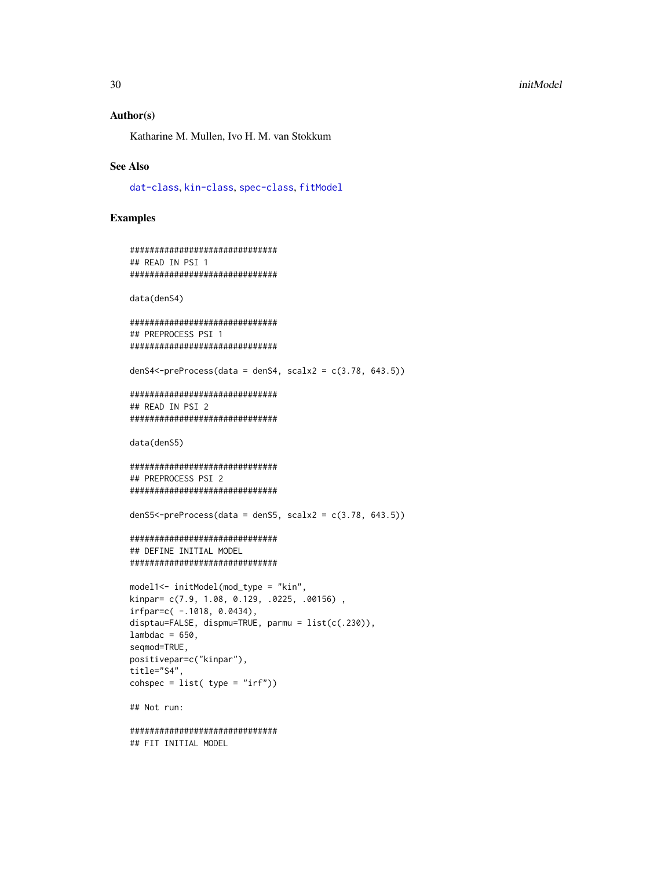#### <span id="page-29-0"></span>Author(s)

Katharine M. Mullen, Ivo H. M. van Stokkum

#### See Also

[dat-class](#page-5-2), [kin-class](#page-31-1), [spec-class](#page-59-1), [fitModel](#page-15-1)

#### Examples

```
##############################
## READ IN PSI 1
##############################
```
data(denS4)

```
##############################
## PREPROCESS PSI 1
##############################
```
denS4<-preProcess(data = denS4, scalx2 =  $c(3.78, 643.5)$ )

```
##############################
## READ IN PSI 2
##############################
```
data(denS5)

```
##############################
## PREPROCESS PSI 2
##############################
```
denS5<-preProcess(data = denS5, scalx2 =  $c(3.78, 643.5)$ )

#### ############################## ## DEFINE INITIAL MODEL ##############################

```
model1<- initModel(mod_type = "kin",
kinpar= c(7.9, 1.08, 0.129, .0225, .00156) ,
irfpar=c(-.1018, 0.0434),disptau=FALSE, dispmu=TRUE, parmu = list(c(.230)),
lambdac = 650,
seqmod=TRUE,
positivepar=c("kinpar"),
title="S4",
cosh spec = list(ftype = "irf"))
```
## Not run:

############################## ## FIT INITIAL MODEL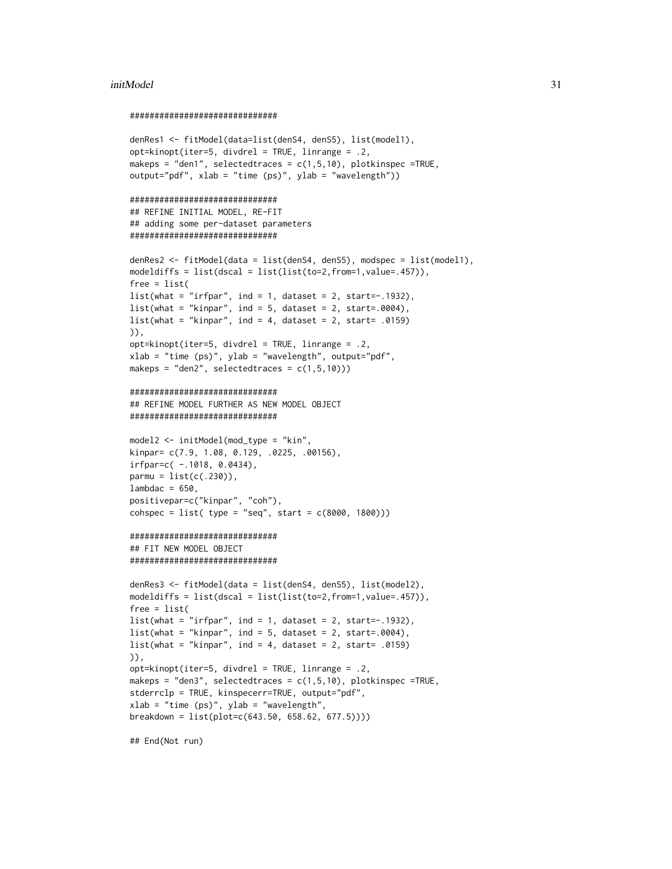#### initModel 31

#### ##############################

```
denRes1 <- fitModel(data=list(denS4, denS5), list(model1),
opt=kinopt(iter=5, divdrel = TRUE, linrange = .2,
makeps = "den1", selectedtraces = c(1,5,10), plotkinspec =TRUE,
output="pdf", xlab = "time (ps)", ylab = "wavelength"))
##############################
## REFINE INITIAL MODEL, RE-FIT
## adding some per-dataset parameters
##############################
denRes2 <- fitModel(data = list(denS4, denS5), modspec = list(model1),
modeldiffs = list(dscal = list(list(to=2, from=1, value=.457)),free = list(
list(what = "irfpar", ind = 1, dataset = 2, start=-.1932),list(what = "kinpar", ind = 5, dataset = 2, start=.0004),list(what = "kinpar", ind = 4, dataset = 2, start= .0159)
)),
opt=kinopt(iter=5, divdrel = TRUE, linrange = .2,
xlab = "time (ps)", ylab = "wavelength", output='pdf",makeps = "den2", selectedtraces = c(1,5,10)))
##############################
## REFINE MODEL FURTHER AS NEW MODEL OBJECT
##############################
model2 <- initModel(mod_type = "kin",
kinpar= c(7.9, 1.08, 0.129, .0225, .00156),
irfpar=c( -.1018, 0.0434),
param = list(c(.230)),lambdac = 650,
positivepar=c("kinpar", "coh"),
cosh spec = list( type = "seq", start = c(8000, 1800)))##############################
## FIT NEW MODEL OBJECT
##############################
denRes3 <- fitModel(data = list(denS4, denS5), list(model2),
modeldiffs = list(dscal = list(list(to=2, from=1, value=.457)),free = list(
list(\text{what} = "irfpar", ind = 1, dataset = 2, start=-.1932),list(\text{what} = "kinpar", ind = 5, dataset = 2, start=.0004),list(what = "kinpar", ind = 4, dataset = 2, start = .0159))),
opt=kinopt(iter=5, divdrel = TRUE, linrange = .2,
makeps = "den3", selectedtraces = c(1,5,10), plotkinspec =TRUE,
stderrclp = TRUE, kinspecerr=TRUE, output="pdf",
xlab = "time (ps)", ylab = "wavelength",breakdown = list(plot=c(643.50, 658.62, 677.5))))
```
## End(Not run)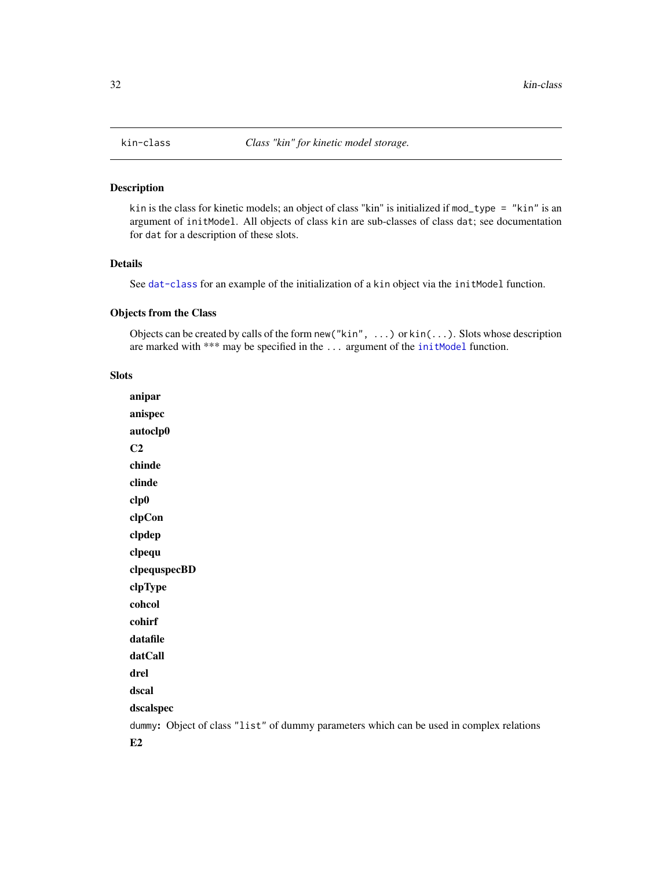<span id="page-31-1"></span><span id="page-31-0"></span>

#### Description

kin is the class for kinetic models; an object of class "kin" is initialized if mod\_type = "kin" is an argument of initModel. All objects of class kin are sub-classes of class dat; see documentation for dat for a description of these slots.

#### Details

See [dat-class](#page-5-2) for an example of the initialization of a kin object via the initModel function.

#### Objects from the Class

Objects can be created by calls of the form new("kin", ...) or kin(...). Slots whose description are marked with \*\*\* may be specified in the ... argument of the [initModel](#page-28-1) function.

#### Slots

anipar anispec autoclp0  $C<sub>2</sub>$ chinde clinde clp0 clpCon clpdep clpequ clpequspecBD clpType cohcol cohirf datafile datCall drel dscal dscalspec dummy: Object of class "list" of dummy parameters which can be used in complex relations E2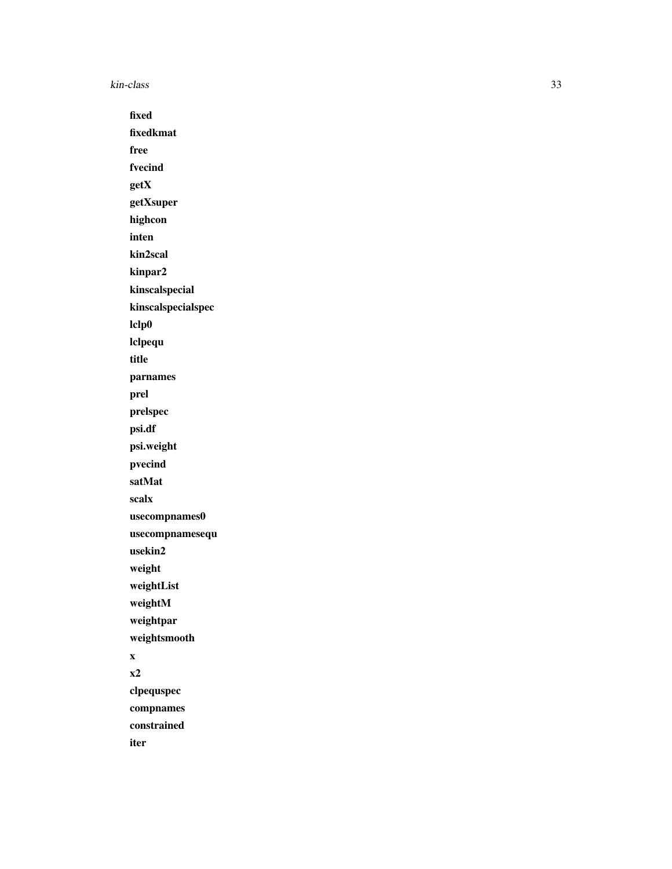kin-class 33

fixed fixedkmat free fvecind getX getXsuper highcon inten kin2scal kinpar2 kinscalspecial kinscalspecialspec lclp0 lclpequ title parnames prel prelspec psi.df psi.weight pvecind satMat scalx usecompnames0 usecompnamesequ usekin2 weight weightList weightM weightpar weightsmooth x x2 clpequspec compnames constrained

iter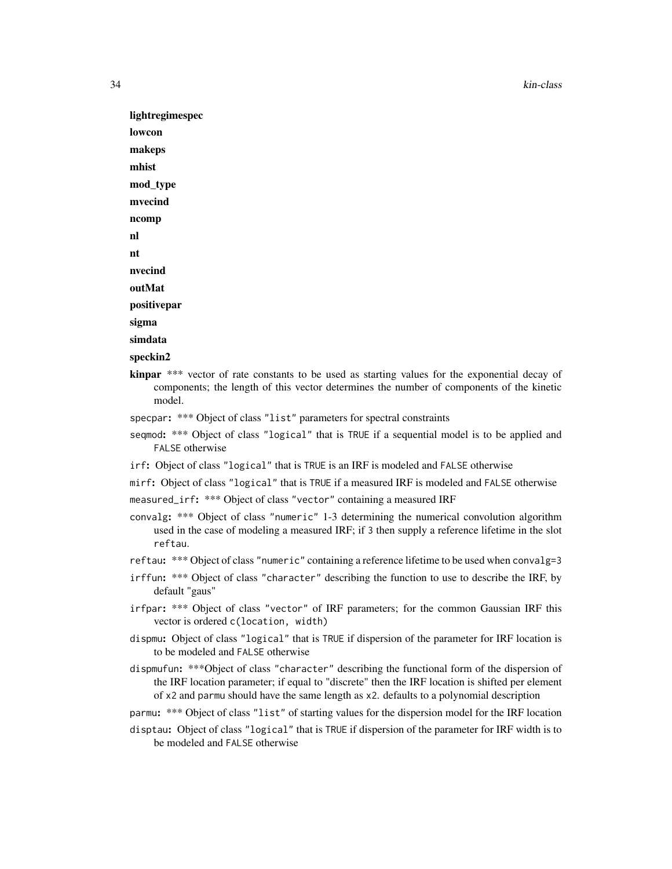34 kin-class

lightregimespec lowcon makeps mhist mod\_type mvecind ncomp nl nt nvecind outMat positivepar sigma simdata

- speckin2
- kinpar \*\*\* vector of rate constants to be used as starting values for the exponential decay of components; the length of this vector determines the number of components of the kinetic model.
- specpar: \*\*\* Object of class "list" parameters for spectral constraints
- seqmod: \*\*\* Object of class "logical" that is TRUE if a sequential model is to be applied and FALSE otherwise
- irf: Object of class "logical" that is TRUE is an IRF is modeled and FALSE otherwise
- mirf: Object of class "logical" that is TRUE if a measured IRF is modeled and FALSE otherwise

measured\_irf: \*\*\* Object of class "vector" containing a measured IRF

- convalg: \*\*\* Object of class "numeric" 1-3 determining the numerical convolution algorithm used in the case of modeling a measured IRF; if 3 then supply a reference lifetime in the slot reftau.
- reftau: \*\*\* Object of class "numeric" containing a reference lifetime to be used when convalg=3
- irffun: \*\*\* Object of class "character" describing the function to use to describe the IRF, by default "gaus"
- irfpar: \*\*\* Object of class "vector" of IRF parameters; for the common Gaussian IRF this vector is ordered c(location, width)
- dispmu: Object of class "logical" that is TRUE if dispersion of the parameter for IRF location is to be modeled and FALSE otherwise
- dispmufun: \*\*\*Object of class "character" describing the functional form of the dispersion of the IRF location parameter; if equal to "discrete" then the IRF location is shifted per element of x2 and parmu should have the same length as x2. defaults to a polynomial description
- parmu: \*\*\* Object of class "list" of starting values for the dispersion model for the IRF location
- disptau: Object of class "logical" that is TRUE if dispersion of the parameter for IRF width is to be modeled and FALSE otherwise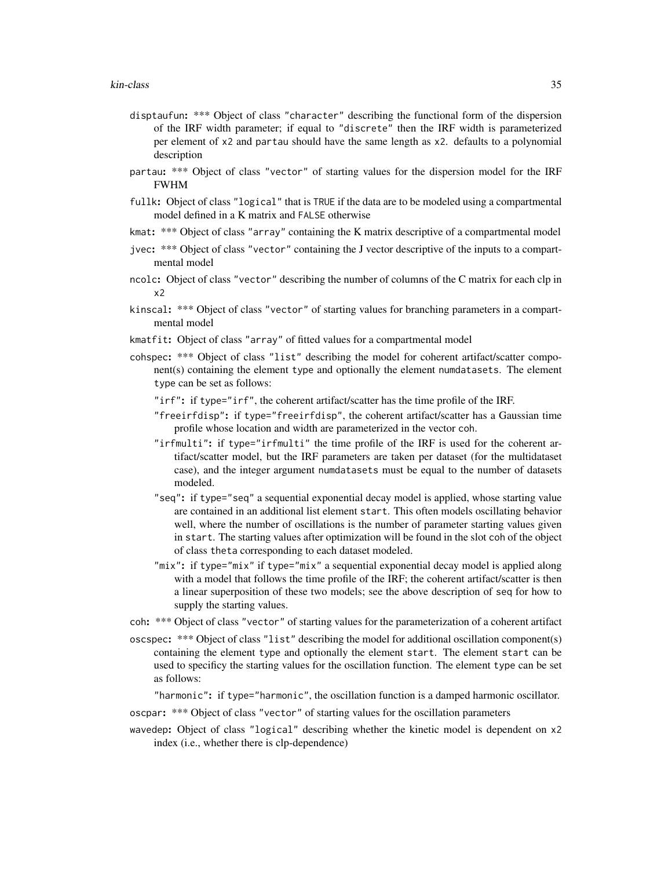- disptaufun: \*\*\* Object of class "character" describing the functional form of the dispersion of the IRF width parameter; if equal to "discrete" then the IRF width is parameterized per element of x2 and partau should have the same length as x2. defaults to a polynomial description
- partau: \*\*\* Object of class "vector" of starting values for the dispersion model for the IRF FWHM
- fullk: Object of class "logical" that is TRUE if the data are to be modeled using a compartmental model defined in a K matrix and FALSE otherwise
- kmat: \*\*\* Object of class "array" containing the K matrix descriptive of a compartmental model
- jvec: \*\*\* Object of class "vector" containing the J vector descriptive of the inputs to a compartmental model
- ncolc: Object of class "vector" describing the number of columns of the C matrix for each clp in x2
- kinscal: \*\*\* Object of class "vector" of starting values for branching parameters in a compartmental model
- kmatfit: Object of class "array" of fitted values for a compartmental model
- cohspec: \*\*\* Object of class "list" describing the model for coherent artifact/scatter component(s) containing the element type and optionally the element numdatasets. The element type can be set as follows:
	- "irf": if type="irf", the coherent artifact/scatter has the time profile of the IRF.
	- "freeirfdisp": if type="freeirfdisp", the coherent artifact/scatter has a Gaussian time profile whose location and width are parameterized in the vector coh.
	- "irfmulti": if type="irfmulti" the time profile of the IRF is used for the coherent artifact/scatter model, but the IRF parameters are taken per dataset (for the multidataset case), and the integer argument numdatasets must be equal to the number of datasets modeled.
	- "seq": if type="seq" a sequential exponential decay model is applied, whose starting value are contained in an additional list element start. This often models oscillating behavior well, where the number of oscillations is the number of parameter starting values given in start. The starting values after optimization will be found in the slot coh of the object of class theta corresponding to each dataset modeled.
	- "mix": if type="mix" if type="mix" a sequential exponential decay model is applied along with a model that follows the time profile of the IRF; the coherent artifact/scatter is then a linear superposition of these two models; see the above description of seq for how to supply the starting values.
- coh: \*\*\* Object of class "vector" of starting values for the parameterization of a coherent artifact
- oscspec: \*\*\* Object of class "list" describing the model for additional oscillation component(s) containing the element type and optionally the element start. The element start can be used to specificy the starting values for the oscillation function. The element type can be set as follows:

"harmonic": if type="harmonic", the oscillation function is a damped harmonic oscillator.

- oscpar: \*\*\* Object of class "vector" of starting values for the oscillation parameters
- wavedep: Object of class "logical" describing whether the kinetic model is dependent on x2 index (i.e., whether there is clp-dependence)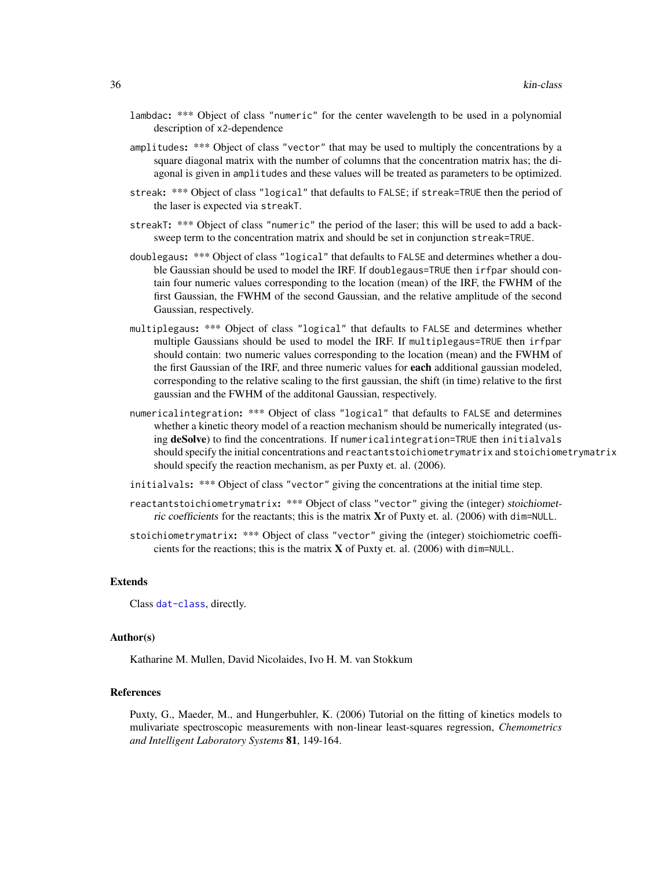- lambdac: \*\*\* Object of class "numeric" for the center wavelength to be used in a polynomial description of x2-dependence
- amplitudes: \*\*\* Object of class "vector" that may be used to multiply the concentrations by a square diagonal matrix with the number of columns that the concentration matrix has; the diagonal is given in amplitudes and these values will be treated as parameters to be optimized.
- streak: \*\*\* Object of class "logical" that defaults to FALSE; if streak=TRUE then the period of the laser is expected via streakT.
- streakT: \*\*\* Object of class "numeric" the period of the laser; this will be used to add a backsweep term to the concentration matrix and should be set in conjunction streak=TRUE.
- doublegaus: \*\*\* Object of class "logical" that defaults to FALSE and determines whether a double Gaussian should be used to model the IRF. If doublegaus=TRUE then irfpar should contain four numeric values corresponding to the location (mean) of the IRF, the FWHM of the first Gaussian, the FWHM of the second Gaussian, and the relative amplitude of the second Gaussian, respectively.
- multiplegaus: \*\*\* Object of class "logical" that defaults to FALSE and determines whether multiple Gaussians should be used to model the IRF. If multiplegaus=TRUE then irfpar should contain: two numeric values corresponding to the location (mean) and the FWHM of the first Gaussian of the IRF, and three numeric values for **each** additional gaussian modeled, corresponding to the relative scaling to the first gaussian, the shift (in time) relative to the first gaussian and the FWHM of the additonal Gaussian, respectively.
- numericalintegration: \*\*\* Object of class "logical" that defaults to FALSE and determines whether a kinetic theory model of a reaction mechanism should be numerically integrated (using deSolve) to find the concentrations. If numerical integration=TRUE then initialvals should specify the initial concentrations and reactantstoichiometrymatrix and stoichiometrymatrix should specify the reaction mechanism, as per Puxty et. al. (2006).
- initialvals: \*\*\* Object of class "vector" giving the concentrations at the initial time step.
- reactantstoichiometrymatrix: \*\*\* Object of class "vector" giving the (integer) stoichiometric coefficients for the reactants; this is the matrix Xr of Puxty et. al. (2006) with dim=NULL.
- stoichiometrymatrix: \*\*\* Object of class "vector" giving the (integer) stoichiometric coefficients for the reactions; this is the matrix X of Puxty et. al. (2006) with dim=NULL.

#### Extends

Class [dat-class](#page-5-2), directly.

#### Author(s)

Katharine M. Mullen, David Nicolaides, Ivo H. M. van Stokkum

#### References

Puxty, G., Maeder, M., and Hungerbuhler, K. (2006) Tutorial on the fitting of kinetics models to mulivariate spectroscopic measurements with non-linear least-squares regression, *Chemometrics and Intelligent Laboratory Systems* 81, 149-164.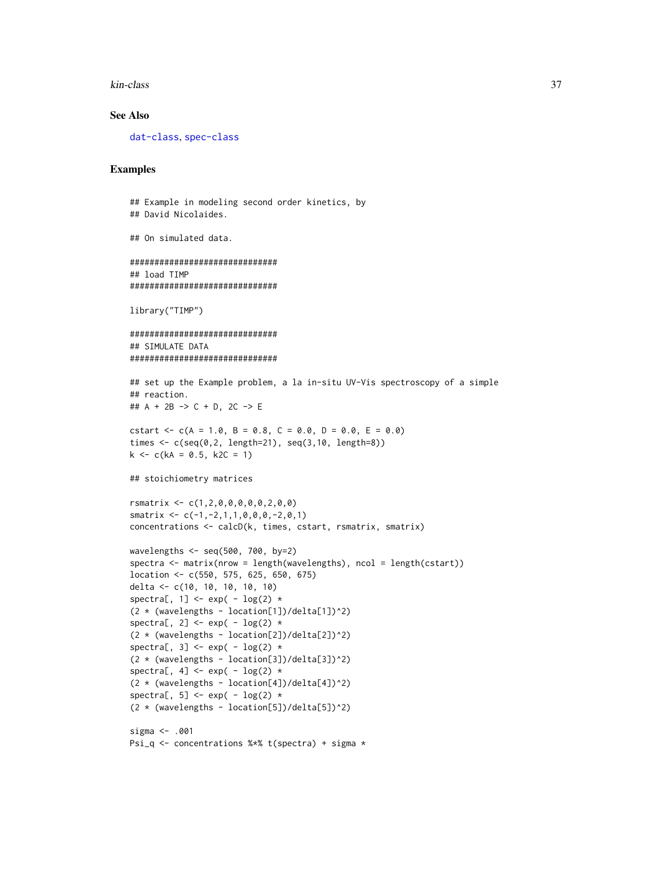kin-class 37

#### See Also

[dat-class](#page-5-2), [spec-class](#page-59-1)

#### Examples

```
## Example in modeling second order kinetics, by
## David Nicolaides.
## On simulated data.
##############################
## load TIMP
##############################
library("TIMP")
##############################
## SIMULATE DATA
##############################
## set up the Example problem, a la in-situ UV-Vis spectroscopy of a simple
## reaction.
## A + 2B -> C + D, 2C -> E
cstart <- c(A = 1.0, B = 0.8, C = 0.0, D = 0.0, E = 0.0)
times \leq c(\text{seq}(0, 2, \text{length}=21), \text{seq}(3, 10, \text{length}=8))k \le -c(kA = 0.5, k2C = 1)## stoichiometry matrices
rsmatrix <- c(1,2,0,0,0,0,0,2,0,0)
smatrix \leq c(-1, -2, 1, 1, 0, 0, 0, -2, 0, 1)concentrations <- calcD(k, times, cstart, rsmatrix, smatrix)
wavelengths \leq seq(500, 700, by=2)
spectra <- matrix(nrow = length(wavelengths), ncol = length(cstart))
location <- c(550, 575, 625, 650, 675)
delta <- c(10, 10, 10, 10, 10)
spectra[, 1] <- exp( - \log(2) *
(2 * (wavelengths - location[1])/delta[1])^2)spectra[, 2] <- exp(-log(2) *(2 * (wavelengths - location[2])/delta[2])^2)
spectra[, 3] <- exp( - \log(2) *
(2 * (wavelengths - location[3])/delta[3])^2)
spectra[, 4] <- exp( - \log(2) *
(2 * (wavelengths - location[4])/delta[4])^2)spectra[, 5] <- exp( - \log(2) *
(2 * (wavelengths - location[5])/delta[5])^2)
sigma <- .001
Psi_q <- concentrations %*% t(spectra) + sigma *
```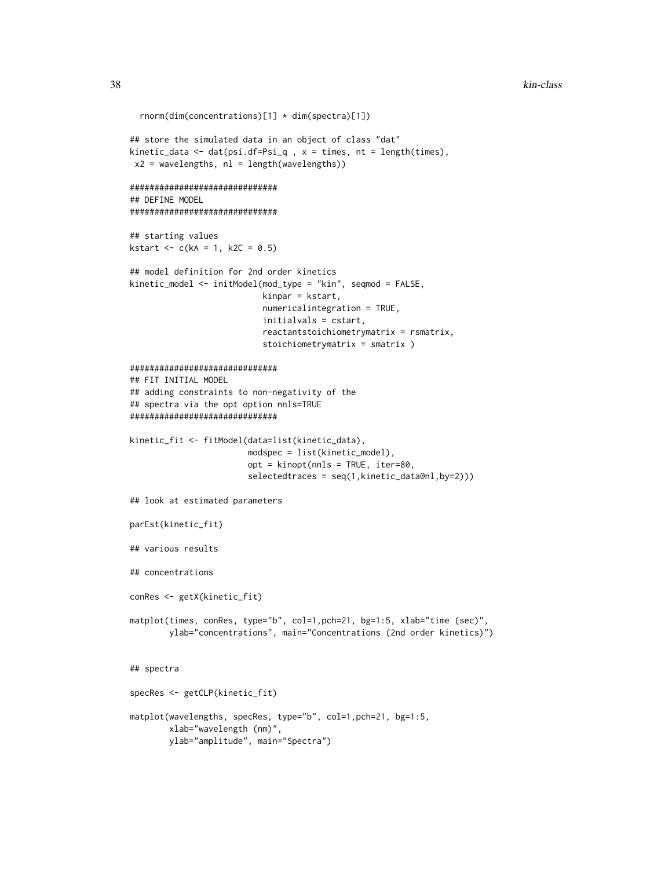```
rnorm(dim(concentrations)[1] * dim(spectra)[1])
## store the simulated data in an object of class "dat"
kinetic_data <- dat(psi.df=Psi_q, x = times, nt = length(times),
x2 = wavelengths, nl = length(wavelengths))
##############################
## DEFINE MODEL
##############################
## starting values
kstart <- c(kA = 1, k2C = 0.5)## model definition for 2nd order kinetics
kinetic_model <- initModel(mod_type = "kin", seqmod = FALSE,
                           kinpar = kstart,
                           numericalintegration = TRUE,
                           initialvals = cstart,
                           reactantstoichiometrymatrix = rsmatrix,
                           stoichiometrymatrix = smatrix )
##############################
## FIT INITIAL MODEL
## adding constraints to non-negativity of the
## spectra via the opt option nnls=TRUE
##############################
kinetic_fit <- fitModel(data=list(kinetic_data),
                        modspec = list(kinetic_model),
                        opt = kinopt(nnls = TRUE, iter=80,
                        selectedtraces = seq(1,kinetic_data@nl,by=2)))
## look at estimated parameters
parEst(kinetic_fit)
## various results
## concentrations
conRes <- getX(kinetic_fit)
matplot(times, conRes, type="b", col=1,pch=21, bg=1:5, xlab="time (sec)",
       ylab="concentrations", main="Concentrations (2nd order kinetics)")
## spectra
specRes <- getCLP(kinetic_fit)
matplot(wavelengths, specRes, type="b", col=1,pch=21, bg=1:5,
       xlab="wavelength (nm)",
       ylab="amplitude", main="Spectra")
```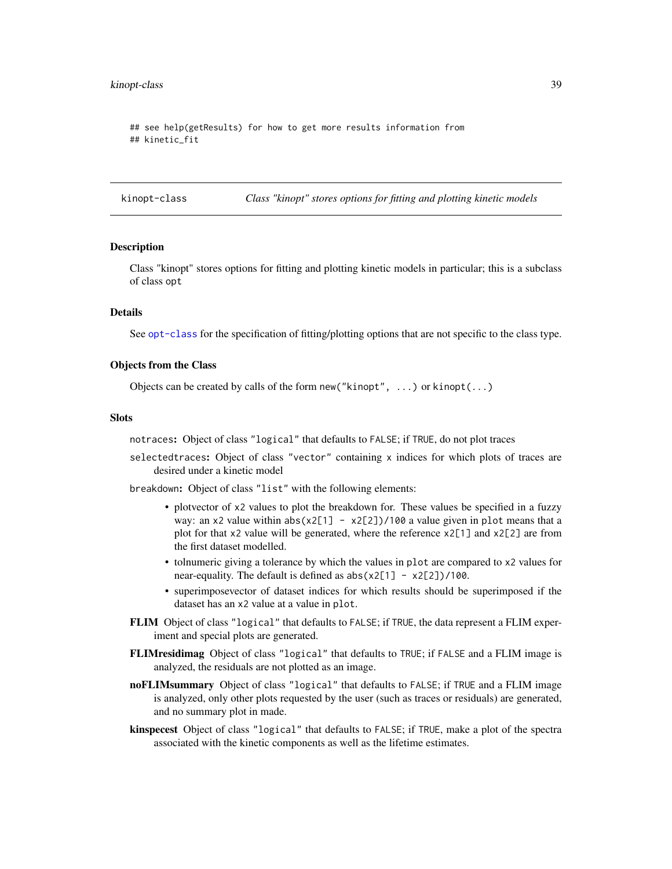#### <span id="page-38-0"></span>kinopt-class 39

## see help(getResults) for how to get more results information from ## kinetic\_fit

<span id="page-38-1"></span>kinopt-class *Class "kinopt" stores options for fitting and plotting kinetic models*

#### Description

Class "kinopt" stores options for fitting and plotting kinetic models in particular; this is a subclass of class opt

#### Details

See [opt-class](#page-46-1) for the specification of fitting/plotting options that are not specific to the class type.

#### Objects from the Class

Objects can be created by calls of the form new("kinopt", ...) or kinopt(...)

#### **Slots**

notraces: Object of class "logical" that defaults to FALSE; if TRUE, do not plot traces

selectedtraces: Object of class "vector" containing x indices for which plots of traces are desired under a kinetic model

breakdown: Object of class "list" with the following elements:

- plotvector of x2 values to plot the breakdown for. These values be specified in a fuzzy way: an x2 value within abs(x2[1] - x2[2])/100 a value given in plot means that a plot for that  $x^2$  value will be generated, where the reference  $x^2$ [1] and  $x^2$ [2] are from the first dataset modelled.
- tolnumeric giving a tolerance by which the values in plot are compared to x2 values for near-equality. The default is defined as  $abs(x2[1] - x2[2])/100$ .
- superimposevector of dataset indices for which results should be superimposed if the dataset has an x2 value at a value in plot.
- FLIM Object of class "logical" that defaults to FALSE; if TRUE, the data represent a FLIM experiment and special plots are generated.
- FLIMresidimag Object of class "logical" that defaults to TRUE; if FALSE and a FLIM image is analyzed, the residuals are not plotted as an image.
- noFLIMsummary Object of class "logical" that defaults to FALSE; if TRUE and a FLIM image is analyzed, only other plots requested by the user (such as traces or residuals) are generated, and no summary plot in made.
- kinspecest Object of class "logical" that defaults to FALSE; if TRUE, make a plot of the spectra associated with the kinetic components as well as the lifetime estimates.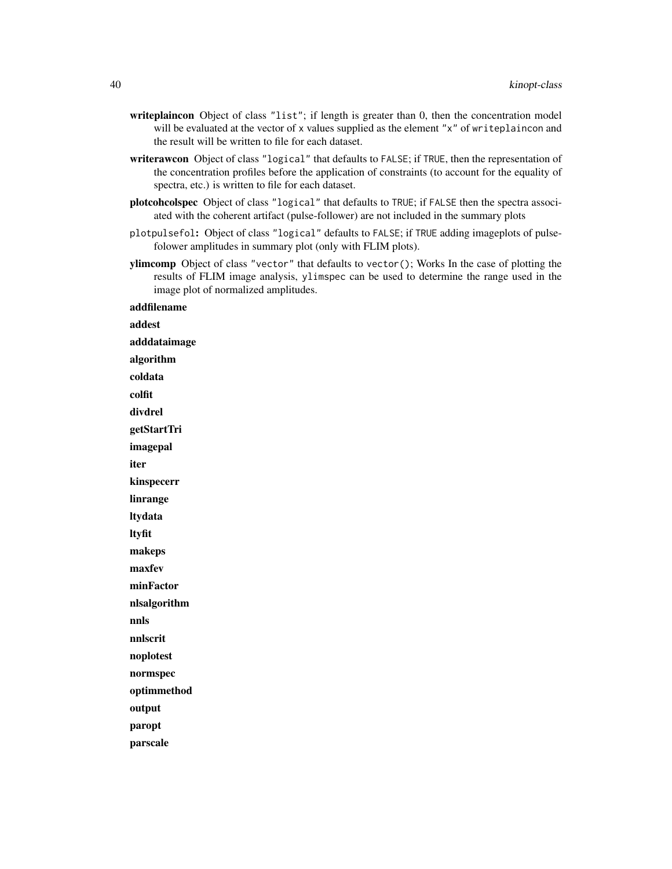- writeplaincon Object of class "list"; if length is greater than 0, then the concentration model will be evaluated at the vector of x values supplied as the element "x" of writeplaincon and the result will be written to file for each dataset.
- writerawcon Object of class "logical" that defaults to FALSE; if TRUE, then the representation of the concentration profiles before the application of constraints (to account for the equality of spectra, etc.) is written to file for each dataset.
- plotcohcolspec Object of class "logical" that defaults to TRUE; if FALSE then the spectra associated with the coherent artifact (pulse-follower) are not included in the summary plots
- plotpulsefol: Object of class "logical" defaults to FALSE; if TRUE adding imageplots of pulsefolower amplitudes in summary plot (only with FLIM plots).
- ylimcomp Object of class "vector" that defaults to vector(); Works In the case of plotting the results of FLIM image analysis, ylimspec can be used to determine the range used in the image plot of normalized amplitudes.

addfilename addest adddataimage algorithm coldata colfit divdrel getStartTri imagepal iter kinspecerr linrange ltydata ltyfit makeps maxfev minFactor nlsalgorithm nnls nnlscrit noplotest normspec optimmethod output paropt parscale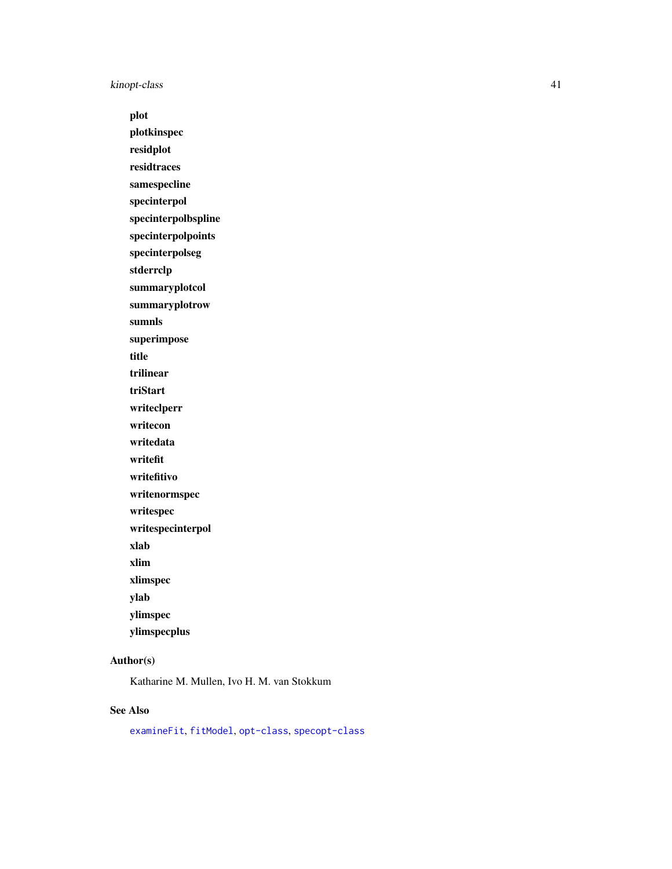<span id="page-40-0"></span>kinopt-class 41

plot

plotkinspec

residplot

residtraces

samespecline specinterpol

specinterpolbspline

specinterpolpoints

specinterpolseg

stderrclp

summaryplotcol

summaryplotrow

sumnls

superimpose

title

trilinear

triStart

writeclperr writecon

writedata

writefit

writefitivo

writenormspec

writespec

writespecinterpol

xlab

xlim

xlimspec

ylab

ylimspec

ylimspecplus

#### Author(s)

Katharine M. Mullen, Ivo H. M. van Stokkum

#### See Also

[examineFit](#page-13-1), [fitModel](#page-15-1), [opt-class](#page-46-1), [specopt-class](#page-60-1)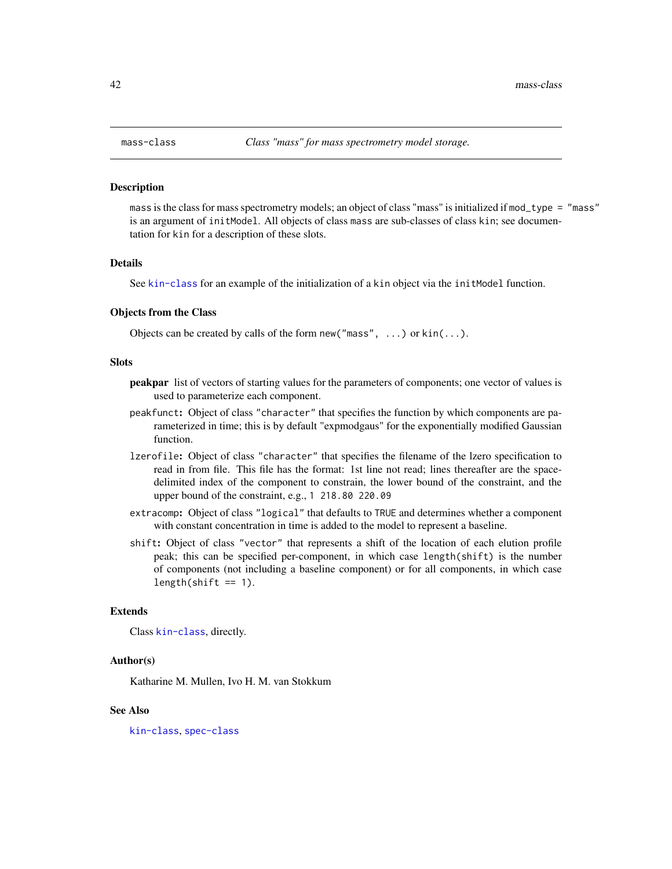#### <span id="page-41-0"></span>Description

mass is the class for mass spectrometry models; an object of class "mass" is initialized if mod\_type = "mass" is an argument of initModel. All objects of class mass are sub-classes of class kin; see documentation for kin for a description of these slots.

#### Details

See [kin-class](#page-31-1) for an example of the initialization of a kin object via the initModel function.

#### Objects from the Class

Objects can be created by calls of the form new ("mass",  $\dots$ ) or kin( $\dots$ ).

#### Slots

- peakpar list of vectors of starting values for the parameters of components; one vector of values is used to parameterize each component.
- peakfunct: Object of class "character" that specifies the function by which components are parameterized in time; this is by default "expmodgaus" for the exponentially modified Gaussian function.
- lzerofile: Object of class "character" that specifies the filename of the lzero specification to read in from file. This file has the format: 1st line not read; lines thereafter are the spacedelimited index of the component to constrain, the lower bound of the constraint, and the upper bound of the constraint, e.g., 1 218.80 220.09
- extracomp: Object of class "logical" that defaults to TRUE and determines whether a component with constant concentration in time is added to the model to represent a baseline.
- shift: Object of class "vector" that represents a shift of the location of each elution profile peak; this can be specified per-component, in which case length(shift) is the number of components (not including a baseline component) or for all components, in which case  $length(shift == 1).$

#### Extends

Class [kin-class](#page-31-1), directly.

#### Author(s)

Katharine M. Mullen, Ivo H. M. van Stokkum

#### See Also

[kin-class](#page-31-1), [spec-class](#page-59-1)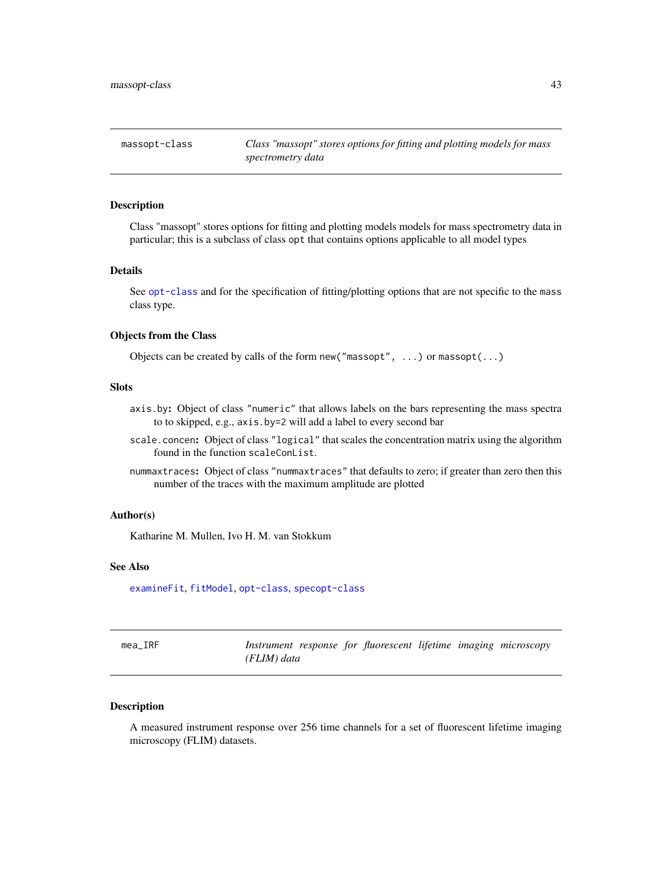<span id="page-42-1"></span><span id="page-42-0"></span>

#### Description

Class "massopt" stores options for fitting and plotting models models for mass spectrometry data in particular; this is a subclass of class opt that contains options applicable to all model types

#### Details

See [opt-class](#page-46-1) and for the specification of fitting/plotting options that are not specific to the mass class type.

#### Objects from the Class

Objects can be created by calls of the form new("massopt", ...) or massopt(...)

#### Slots

- axis.by: Object of class "numeric" that allows labels on the bars representing the mass spectra to to skipped, e.g., axis.by=2 will add a label to every second bar
- scale.concen: Object of class "logical" that scales the concentration matrix using the algorithm found in the function scaleConList.
- nummaxtraces: Object of class "nummaxtraces" that defaults to zero; if greater than zero then this number of the traces with the maximum amplitude are plotted

#### Author(s)

Katharine M. Mullen, Ivo H. M. van Stokkum

#### See Also

[examineFit](#page-13-1), [fitModel](#page-15-1), [opt-class](#page-46-1), [specopt-class](#page-60-1)

| mea IRF |             |  |  | Instrument response for fluorescent lifetime imaging microscopy |
|---------|-------------|--|--|-----------------------------------------------------------------|
|         | (FLIM) data |  |  |                                                                 |

#### Description

A measured instrument response over 256 time channels for a set of fluorescent lifetime imaging microscopy (FLIM) datasets.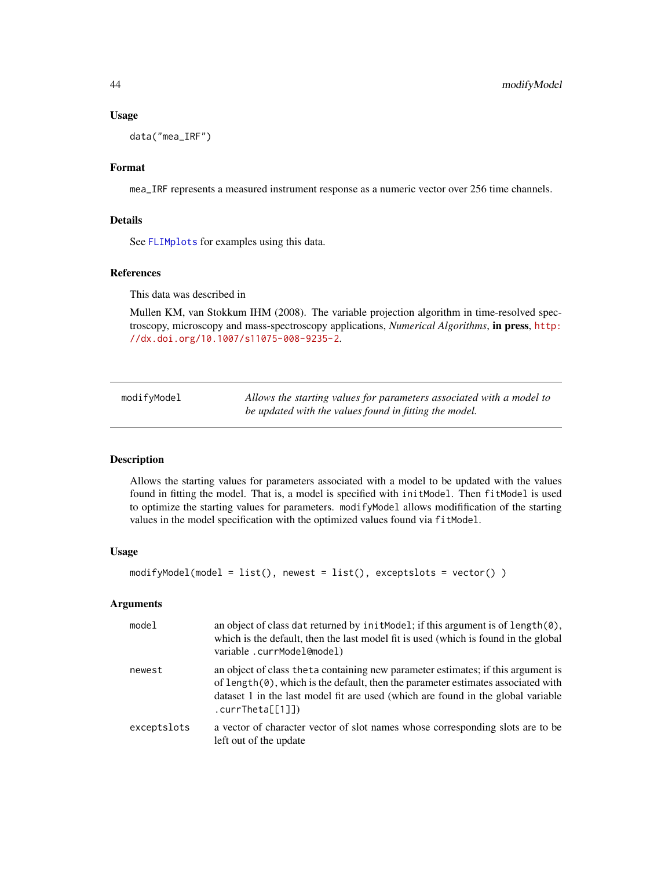#### Usage

data("mea\_IRF")

#### Format

mea\_IRF represents a measured instrument response as a numeric vector over 256 time channels.

#### Details

See [FLIMplots](#page-18-1) for examples using this data.

#### References

This data was described in

Mullen KM, van Stokkum IHM (2008). The variable projection algorithm in time-resolved spectroscopy, microscopy and mass-spectroscopy applications, *Numerical Algorithms*, in press, [http:](http://dx.doi.org/10.1007/s11075-008-9235-2) [//dx.doi.org/10.1007/s11075-008-9235-2](http://dx.doi.org/10.1007/s11075-008-9235-2).

modifyModel *Allows the starting values for parameters associated with a model to be updated with the values found in fitting the model.*

#### Description

Allows the starting values for parameters associated with a model to be updated with the values found in fitting the model. That is, a model is specified with initModel. Then fitModel is used to optimize the starting values for parameters. modifyModel allows modifification of the starting values in the model specification with the optimized values found via fitModel.

#### Usage

```
modifyModel(model = list(), newest = list(), exceptslots = vector() )
```
#### **Arguments**

| model       | an object of class dat returned by init Model; if this argument is of length $(0)$ ,<br>which is the default, then the last model fit is used (which is found in the global<br>variable.currModel@model)                                                                                   |
|-------------|--------------------------------------------------------------------------------------------------------------------------------------------------------------------------------------------------------------------------------------------------------------------------------------------|
| newest      | an object of class theta containing new parameter estimates; if this argument is<br>of length $(0)$ , which is the default, then the parameter estimates associated with<br>dataset 1 in the last model fit are used (which are found in the global variable<br>$. \text{currTheta}$ [1]]) |
| exceptslots | a vector of character vector of slot names whose corresponding slots are to be<br>left out of the update                                                                                                                                                                                   |

<span id="page-43-0"></span>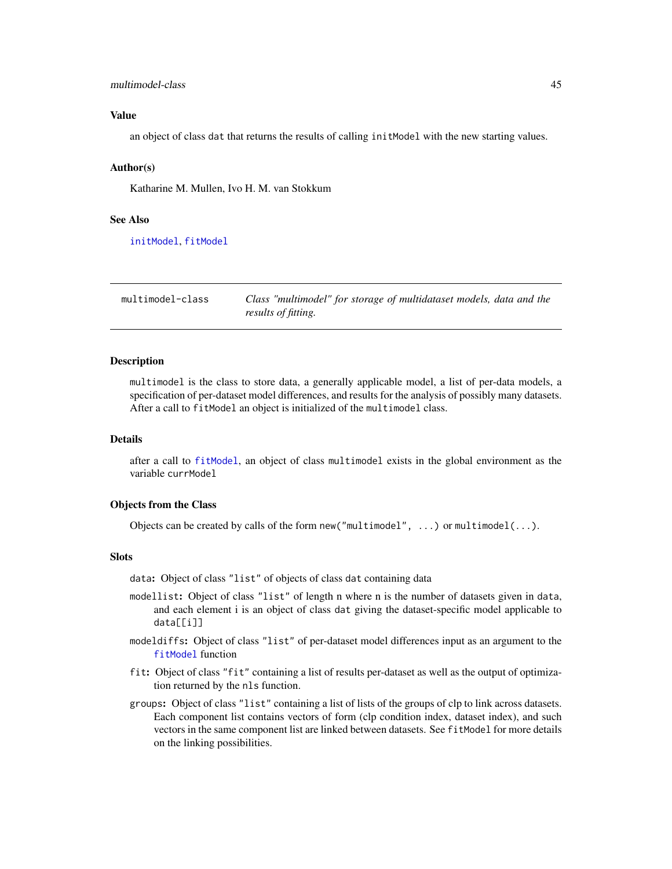#### <span id="page-44-0"></span>multimodel-class 45

#### Value

an object of class dat that returns the results of calling initModel with the new starting values.

#### Author(s)

Katharine M. Mullen, Ivo H. M. van Stokkum

#### See Also

[initModel](#page-28-1), [fitModel](#page-15-1)

<span id="page-44-1"></span>multimodel-class *Class "multimodel" for storage of multidataset models, data and the results of fitting.*

#### Description

multimodel is the class to store data, a generally applicable model, a list of per-data models, a specification of per-dataset model differences, and results for the analysis of possibly many datasets. After a call to fitModel an object is initialized of the multimodel class.

#### Details

after a call to [fitModel](#page-15-1), an object of class multimodel exists in the global environment as the variable currModel

#### Objects from the Class

Objects can be created by calls of the form new ("multimodel", ...) or multimodel(...).

#### **Slots**

data: Object of class "list" of objects of class dat containing data

- modellist: Object of class "list" of length n where n is the number of datasets given in data, and each element i is an object of class dat giving the dataset-specific model applicable to data[[i]]
- modeldiffs: Object of class "list" of per-dataset model differences input as an argument to the [fitModel](#page-15-1) function
- fit: Object of class "fit" containing a list of results per-dataset as well as the output of optimization returned by the nls function.
- groups: Object of class "list" containing a list of lists of the groups of clp to link across datasets. Each component list contains vectors of form (clp condition index, dataset index), and such vectors in the same component list are linked between datasets. See fitModel for more details on the linking possibilities.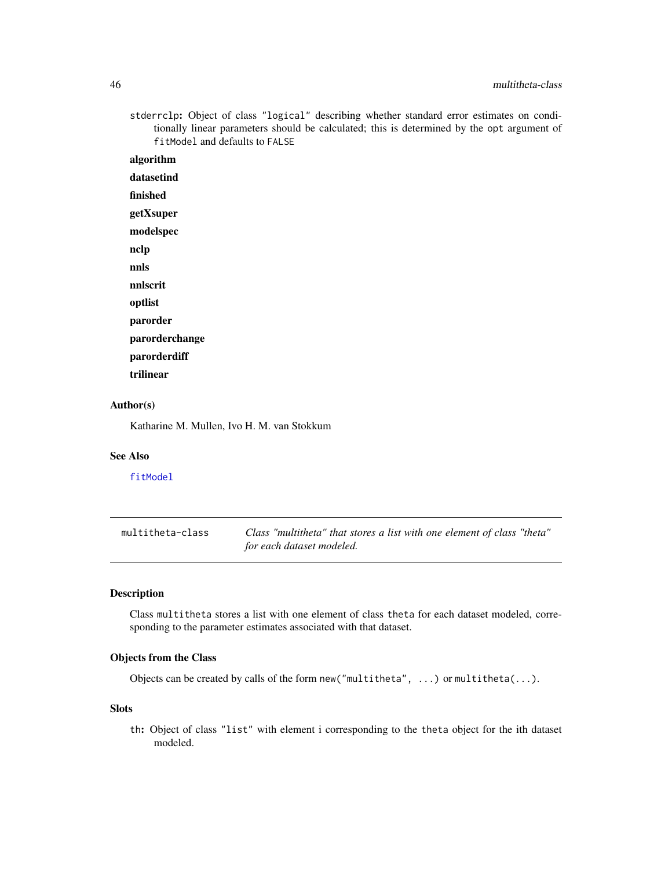#### <span id="page-45-0"></span>46 multitheta-class

stderrclp: Object of class "logical" describing whether standard error estimates on conditionally linear parameters should be calculated; this is determined by the opt argument of fitModel and defaults to FALSE

algorithm datasetind finished getXsuper modelspec nclp nnls nnlscrit optlist parorder

- parorderchange
- parorderdiff
- trilinear

#### Author(s)

Katharine M. Mullen, Ivo H. M. van Stokkum

#### See Also

[fitModel](#page-15-1)

<span id="page-45-1"></span>

| multitheta-class | Class "multitheta" that stores a list with one element of class "theta" |  |
|------------------|-------------------------------------------------------------------------|--|
|                  | for each dataset modeled.                                               |  |

#### Description

Class multitheta stores a list with one element of class theta for each dataset modeled, corresponding to the parameter estimates associated with that dataset.

#### Objects from the Class

Objects can be created by calls of the form new("multitheta", ...) or multitheta(...).

#### Slots

th: Object of class "list" with element i corresponding to the theta object for the ith dataset modeled.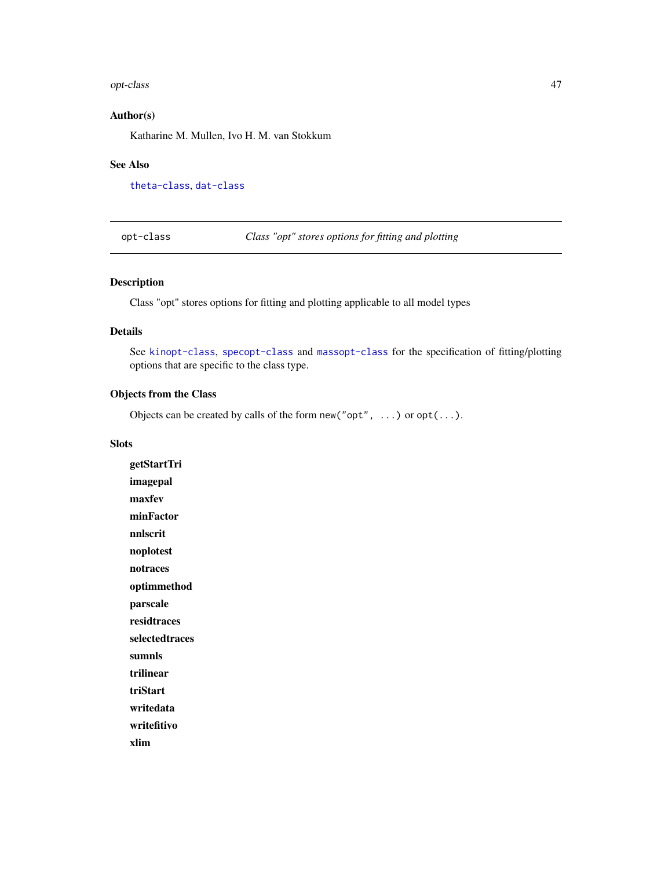#### <span id="page-46-0"></span>opt-class 47

#### Author(s)

Katharine M. Mullen, Ivo H. M. van Stokkum

#### See Also

[theta-class](#page-62-1), [dat-class](#page-5-2)

<span id="page-46-1"></span>opt-class *Class "opt" stores options for fitting and plotting*

#### <span id="page-46-2"></span>Description

Class "opt" stores options for fitting and plotting applicable to all model types

#### Details

See [kinopt-class](#page-38-1), [specopt-class](#page-60-1) and [massopt-class](#page-42-1) for the specification of fitting/plotting options that are specific to the class type.

#### Objects from the Class

Objects can be created by calls of the form new("opt", ...) or opt(...).

#### Slots

getStartTri imagepal maxfev minFactor nnlscrit noplotest notraces optimmethod parscale residtraces selectedtraces sumnls trilinear triStart writedata writefitivo xlim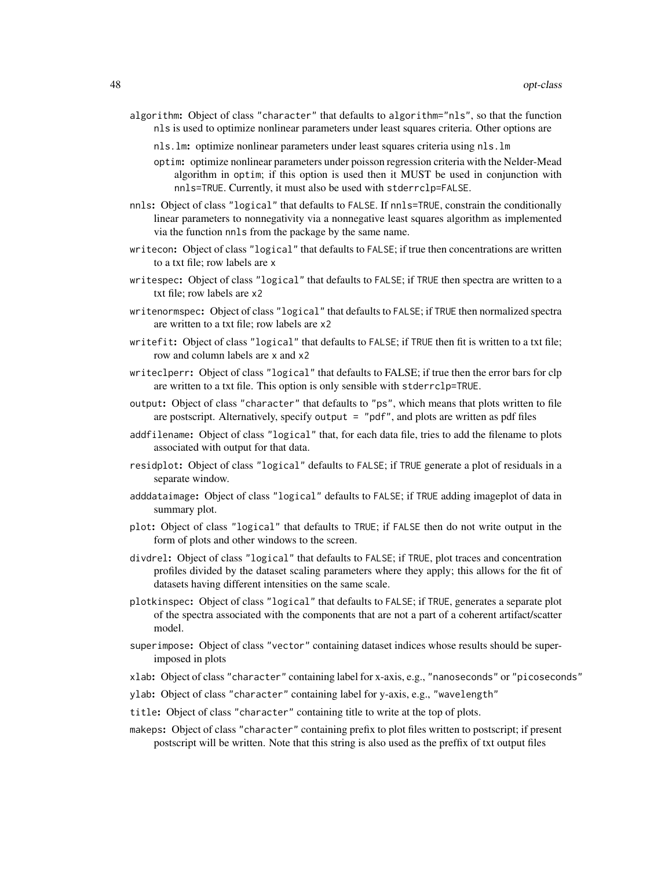- algorithm: Object of class "character" that defaults to algorithm="nls", so that the function nls is used to optimize nonlinear parameters under least squares criteria. Other options are
	- nls.lm: optimize nonlinear parameters under least squares criteria using nls.lm
	- optim: optimize nonlinear parameters under poisson regression criteria with the Nelder-Mead algorithm in optim; if this option is used then it MUST be used in conjunction with nnls=TRUE. Currently, it must also be used with stderrclp=FALSE.
- nnls: Object of class "logical" that defaults to FALSE. If nnls=TRUE, constrain the conditionally linear parameters to nonnegativity via a nonnegative least squares algorithm as implemented via the function nnls from the package by the same name.
- writecon: Object of class "logical" that defaults to FALSE; if true then concentrations are written to a txt file; row labels are x
- writespec: Object of class "logical" that defaults to FALSE; if TRUE then spectra are written to a txt file; row labels are x2
- writenormspec: Object of class "logical" that defaults to FALSE; if TRUE then normalized spectra are written to a txt file; row labels are x2
- writefit: Object of class "logical" that defaults to FALSE; if TRUE then fit is written to a txt file; row and column labels are x and x2
- writeclperr: Object of class "logical" that defaults to FALSE; if true then the error bars for clp are written to a txt file. This option is only sensible with stderrclp=TRUE.
- output: Object of class "character" that defaults to "ps", which means that plots written to file are postscript. Alternatively, specify output = "pdf", and plots are written as pdf files
- addfilename: Object of class "logical" that, for each data file, tries to add the filename to plots associated with output for that data.
- residplot: Object of class "logical" defaults to FALSE; if TRUE generate a plot of residuals in a separate window.
- adddataimage: Object of class "logical" defaults to FALSE; if TRUE adding imageplot of data in summary plot.
- plot: Object of class "logical" that defaults to TRUE; if FALSE then do not write output in the form of plots and other windows to the screen.
- divdrel: Object of class "logical" that defaults to FALSE; if TRUE, plot traces and concentration profiles divided by the dataset scaling parameters where they apply; this allows for the fit of datasets having different intensities on the same scale.
- plotkinspec: Object of class "logical" that defaults to FALSE; if TRUE, generates a separate plot of the spectra associated with the components that are not a part of a coherent artifact/scatter model.
- superimpose: Object of class "vector" containing dataset indices whose results should be superimposed in plots
- xlab: Object of class "character" containing label for x-axis, e.g., "nanoseconds" or "picoseconds"
- ylab: Object of class "character" containing label for y-axis, e.g., "wavelength"
- title: Object of class "character" containing title to write at the top of plots.
- makeps: Object of class "character" containing prefix to plot files written to postscript; if present postscript will be written. Note that this string is also used as the preffix of txt output files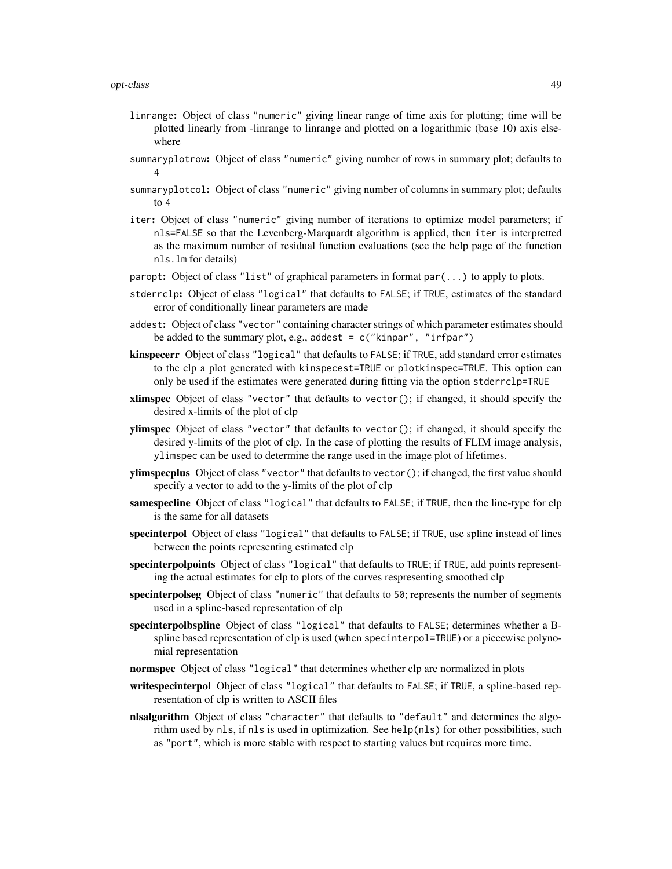- linrange: Object of class "numeric" giving linear range of time axis for plotting; time will be plotted linearly from -linrange to linrange and plotted on a logarithmic (base 10) axis elsewhere
- summaryplotrow: Object of class "numeric" giving number of rows in summary plot; defaults to 4
- summaryplotcol: Object of class "numeric" giving number of columns in summary plot; defaults to 4
- iter: Object of class "numeric" giving number of iterations to optimize model parameters; if nls=FALSE so that the Levenberg-Marquardt algorithm is applied, then iter is interpretted as the maximum number of residual function evaluations (see the help page of the function nls.lm for details)
- paropt: Object of class "list" of graphical parameters in format  $par(...)$  to apply to plots.
- stderrclp: Object of class "logical" that defaults to FALSE; if TRUE, estimates of the standard error of conditionally linear parameters are made
- addest: Object of class "vector" containing character strings of which parameter estimates should be added to the summary plot, e.g., addest =  $c("kinpar", "irfpar")$
- kinspecerr Object of class "logical" that defaults to FALSE; if TRUE, add standard error estimates to the clp a plot generated with kinspecest=TRUE or plotkinspec=TRUE. This option can only be used if the estimates were generated during fitting via the option stderrclp=TRUE
- xlimspec Object of class "vector" that defaults to vector(); if changed, it should specify the desired x-limits of the plot of clp
- ylimspec Object of class "vector" that defaults to vector(); if changed, it should specify the desired y-limits of the plot of clp. In the case of plotting the results of FLIM image analysis, ylimspec can be used to determine the range used in the image plot of lifetimes.
- ylimspecplus Object of class "vector" that defaults to vector(); if changed, the first value should specify a vector to add to the y-limits of the plot of clp
- samespecline Object of class "logical" that defaults to FALSE; if TRUE, then the line-type for clp is the same for all datasets
- specinterpol Object of class "logical" that defaults to FALSE; if TRUE, use spline instead of lines between the points representing estimated clp
- specinterpolpoints Object of class "logical" that defaults to TRUE; if TRUE, add points representing the actual estimates for clp to plots of the curves respresenting smoothed clp
- specinterpolseg Object of class "numeric" that defaults to 50; represents the number of segments used in a spline-based representation of clp
- specinterpolbspline Object of class "logical" that defaults to FALSE; determines whether a Bspline based representation of clp is used (when specinterpol=TRUE) or a piecewise polynomial representation
- normspec Object of class "logical" that determines whether clp are normalized in plots
- writespecinterpol Object of class "logical" that defaults to FALSE; if TRUE, a spline-based representation of clp is written to ASCII files
- nlsalgorithm Object of class "character" that defaults to "default" and determines the algorithm used by nls, if nls is used in optimization. See help(nls) for other possibilities, such as "port", which is more stable with respect to starting values but requires more time.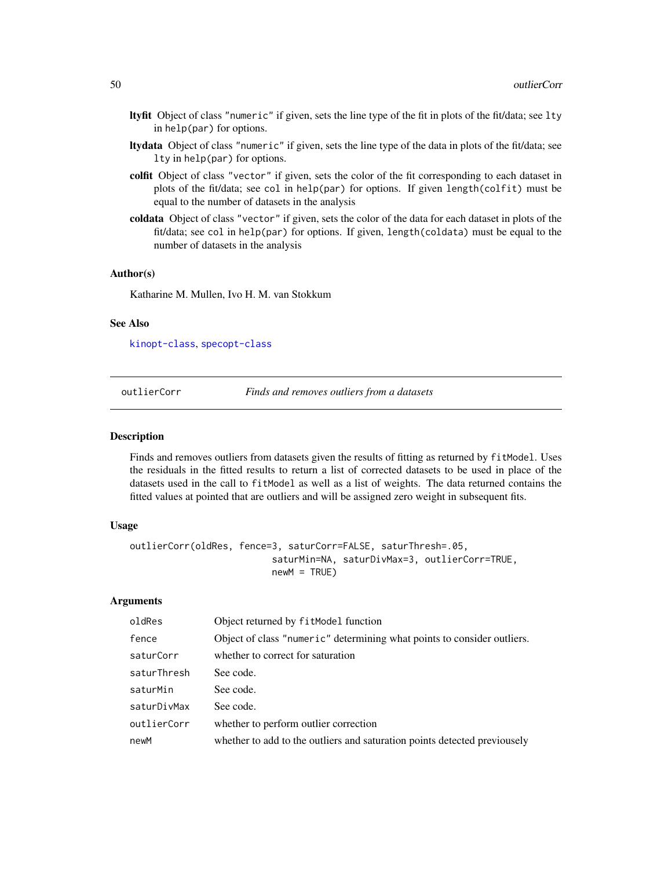- <span id="page-49-0"></span>ltyfit Object of class "numeric" if given, sets the line type of the fit in plots of the fit/data; see lty in help(par) for options.
- ltydata Object of class "numeric" if given, sets the line type of the data in plots of the fit/data; see lty in help(par) for options.
- colfit Object of class "vector" if given, sets the color of the fit corresponding to each dataset in plots of the fit/data; see col in help(par) for options. If given length(colfit) must be equal to the number of datasets in the analysis
- coldata Object of class "vector" if given, sets the color of the data for each dataset in plots of the fit/data; see col in help(par) for options. If given, length(coldata) must be equal to the number of datasets in the analysis

#### Author(s)

Katharine M. Mullen, Ivo H. M. van Stokkum

#### See Also

[kinopt-class](#page-38-1), [specopt-class](#page-60-1)

outlierCorr *Finds and removes outliers from a datasets*

#### **Description**

Finds and removes outliers from datasets given the results of fitting as returned by fitModel. Uses the residuals in the fitted results to return a list of corrected datasets to be used in place of the datasets used in the call to fitModel as well as a list of weights. The data returned contains the fitted values at pointed that are outliers and will be assigned zero weight in subsequent fits.

#### Usage

```
outlierCorr(oldRes, fence=3, saturCorr=FALSE, saturThresh=.05,
                          saturMin=NA, saturDivMax=3, outlierCorr=TRUE,
                          newM = TRUE)
```
#### Arguments

| oldRes      | Object returned by fitModel function                                      |
|-------------|---------------------------------------------------------------------------|
| fence       | Object of class "numeric" determining what points to consider outliers.   |
| saturCorr   | whether to correct for saturation                                         |
| saturThresh | See code.                                                                 |
| saturMin    | See code.                                                                 |
| saturDivMax | See code.                                                                 |
| outlierCorr | whether to perform outlier correction                                     |
| newM        | whether to add to the outliers and saturation points detected previousely |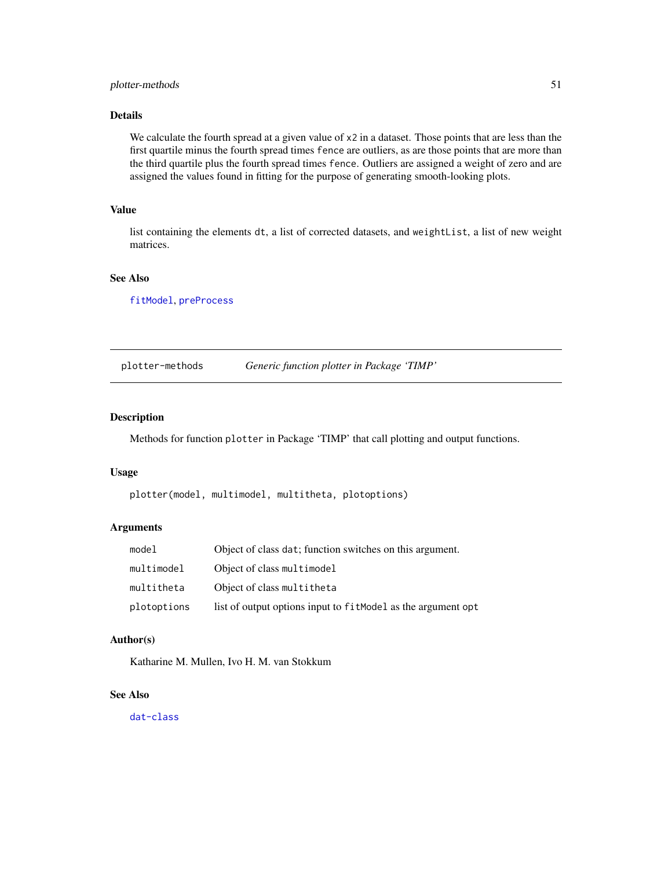#### <span id="page-50-0"></span>plotter-methods 51

#### Details

We calculate the fourth spread at a given value of x2 in a dataset. Those points that are less than the first quartile minus the fourth spread times fence are outliers, as are those points that are more than the third quartile plus the fourth spread times fence. Outliers are assigned a weight of zero and are assigned the values found in fitting for the purpose of generating smooth-looking plots.

#### Value

list containing the elements dt, a list of corrected datasets, and weightList, a list of new weight matrices.

#### See Also

[fitModel](#page-15-1), [preProcess](#page-51-1)

plotter-methods *Generic function plotter in Package 'TIMP'*

#### Description

Methods for function plotter in Package 'TIMP' that call plotting and output functions.

#### Usage

```
plotter(model, multimodel, multitheta, plotoptions)
```
#### Arguments

| model       | Object of class dat; function switches on this argument.     |
|-------------|--------------------------------------------------------------|
| multimodel  | Object of class multimodel                                   |
| multitheta  | Object of class multitheta                                   |
| plotoptions | list of output options input to fitModel as the argument opt |

#### Author(s)

Katharine M. Mullen, Ivo H. M. van Stokkum

#### See Also

[dat-class](#page-5-2)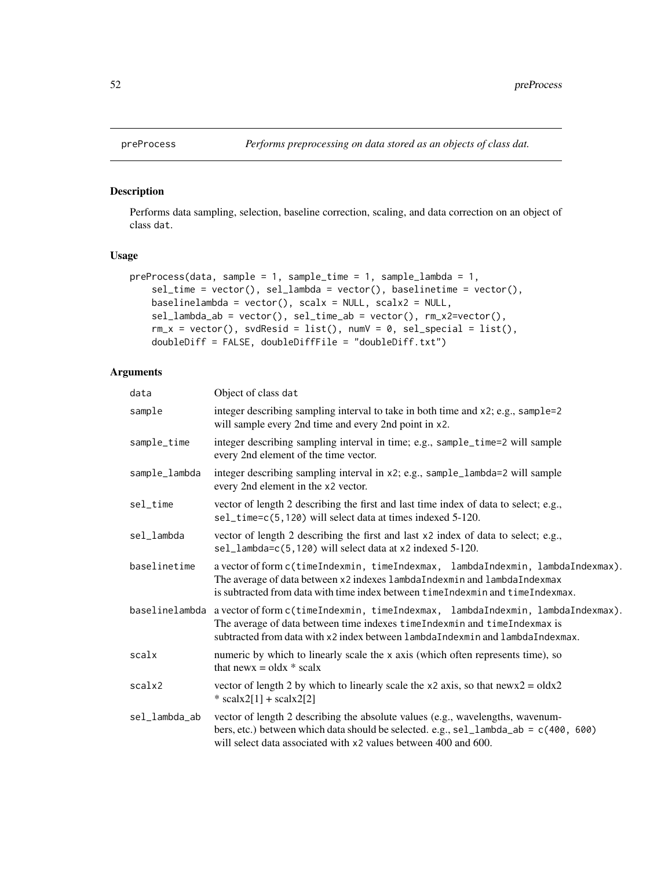#### Description

Performs data sampling, selection, baseline correction, scaling, and data correction on an object of class dat.

#### Usage

```
preProcess(data, sample = 1, sample_time = 1, sample_lambda = 1,
   sel_time = vector(), sel_lambda = vector(), baselinetime = vector(),
   baselinelambda = vector(), scalx = NULL, scalx2 = NULL,
   sel_lambda_ab = vector(), sel_time_ab = vector(), rm_x2=vector(),
   rm_x = vector(), svdResid = list(), numV = 0, sel_special = list(),
   doubleDiff = FALSE, doubleDiffFile = "doubleDiff.txt")
```
#### Arguments

| data           | Object of class dat                                                                                                                                                                                                                           |
|----------------|-----------------------------------------------------------------------------------------------------------------------------------------------------------------------------------------------------------------------------------------------|
| sample         | integer describing sampling interval to take in both time and x2; e.g., sample=2<br>will sample every 2nd time and every 2nd point in x2.                                                                                                     |
| sample_time    | integer describing sampling interval in time; e.g., sample_time=2 will sample<br>every 2nd element of the time vector.                                                                                                                        |
| sample_lambda  | integer describing sampling interval in x2; e.g., sample_lambda=2 will sample<br>every 2nd element in the x2 vector.                                                                                                                          |
| sel_time       | vector of length 2 describing the first and last time index of data to select; e.g.,<br>sel_time=c(5,120) will select data at times indexed 5-120.                                                                                            |
| sel_lambda     | vector of length 2 describing the first and last x2 index of data to select; e.g.,<br>sel_lambda=c(5,120) will select data at x2 indexed 5-120.                                                                                               |
| baselinetime   | a vector of form c(timeIndexmin, timeIndexmax, lambdaIndexmin, lambdaIndexmax).<br>The average of data between x2 indexes lambdaIndexmin and lambdaIndexmax<br>is subtracted from data with time index between timeIndexmin and timeIndexmax. |
| baselinelambda | a vector of form c(timeIndexmin, timeIndexmax, lambdaIndexmin, lambdaIndexmax).<br>The average of data between time indexes timeIndexmin and timeIndexmax is<br>subtracted from data with x2 index between lambdaIndexmin and lambdaIndexmax. |
| scalx          | numeric by which to linearly scale the x axis (which often represents time), so<br>that news = olds $*$ scalx                                                                                                                                 |
| scalx2         | vector of length 2 by which to linearly scale the $x2$ axis, so that $newx2 = oldx2$<br>* scalx2[1] + scalx2[2]                                                                                                                               |
| sel_lambda_ab  | vector of length 2 describing the absolute values (e.g., wavelengths, wavenum-<br>bers, etc.) between which data should be selected. e.g., sel_lambda_ab = c(400, 600)<br>will select data associated with x2 values between 400 and 600.     |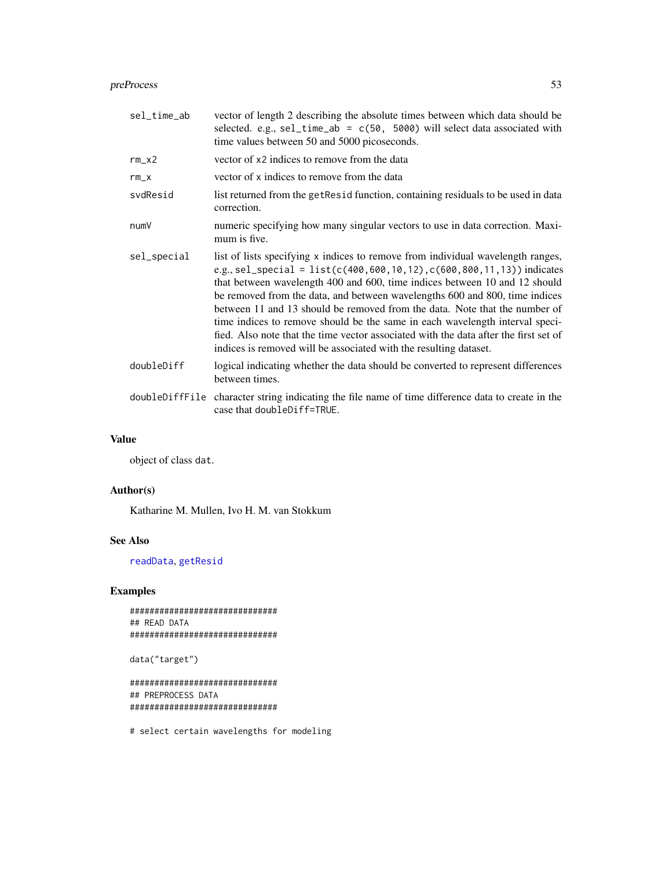#### <span id="page-52-0"></span>preProcess 53

| sel_time_ab    | vector of length 2 describing the absolute times between which data should be<br>selected. e.g., $se1_time_ab = c(50, 5000)$ will select data associated with<br>time values between 50 and 5000 picoseconds.                                                                                                                                                                                                                                                                                                                                                                                                                                           |
|----------------|---------------------------------------------------------------------------------------------------------------------------------------------------------------------------------------------------------------------------------------------------------------------------------------------------------------------------------------------------------------------------------------------------------------------------------------------------------------------------------------------------------------------------------------------------------------------------------------------------------------------------------------------------------|
| $rm_x2$        | vector of x2 indices to remove from the data                                                                                                                                                                                                                                                                                                                                                                                                                                                                                                                                                                                                            |
| $rm_x$         | vector of x indices to remove from the data                                                                                                                                                                                                                                                                                                                                                                                                                                                                                                                                                                                                             |
| svdResid       | list returned from the get Resid function, containing residuals to be used in data<br>correction.                                                                                                                                                                                                                                                                                                                                                                                                                                                                                                                                                       |
| numV           | numeric specifying how many singular vectors to use in data correction. Maxi-<br>mum is five.                                                                                                                                                                                                                                                                                                                                                                                                                                                                                                                                                           |
| sel_special    | list of lists specifying x indices to remove from individual wavelength ranges,<br>e.g., sel_special = list(c(400, 600, 10, 12), c(600, 800, 11, 13)) indicates<br>that between wavelength 400 and 600, time indices between 10 and 12 should<br>be removed from the data, and between wavelengths 600 and 800, time indices<br>between 11 and 13 should be removed from the data. Note that the number of<br>time indices to remove should be the same in each wavelength interval speci-<br>fied. Also note that the time vector associated with the data after the first set of<br>indices is removed will be associated with the resulting dataset. |
| doubleDiff     | logical indicating whether the data should be converted to represent differences<br>between times.                                                                                                                                                                                                                                                                                                                                                                                                                                                                                                                                                      |
| doubleDiffFile | character string indicating the file name of time difference data to create in the<br>case that doubleDiff=TRUE.                                                                                                                                                                                                                                                                                                                                                                                                                                                                                                                                        |

#### Value

object of class dat.

#### Author(s)

Katharine M. Mullen, Ivo H. M. van Stokkum

#### See Also

[readData](#page-56-1), [getResid](#page-22-1)

### Examples

```
##############################
## READ DATA
##############################
```
data("target")

############################## ## PREPROCESS DATA ##############################

# select certain wavelengths for modeling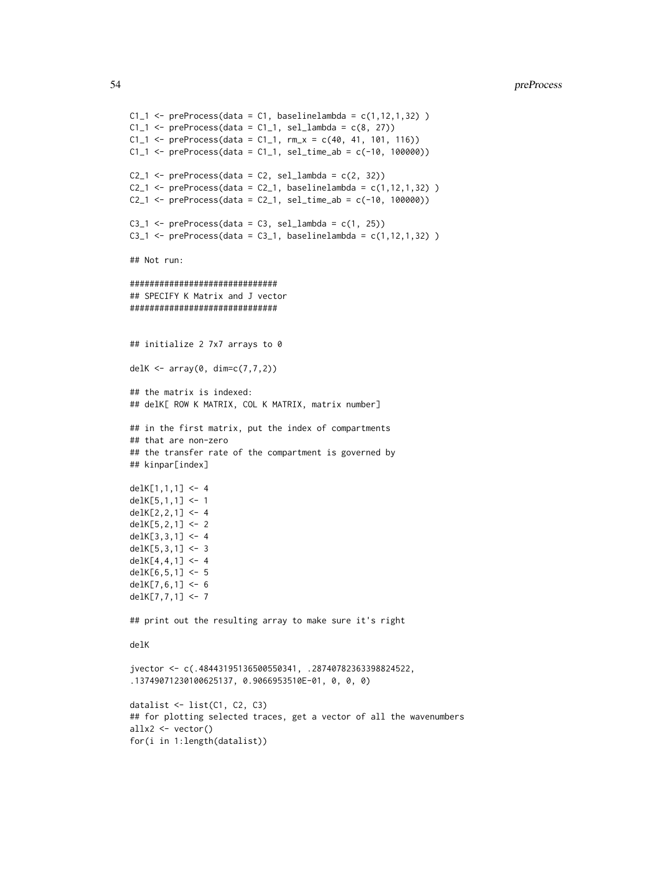```
C1_1 <- preProcess(data = C1, baselinelambda = c(1, 12, 1, 32))
C1_1 <- preProcess(data = C1_1, sel_lambda = c(8, 27))
C1_1 <- preProcess(data = C1_1, rm_x = c(40, 41, 101, 116))
C1_1 <- preProcess(data = C1_1, sel_time_ab = c(-10, 100000))
C2_1 <- preProcess(data = C2, sel_lambda = c(2, 32))
C2_1 <- preProcess(data = C2_1, baselinelambda = c(1, 12, 1, 32))
C2_1 <- preProcess(data = C2_1, sel_time_ab = c(-10, 100000))
C3_1 <- preProcess(data = C3, sel_lambda = c(1, 25))
C3_1 <- preProcess(data = C3_1, baselinelambda = c(1, 12, 1, 32))
## Not run:
##############################
## SPECIFY K Matrix and J vector
##############################
## initialize 2 7x7 arrays to 0
delK <- array(0, dim=c(7,7,2))## the matrix is indexed:
## delK[ ROW K MATRIX, COL K MATRIX, matrix number]
## in the first matrix, put the index of compartments
## that are non-zero
## the transfer rate of the compartment is governed by
## kinpar[index]
delK[1,1,1] <- 4
delK[5,1,1] <- 1
delK[2,2,1] <- 4
delK[5,2,1] <- 2
delK[3,3,1] <- 4
delK[5,3,1] <- 3
delK[4,4,1] <- 4
delK[6,5,1] <- 5
delK[7,6,1] <- 6
delK[7,7,1] <- 7
## print out the resulting array to make sure it's right
delK
jvector <- c(.48443195136500550341, .28740782363398824522,
.13749071230100625137, 0.9066953510E-01, 0, 0, 0)
datalist <- list(C1, C2, C3)
## for plotting selected traces, get a vector of all the wavenumbers
allx2 <- vector()
for(i in 1:length(datalist))
```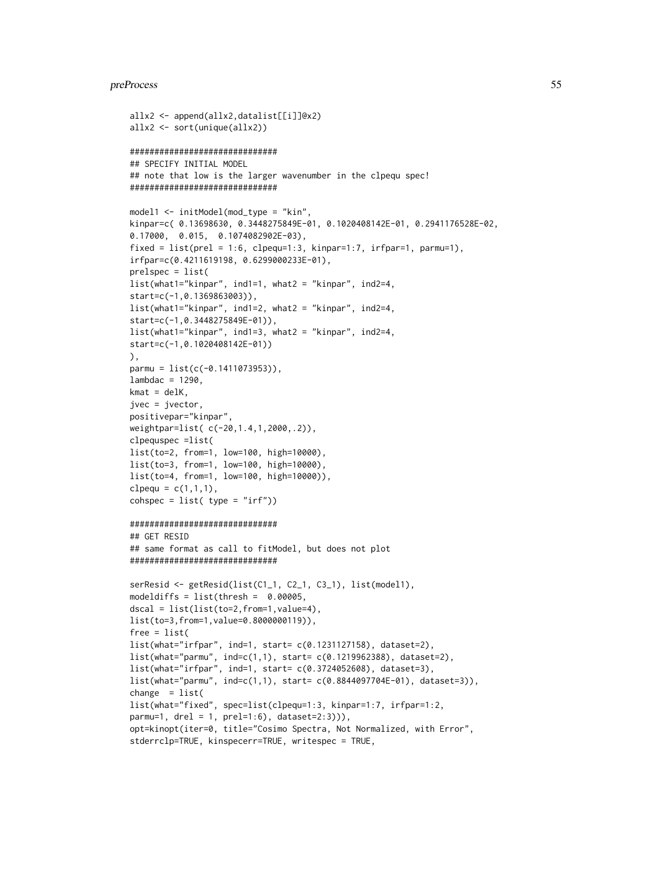#### preProcess 55

```
allx2 <- append(allx2,datalist[[i]]@x2)
allx2 <- sort(unique(allx2))
##############################
## SPECIFY INITIAL MODEL
## note that low is the larger wavenumber in the clpequ spec!
##############################
model1 <- initModel(mod_type = "kin",
kinpar=c( 0.13698630, 0.3448275849E-01, 0.1020408142E-01, 0.2941176528E-02,
0.17000, 0.015, 0.1074082902E-03),
fixed = list(prel = 1:6, c1pequ=1:3, kinpar=1:7, irfpar=1, parmu=1),irfpar=c(0.4211619198, 0.6299000233E-01),
prelspec = list(
list(what1="kinpar", ind1=1, what2 = "kinpar", ind2=4,
start=c(-1,0.1369863003)),
list(what1="kinpar", ind1=2, what2 = "kinpar", ind2=4,
start=c(-1,0.3448275849E-01)),
list(what1="kinpar", ind1=3, what2 = "kinpar", ind2=4,
start=c(-1,0.1020408142E-01))
),
parmu = list(c(-0.1411073953)),
lambdac = 1290,kmat = delK,jvec = jvector,
positivepar="kinpar",
weightpar=list( c(-20,1.4,1,2000,.2)),
clpequspec =list(
list(to=2, from=1, low=100, high=10000),
list(to=3, from=1, low=100, high=10000),
list(to=4, from=1, low=100, high=10000)),
clpequ = c(1,1,1),
cosh spec = list(ftype = "irf"))##############################
## GET RESID
## same format as call to fitModel, but does not plot
##############################
serResid <- getResid(list(C1_1, C2_1, C3_1), list(model1),
modeldiffs = list(thresh = 0.00005,
dscal = list(list(to=2,from=1,value=4),
list(to=3,from=1,value=0.8000000119)),
free = list(
list(what="irfpar", ind=1, start= c(0.1231127158), dataset=2),
list(what="parmu", ind=c(1,1), start= c(0.1219962388), dataset=2),
list(what="irfpar", ind=1, start= c(0.3724052608), dataset=3),
list(what="parmu", ind=c(1,1), start= c(0.8844097704E-01), dataset=3)),
change = list(
list(what="fixed", spec=list(clpequ=1:3, kinpar=1:7, irfpar=1:2,
parmu=1, drel = 1, prel=1:6), dataset=2:3))),
opt=kinopt(iter=0, title="Cosimo Spectra, Not Normalized, with Error",
stderrclp=TRUE, kinspecerr=TRUE, writespec = TRUE,
```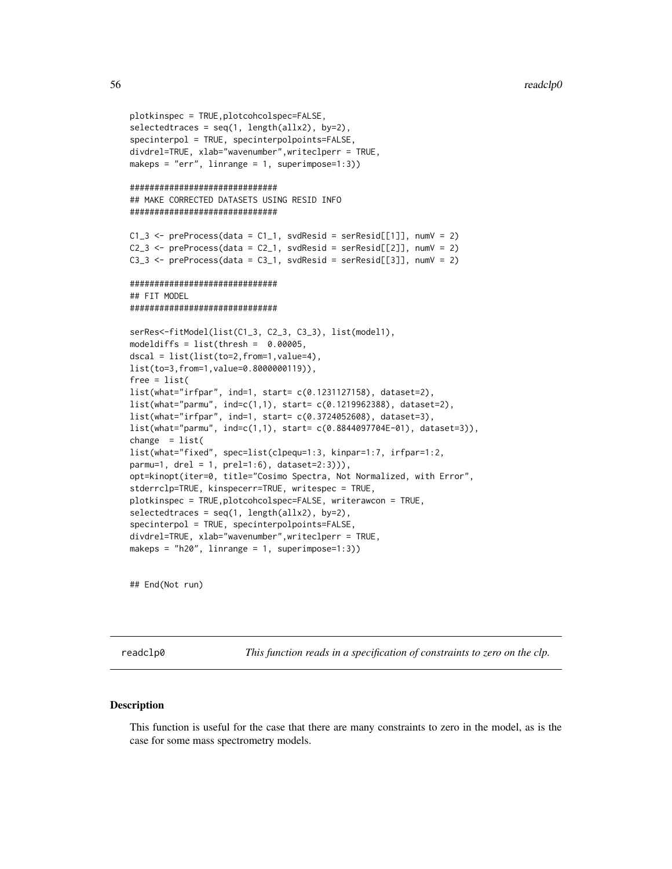```
plotkinspec = TRUE,plotcohcolspec=FALSE,
selectedtraces = seq(1, length(allx2), by=2),specinterpol = TRUE, specinterpolpoints=FALSE,
divdrel=TRUE, xlab="wavenumber",writeclperr = TRUE,
makeps = "err", linrange = 1, superimpose=1:3))
##############################
## MAKE CORRECTED DATASETS USING RESID INFO
##############################
C1_3 <- preProcess(data = C1_1, svdResid = serResid[[1]], numV = 2)
C2_3 \leftarrow preProcess(data = C2_1, svdResid = serResid[[2]], numV = 2)
C3_3 \leftarrow preProcess(data = C3_1, svdResid = serResid[[3]], numV = 2)
##############################
## FIT MODEL
##############################
serRes<-fitModel(list(C1_3, C2_3, C3_3), list(model1),
modeldiffs = list(thresh = 0.00005,dscal = list(list(to=2,from=1,value=4),
list(to=3,from=1,value=0.8000000119)),
free = list(
list(what="irfpar", ind=1, start= c(0.1231127158), dataset=2),
list(what="parmu", ind=c(1,1), start= c(0.1219962388), dataset=2),
list(what="irfpar", ind=1, start= c(0.3724052608), dataset=3),
list(what="parmu", ind=c(1,1), start= c(0.8844097704E-01), dataset=3)),
change = list(list(what="fixed", spec=list(clpequ=1:3, kinpar=1:7, irfpar=1:2,
parmu=1, drel = 1, prel=1:6), dataset=2:3))),
opt=kinopt(iter=0, title="Cosimo Spectra, Not Normalized, with Error",
stderrclp=TRUE, kinspecerr=TRUE, writespec = TRUE,
plotkinspec = TRUE,plotcohcolspec=FALSE, writerawcon = TRUE,
selectedtraces = seq(1, length(allx2), by=2),specinterpol = TRUE, specinterpolpoints=FALSE,
divdrel=TRUE, xlab="wavenumber",writeclperr = TRUE,
makeps = "h20", linrange = 1, superimpose=1:3))
```
## End(Not run)

readclp0 *This function reads in a specification of constraints to zero on the clp.*

#### **Description**

This function is useful for the case that there are many constraints to zero in the model, as is the case for some mass spectrometry models.

<span id="page-55-0"></span>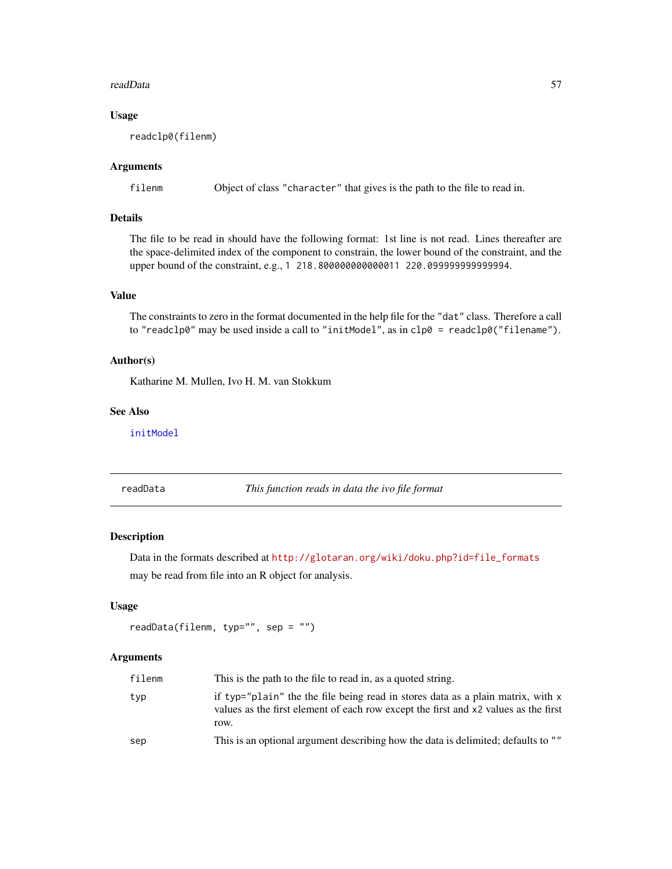#### <span id="page-56-0"></span>readData 57

#### Usage

readclp0(filenm)

#### Arguments

filenm Object of class "character" that gives is the path to the file to read in.

#### Details

The file to be read in should have the following format: 1st line is not read. Lines thereafter are the space-delimited index of the component to constrain, the lower bound of the constraint, and the upper bound of the constraint, e.g., 1 218.800000000000011 220.099999999999994.

#### Value

The constraints to zero in the format documented in the help file for the "dat" class. Therefore a call to "readclp0" may be used inside a call to "initModel", as in clp0 = readclp0("filename").

#### Author(s)

Katharine M. Mullen, Ivo H. M. van Stokkum

#### See Also

[initModel](#page-28-1)

<span id="page-56-1"></span>readData *This function reads in data the ivo file format*

#### Description

Data in the formats described at [http://glotaran.org/wiki/doku.php?id=file\\_formats](http://glotaran.org/wiki/doku.php?id=file_formats) may be read from file into an R object for analysis.

#### Usage

```
readData(filenm, typ="", sep = "")
```
#### Arguments

| filenm | This is the path to the file to read in, as a quoted string.                                                                                                                   |
|--------|--------------------------------------------------------------------------------------------------------------------------------------------------------------------------------|
| typ    | if typ="plain" the the file being read in stores data as a plain matrix, with x<br>values as the first element of each row except the first and x2 values as the first<br>row. |
| sep    | This is an optional argument describing how the data is delimited; defaults to ""                                                                                              |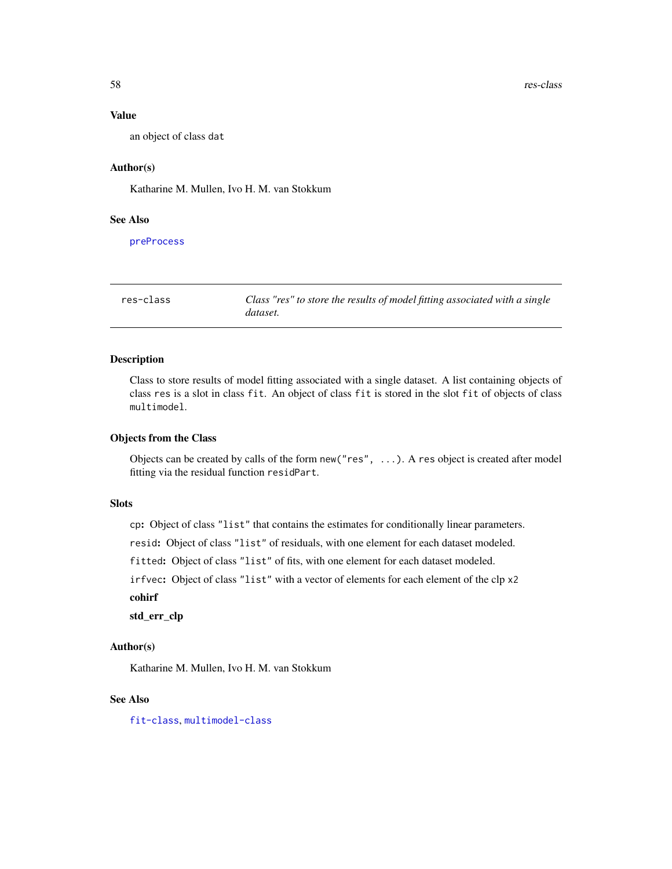#### Value

an object of class dat

#### Author(s)

Katharine M. Mullen, Ivo H. M. van Stokkum

#### See Also

[preProcess](#page-51-1)

<span id="page-57-1"></span>res-class *Class "res" to store the results of model fitting associated with a single dataset.*

#### Description

Class to store results of model fitting associated with a single dataset. A list containing objects of class res is a slot in class fit. An object of class fit is stored in the slot fit of objects of class multimodel.

#### Objects from the Class

Objects can be created by calls of the form new("res", ...). A res object is created after model fitting via the residual function residPart.

#### **Slots**

cp: Object of class "list" that contains the estimates for conditionally linear parameters.

resid: Object of class "list" of residuals, with one element for each dataset modeled.

fitted: Object of class "list" of fits, with one element for each dataset modeled.

irfvec: Object of class "list" with a vector of elements for each element of the clp x2

cohirf

std\_err\_clp

#### Author(s)

Katharine M. Mullen, Ivo H. M. van Stokkum

#### See Also

[fit-class](#page-14-1), [multimodel-class](#page-44-1)

<span id="page-57-0"></span>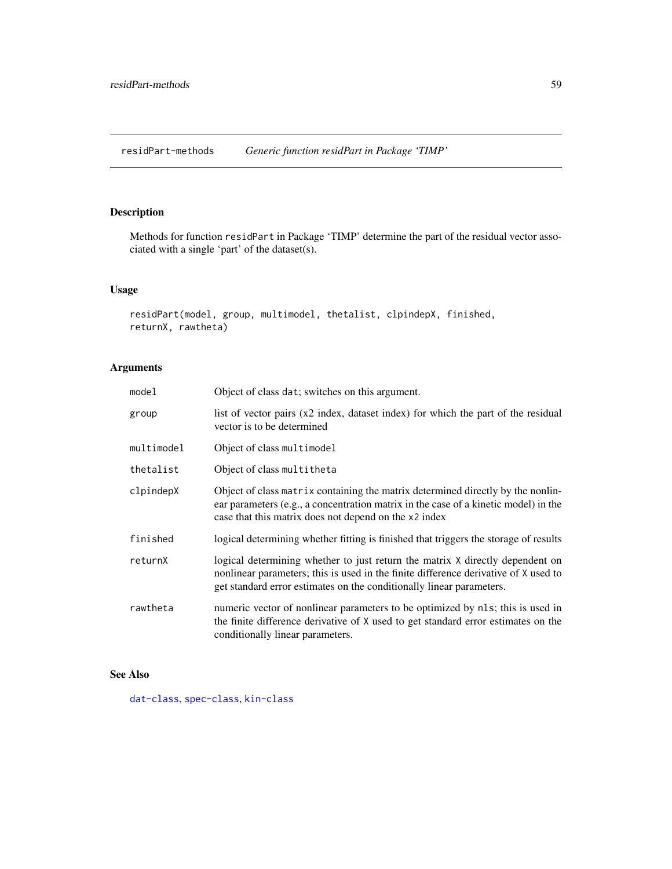<span id="page-58-0"></span>residPart-methods *Generic function residPart in Package 'TIMP'*

### Description

Methods for function residPart in Package 'TIMP' determine the part of the residual vector associated with a single 'part' of the dataset(s).

### Usage

```
residPart(model, group, multimodel, thetalist, clpindepX, finished,
returnX, rawtheta)
```
#### Arguments

| model      | Object of class dat; switches on this argument.                                                                                                                                                                                              |
|------------|----------------------------------------------------------------------------------------------------------------------------------------------------------------------------------------------------------------------------------------------|
| group      | list of vector pairs $(x2 \text{ index}, \text{ dataset index})$ for which the part of the residual<br>vector is to be determined                                                                                                            |
| multimodel | Object of class multimodel                                                                                                                                                                                                                   |
| thetalist  | Object of class multitheta                                                                                                                                                                                                                   |
| clpindepX  | Object of class matrix containing the matrix determined directly by the nonlin-<br>ear parameters (e.g., a concentration matrix in the case of a kinetic model) in the<br>case that this matrix does not depend on the x2 index              |
| finished   | logical determining whether fitting is finished that triggers the storage of results                                                                                                                                                         |
| returnX    | logical determining whether to just return the matrix X directly dependent on<br>nonlinear parameters; this is used in the finite difference derivative of X used to<br>get standard error estimates on the conditionally linear parameters. |
| rawtheta   | numeric vector of nonlinear parameters to be optimized by nls; this is used in<br>the finite difference derivative of X used to get standard error estimates on the<br>conditionally linear parameters.                                      |

#### See Also

[dat-class](#page-5-2), [spec-class](#page-59-1), [kin-class](#page-31-1)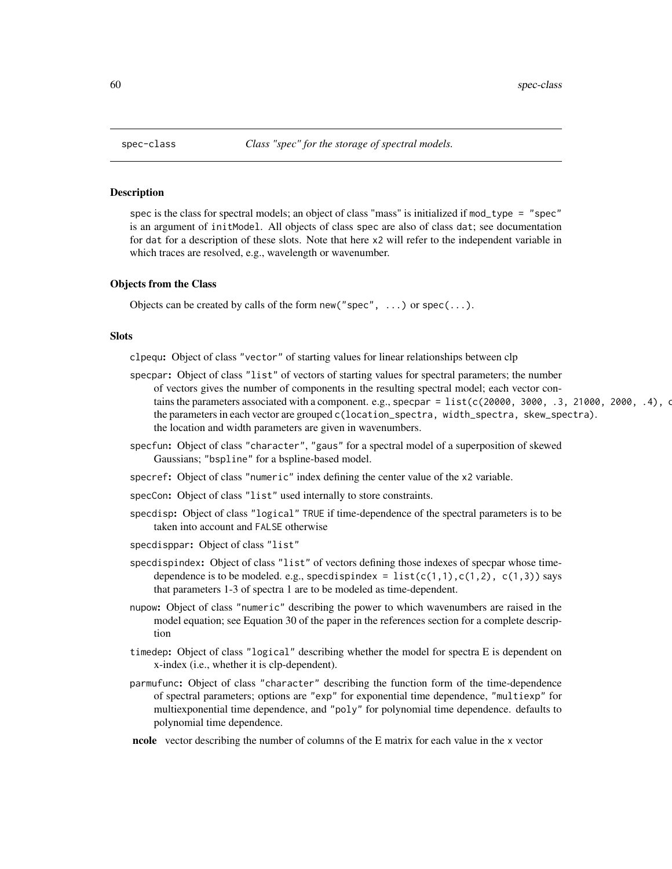<span id="page-59-1"></span><span id="page-59-0"></span>

#### <span id="page-59-2"></span>Description

spec is the class for spectral models; an object of class "mass" is initialized if mod\_type = "spec" is an argument of initModel. All objects of class spec are also of class dat; see documentation for dat for a description of these slots. Note that here x2 will refer to the independent variable in which traces are resolved, e.g., wavelength or wavenumber.

#### Objects from the Class

Objects can be created by calls of the form new ("spec",  $\dots$ ) or spec $(\dots)$ .

#### Slots

clpequ: Object of class "vector" of starting values for linear relationships between clp

- specpar: Object of class "list" of vectors of starting values for spectral parameters; the number of vectors gives the number of components in the resulting spectral model; each vector contains the parameters associated with a component. e.g., specpar =  $list(c(20000, 3000, .3, 21000, .2000, .4)$ ,  $\alpha$ the parameters in each vector are grouped c(location\_spectra, width\_spectra, skew\_spectra). the location and width parameters are given in wavenumbers.
- specfun: Object of class "character", "gaus" for a spectral model of a superposition of skewed Gaussians; "bspline" for a bspline-based model.
- specref: Object of class "numeric" index defining the center value of the x2 variable.
- specCon: Object of class "list" used internally to store constraints.
- specdisp: Object of class "logical" TRUE if time-dependence of the spectral parameters is to be taken into account and FALSE otherwise
- specdisppar: Object of class "list"
- specdispindex: Object of class "list" of vectors defining those indexes of specpar whose timedependence is to be modeled. e.g., specdispindex =  $list(c(1,1),c(1,2), c(1,3))$  says that parameters 1-3 of spectra 1 are to be modeled as time-dependent.
- nupow: Object of class "numeric" describing the power to which wavenumbers are raised in the model equation; see Equation 30 of the paper in the references section for a complete description
- timedep: Object of class "logical" describing whether the model for spectra E is dependent on x-index (i.e., whether it is clp-dependent).
- parmufunc: Object of class "character" describing the function form of the time-dependence of spectral parameters; options are "exp" for exponential time dependence, "multiexp" for multiexponential time dependence, and "poly" for polynomial time dependence. defaults to polynomial time dependence.
- ncole vector describing the number of columns of the E matrix for each value in the x vector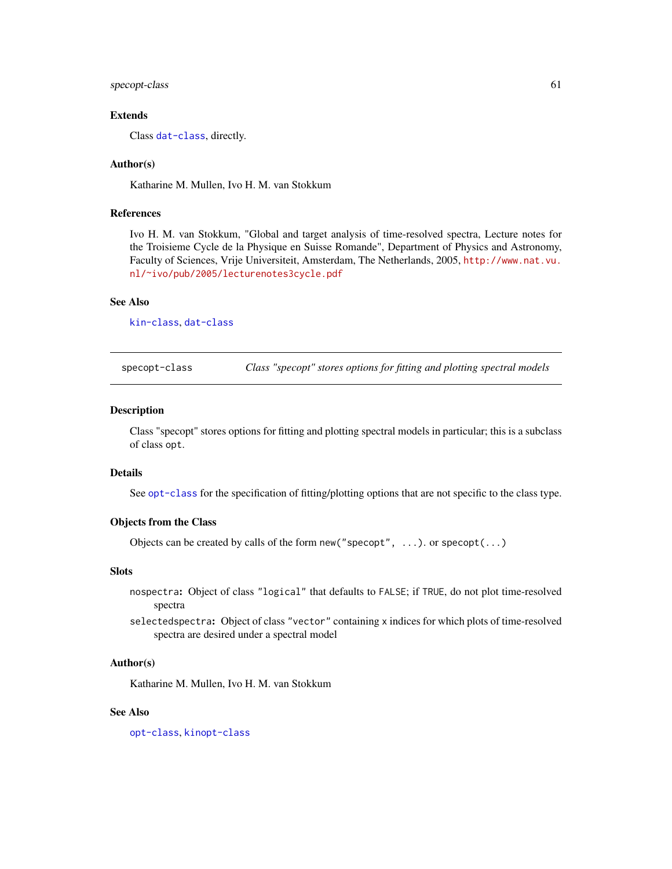#### <span id="page-60-0"></span>specopt-class 61

#### Extends

Class [dat-class](#page-5-2), directly.

#### Author(s)

Katharine M. Mullen, Ivo H. M. van Stokkum

#### References

Ivo H. M. van Stokkum, "Global and target analysis of time-resolved spectra, Lecture notes for the Troisieme Cycle de la Physique en Suisse Romande", Department of Physics and Astronomy, Faculty of Sciences, Vrije Universiteit, Amsterdam, The Netherlands, 2005, [http://www.nat.vu.](http://www.nat.vu.nl/~ivo/pub/2005/lecturenotes3cycle.pdf) [nl/~ivo/pub/2005/lecturenotes3cycle.pdf](http://www.nat.vu.nl/~ivo/pub/2005/lecturenotes3cycle.pdf)

#### See Also

[kin-class](#page-31-1), [dat-class](#page-5-2)

<span id="page-60-1"></span>specopt-class *Class "specopt" stores options for fitting and plotting spectral models*

#### Description

Class "specopt" stores options for fitting and plotting spectral models in particular; this is a subclass of class opt.

#### Details

See [opt-class](#page-46-1) for the specification of fitting/plotting options that are not specific to the class type.

#### Objects from the Class

Objects can be created by calls of the form new("specopt", ...). or specopt(...)

#### **Slots**

- nospectra: Object of class "logical" that defaults to FALSE; if TRUE, do not plot time-resolved spectra
- selectedspectra: Object of class "vector" containing x indices for which plots of time-resolved spectra are desired under a spectral model

#### Author(s)

Katharine M. Mullen, Ivo H. M. van Stokkum

#### See Also

[opt-class](#page-46-1), [kinopt-class](#page-38-1)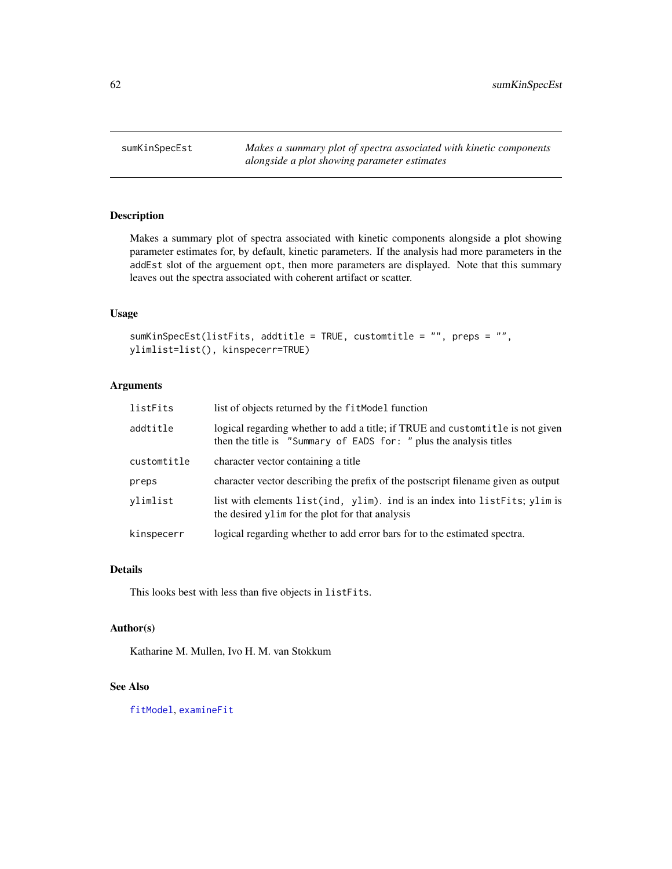<span id="page-61-0"></span>sumKinSpecEst *Makes a summary plot of spectra associated with kinetic components alongside a plot showing parameter estimates*

#### Description

Makes a summary plot of spectra associated with kinetic components alongside a plot showing parameter estimates for, by default, kinetic parameters. If the analysis had more parameters in the addEst slot of the arguement opt, then more parameters are displayed. Note that this summary leaves out the spectra associated with coherent artifact or scatter.

#### Usage

```
sumKinSpecEst(listFits, addtitle = TRUE, customtitle = "", preps = "",
ylimlist=list(), kinspecerr=TRUE)
```
#### Arguments

| listFits    | list of objects returned by the fitModel function                                                                                                     |
|-------------|-------------------------------------------------------------------------------------------------------------------------------------------------------|
| addtitle    | logical regarding whether to add a title; if TRUE and custom title is not given<br>then the title is "Summary of EADS for: " plus the analysis titles |
| customtitle | character vector containing a title                                                                                                                   |
| preps       | character vector describing the prefix of the postscript filename given as output                                                                     |
| vlimlist    | list with elements list(ind, ylim). ind is an index into listFits; ylim is<br>the desired ylim for the plot for that analysis                         |
| kinspecerr  | logical regarding whether to add error bars for to the estimated spectra.                                                                             |

#### Details

This looks best with less than five objects in listFits.

#### Author(s)

Katharine M. Mullen, Ivo H. M. van Stokkum

#### See Also

[fitModel](#page-15-1), [examineFit](#page-13-1)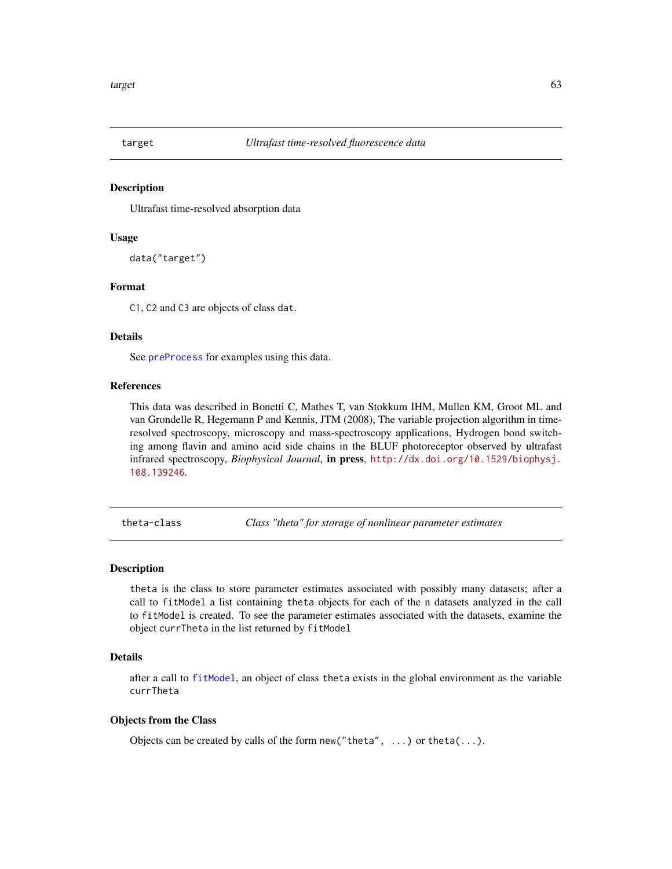<span id="page-62-0"></span>

#### Description

Ultrafast time-resolved absorption data

#### Usage

```
data("target")
```
#### Format

C1, C2 and C3 are objects of class dat.

#### Details

See [preProcess](#page-51-1) for examples using this data.

#### References

This data was described in Bonetti C, Mathes T, van Stokkum IHM, Mullen KM, Groot ML and van Grondelle R, Hegemann P and Kennis, JTM (2008), The variable projection algorithm in timeresolved spectroscopy, microscopy and mass-spectroscopy applications, Hydrogen bond switching among flavin and amino acid side chains in the BLUF photoreceptor observed by ultrafast infrared spectroscopy, *Biophysical Journal*, in press, [http://dx.doi.org/10.1529/biophysj.](http://dx.doi.org/10.1529/biophysj.108.139246) [108.139246](http://dx.doi.org/10.1529/biophysj.108.139246).

<span id="page-62-1"></span>theta-class *Class "theta" for storage of nonlinear parameter estimates*

#### **Description**

theta is the class to store parameter estimates associated with possibly many datasets; after a call to fitModel a list containing theta objects for each of the n datasets analyzed in the call to fitModel is created. To see the parameter estimates associated with the datasets, examine the object currTheta in the list returned by fitModel

#### Details

after a call to [fitModel](#page-15-1), an object of class theta exists in the global environment as the variable currTheta

#### Objects from the Class

Objects can be created by calls of the form new ("theta",  $\ldots$ ) or theta( $\ldots$ ).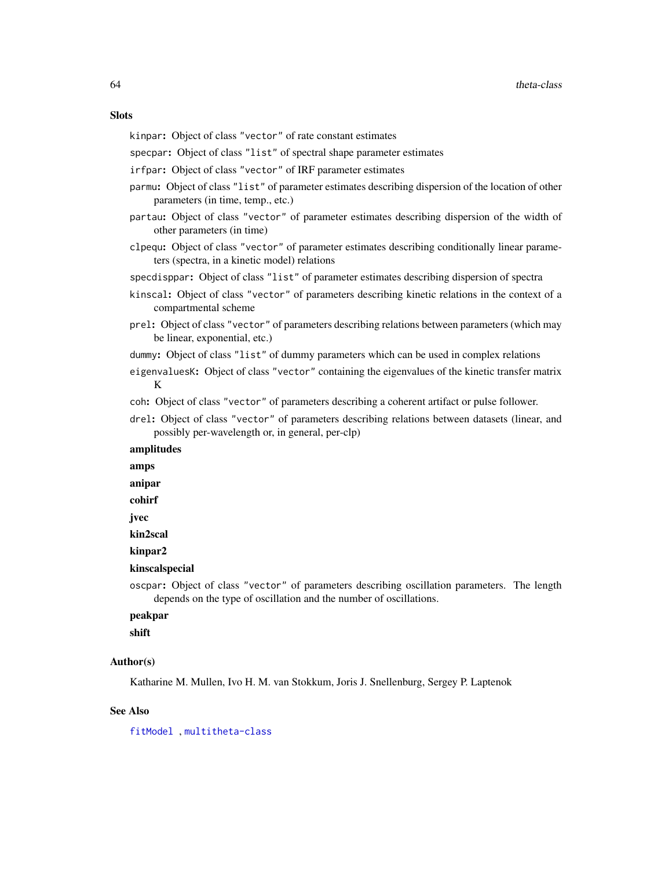#### <span id="page-63-0"></span>**Slots**

kinpar: Object of class "vector" of rate constant estimates

specpar: Object of class "list" of spectral shape parameter estimates

irfpar: Object of class "vector" of IRF parameter estimates

- parmu: Object of class "list" of parameter estimates describing dispersion of the location of other parameters (in time, temp., etc.)
- partau: Object of class "vector" of parameter estimates describing dispersion of the width of other parameters (in time)
- clpequ: Object of class "vector" of parameter estimates describing conditionally linear parameters (spectra, in a kinetic model) relations

specdisppar: Object of class "list" of parameter estimates describing dispersion of spectra

- kinscal: Object of class "vector" of parameters describing kinetic relations in the context of a compartmental scheme
- prel: Object of class "vector" of parameters describing relations between parameters (which may be linear, exponential, etc.)
- dummy: Object of class "list" of dummy parameters which can be used in complex relations
- eigenvaluesK: Object of class "vector" containing the eigenvalues of the kinetic transfer matrix K

coh: Object of class "vector" of parameters describing a coherent artifact or pulse follower.

drel: Object of class "vector" of parameters describing relations between datasets (linear, and possibly per-wavelength or, in general, per-clp)

#### amplitudes

amps

anipar

cohirf

jvec

kin2scal

kinpar2

kinscalspecial

oscpar: Object of class "vector" of parameters describing oscillation parameters. The length depends on the type of oscillation and the number of oscillations.

#### peakpar

shift

#### Author(s)

Katharine M. Mullen, Ivo H. M. van Stokkum, Joris J. Snellenburg, Sergey P. Laptenok

#### See Also

[fitModel](#page-15-1) , [multitheta-class](#page-45-1)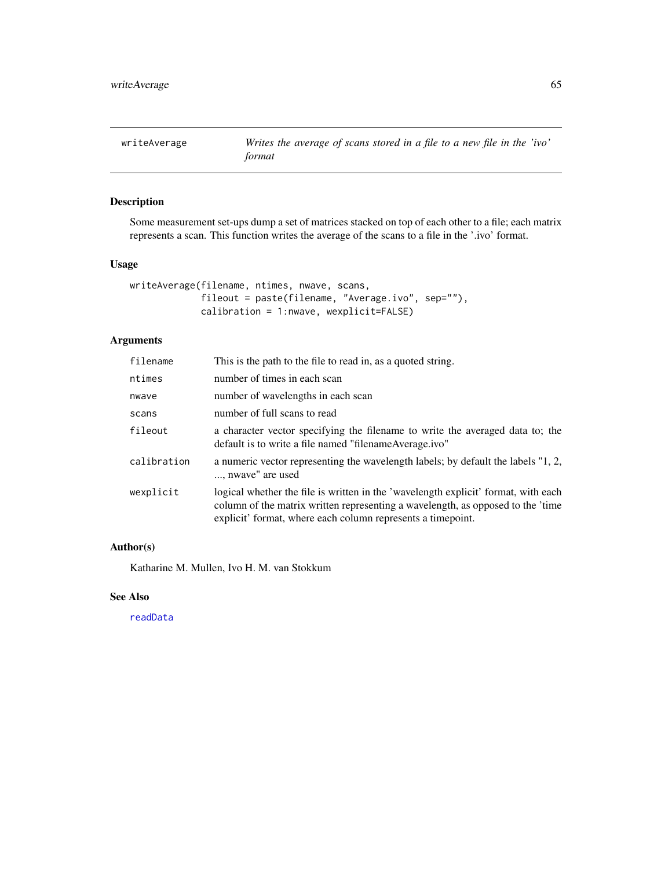<span id="page-64-0"></span>writeAverage *Writes the average of scans stored in a file to a new file in the 'ivo' format*

#### Description

Some measurement set-ups dump a set of matrices stacked on top of each other to a file; each matrix represents a scan. This function writes the average of the scans to a file in the '.ivo' format.

#### Usage

```
writeAverage(filename, ntimes, nwave, scans,
             fileout = paste(filename, "Average.ivo", sep=""),
             calibration = 1:nwave, wexplicit=FALSE)
```
#### Arguments

| filename    | This is the path to the file to read in, as a quoted string.                                                                                                                                                                         |
|-------------|--------------------------------------------------------------------------------------------------------------------------------------------------------------------------------------------------------------------------------------|
| ntimes      | number of times in each scan                                                                                                                                                                                                         |
| nwave       | number of wavelengths in each scan                                                                                                                                                                                                   |
| scans       | number of full scans to read                                                                                                                                                                                                         |
| fileout     | a character vector specifying the filename to write the averaged data to; the<br>default is to write a file named "filename Average.ivo"                                                                                             |
| calibration | a numeric vector representing the wavelength labels; by default the labels "1, 2,<br>, nwave" are used                                                                                                                               |
| wexplicit   | logical whether the file is written in the 'wavelength explicit' format, with each<br>column of the matrix written representing a wavelength, as opposed to the 'time<br>explicit' format, where each column represents a timepoint. |

#### Author(s)

Katharine M. Mullen, Ivo H. M. van Stokkum

#### See Also

[readData](#page-56-1)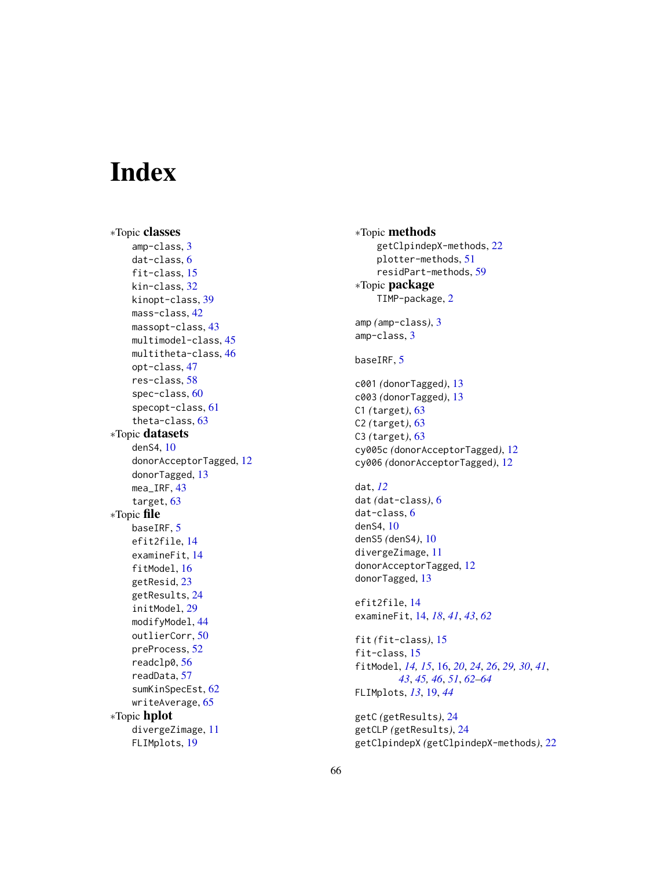# <span id="page-65-0"></span>**Index**

∗Topic classes amp-class , [3](#page-2-0) dat-class , [6](#page-5-0) fit-class , [15](#page-14-0) kin-class , [32](#page-31-0) kinopt-class , [39](#page-38-0) mass-class , [42](#page-41-0) massopt-class, [43](#page-42-0) multimodel-class , [45](#page-44-0) multitheta-class , [46](#page-45-0) opt-class , [47](#page-46-0) res-class , [58](#page-57-0) spec-class , [60](#page-59-0) specopt-class , [61](#page-60-0) theta-class , [63](#page-62-0) ∗Topic datasets denS4 , [10](#page-9-0) donorAcceptorTagged , [12](#page-11-0) donorTagged, [13](#page-12-0) mea\_IRF , [43](#page-42-0) target , [63](#page-62-0) ∗Topic file baseIRF, [5](#page-4-0) efit2file , [14](#page-13-0) examineFit , [14](#page-13-0) fitModel , [16](#page-15-0) getResid, [23](#page-22-0) getResults , [24](#page-23-0) initModel , [29](#page-28-0) modifyModel, [44](#page-43-0) outlierCorr , [50](#page-49-0) preProcess , [52](#page-51-0) readclp0 , [56](#page-55-0) readData , [57](#page-56-0) sumKinSpecEst, [62](#page-61-0) writeAverage, <mark>[65](#page-64-0)</mark> ∗Topic hplot divergeZimage , [11](#page-10-0) FLIMplots , [19](#page-18-0)

∗Topic methods getClpindepX-methods , [22](#page-21-0) plotter-methods , [51](#page-50-0) residPart-methods , [59](#page-58-0) ∗Topic package TIMP-package, [2](#page-1-0) amp *(*amp-class *)* , [3](#page-2-0) amp-class , [3](#page-2-0) baseIRF, <mark>[5](#page-4-0)</mark> c001 *(*donorTagged *)* , [13](#page-12-0) c003 *(*donorTagged *)* , [13](#page-12-0) C1 *(*target *)* , [63](#page-62-0) C2 *(*target *)* , [63](#page-62-0) C3 *(*target *)* , [63](#page-62-0) cy005c *(*donorAcceptorTagged *)* , [12](#page-11-0) cy006 *(*donorAcceptorTagged *)* , [12](#page-11-0) dat , *[12](#page-11-0)* dat *(*dat-class *)* , [6](#page-5-0) dat-class , [6](#page-5-0) denS4 , [10](#page-9-0) denS5 *(*denS4 *)* , [10](#page-9-0) divergeZimage , [11](#page-10-0) donorAcceptorTagged , [12](#page-11-0) donorTagged, [13](#page-12-0) efit2file , [14](#page-13-0) examineFit , [14](#page-13-0) , *[18](#page-17-0)* , *[41](#page-40-0)* , *[43](#page-42-0)* , *[62](#page-61-0)* fit *(*fit-class *)* , [15](#page-14-0) fit-class , [15](#page-14-0) fitModel , *[14](#page-13-0) , [15](#page-14-0)* , [16](#page-15-0) , *[20](#page-19-0)* , *[24](#page-23-0)* , *[26](#page-25-0)* , *[29](#page-28-0) , [30](#page-29-0)* , *[41](#page-40-0)* , *[43](#page-42-0)* , *[45](#page-44-0) , [46](#page-45-0)* , *[51](#page-50-0)* , *[62](#page-61-0) [–64](#page-63-0)* FLIMplots , *[13](#page-12-0)* , [19](#page-18-0) , *[44](#page-43-0)* getC *(*getResults *)* , [24](#page-23-0) getCLP *(*getResults *)* , [24](#page-23-0) getClpindepX *(*getClpindepX-methods *)* , [22](#page-21-0)